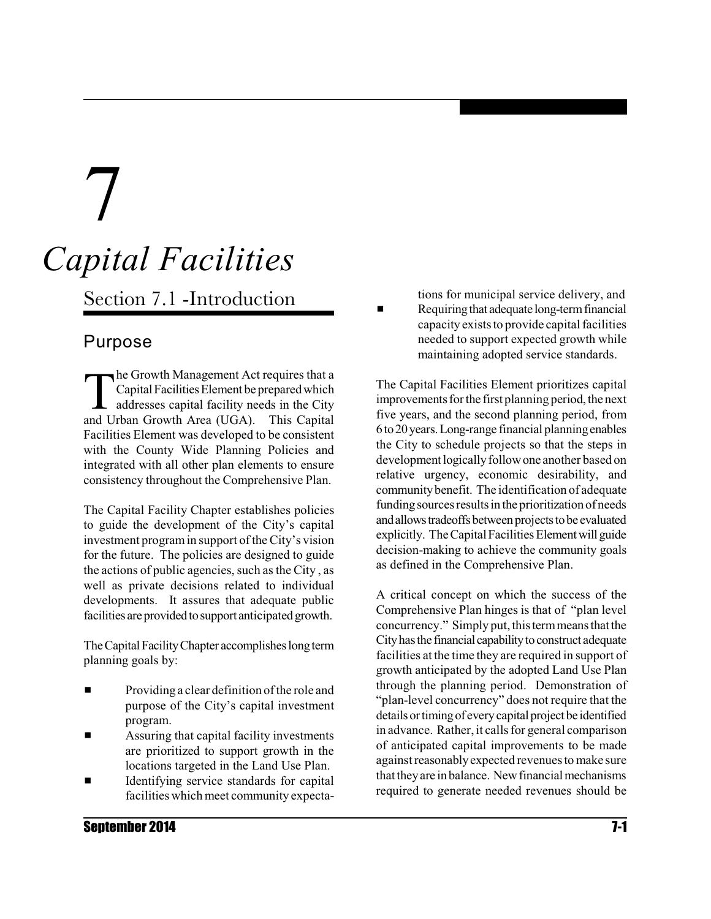# 7 *Capital Facilities*

Section 7.1 -Introduction

### Purpose

 $\prod$ he Growth Management Act requires that a Capital Facilities Element be prepared which addresses capital facility needs in the City and Urban Growth Area (UGA). This Capital Facilities Element was developed to be consistent with the County Wide Planning Policies and integrated with all other plan elements to ensure consistency throughout the Comprehensive Plan.

The Capital Facility Chapter establishes policies to guide the development of the City's capital investment programin support of theCity's vision for the future. The policies are designed to guide the actions of public agencies, such as the City, as well as private decisions related to individual developments. It assures that adequate public facilities are provided to support anticipated growth.

The Capital Facility Chapter accomplishes long term planning goals by:

- Providing a clear definition of the role and purpose of the City's capital investment program.
- $\blacksquare$  Assuring that capital facility investments are prioritized to support growth in the locations targeted in the Land Use Plan.
- $\blacksquare$  Identifying service standards for capital facilities which meet community expecta-

tions for municipal service delivery, and

Requiring that adequate long-term financial capacity exists to provide capital facilities needed to support expected growth while maintaining adopted service standards.

The Capital Facilities Element prioritizes capital improvements for the first planning period, the next five years, and the second planning period, from 6to20years.Long-range financial planningenables the City to schedule projects so that the steps in development logically follow one another based on relative urgency, economic desirability, and communitybenefit. The identification of adequate funding sources results in the prioritization of needs and allows tradeoffs between projects to be evaluated explicitly. The Capital Facilities Element will guide decision-making to achieve the community goals as defined in the Comprehensive Plan.

A critical concept on which the success of the Comprehensive Plan hinges is that of "plan level concurrency." Simply put, this term means that the City has the financial capability to construct adequate facilities at the time they are required in support of growth anticipated by the adopted Land Use Plan through the planning period. Demonstration of "plan-level concurrency" does not require that the details or timing of every capital project be identified in advance. Rather, it calls for general comparison of anticipated capital improvements to be made against reasonablyexpected revenuesto make sure that they are in balance. New financial mechanisms required to generate needed revenues should be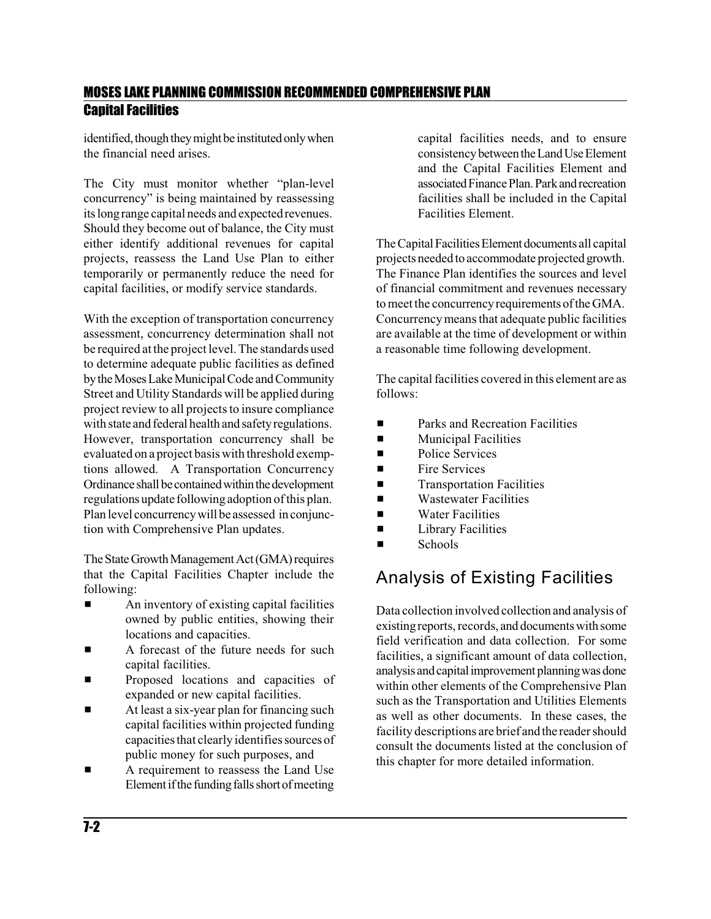identified, though they might be instituted only when the financial need arises.

The City must monitor whether "plan-level concurrency" is being maintained by reassessing its longrange capital needs and expectedrevenues. Should they become out of balance, the City must either identify additional revenues for capital projects, reassess the Land Use Plan to either temporarily or permanently reduce the need for capital facilities, or modify service standards.

With the exception of transportation concurrency assessment, concurrency determination shall not be required at the project level. The standards used to determine adequate public facilities as defined by the Moses Lake Municipal Code and Community Street and Utility Standards will be applied during project review to all projects to insure compliance with state and federal health and safety regulations. However, transportation concurrency shall be evaluated on a project basis with threshold exemptions allowed. A Transportation Concurrency Ordinance shall be contained within the development regulations update following adoption of this plan. Plan level concurrencywill be assessed inconjunction with Comprehensive Plan updates.

The State Growth Management Act (GMA) requires that the Capital Facilities Chapter include the following:

- $\blacksquare$  An inventory of existing capital facilities owned by public entities, showing their locations and capacities.
- A forecast of the future needs for such capital facilities.
- Proposed locations and capacities of expanded or new capital facilities.
- At least a six-year plan for financing such capital facilities within projected funding capacities that clearly identifies sources of public money for such purposes, and
- A requirement to reassess the Land Use Element if the funding falls short of meeting

capital facilities needs, and to ensure consistency between the Land Use Element and the Capital Facilities Element and associated Finance Plan. Park and recreation facilities shall be included in the Capital Facilities Element.

The Capital Facilities Element documents all capital projects neededto accommodate projected growth. The Finance Plan identifies the sources and level of financial commitment and revenues necessary to meet the concurrency requirements of the GMA. Concurrency means that adequate public facilities are available at the time of development or within a reasonable time following development.

The capital facilities covered in this element are as follows:

- $\blacksquare$  Parks and Recreation Facilities
- $\blacksquare$  Municipal Facilities
- **Exercise Services**
- $\blacksquare$  Fire Services
- **Exercise 12** Transportation Facilities
- $\blacksquare$  Wastewater Facilities
- $\blacksquare$  Water Facilities
- $\blacksquare$  Library Facilities
- $\blacksquare$  Schools

### Analysis of Existing Facilities

Data collection involved collection and analysis of existingreports, records, and documentswith some field verification and data collection. For some facilities, a significant amount of data collection, analysis and capital improvement planning was done within other elements of the Comprehensive Plan such as the Transportation and Utilities Elements as well as other documents. In these cases, the facility descriptions are brief and the reader should consult the documents listed at the conclusion of this chapter for more detailed information.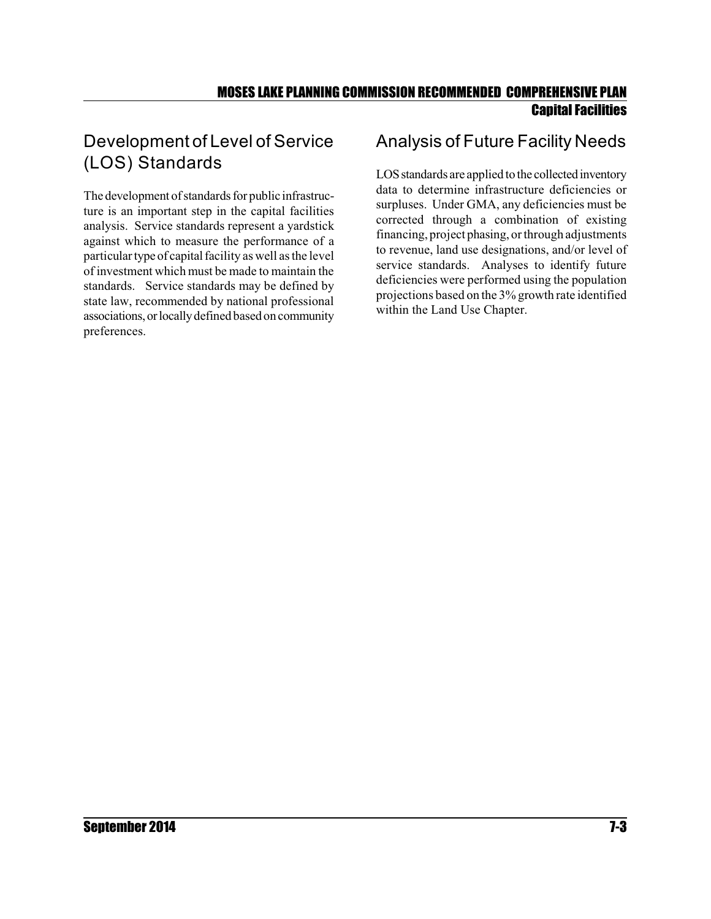### Development of Level of Service (LOS) Standards

The development of standards for public infrastructure is an important step in the capital facilities analysis. Service standards represent a yardstick against which to measure the performance of a particular type of capital facility as well as the level of investment which must be made to maintain the standards. Service standards may be defined by state law, recommended by national professional associations, or locally defined based on community preferences.

### Analysis of Future Facility Needs

LOS standards are applied to the collected inventory data to determine infrastructure deficiencies or surpluses. Under GMA, any deficiencies must be corrected through a combination of existing financing, project phasing, or through adjustments to revenue, land use designations, and/or level of service standards. Analyses to identify future deficiencies were performed using the population projections based on the 3% growth rate identified within the Land Use Chapter.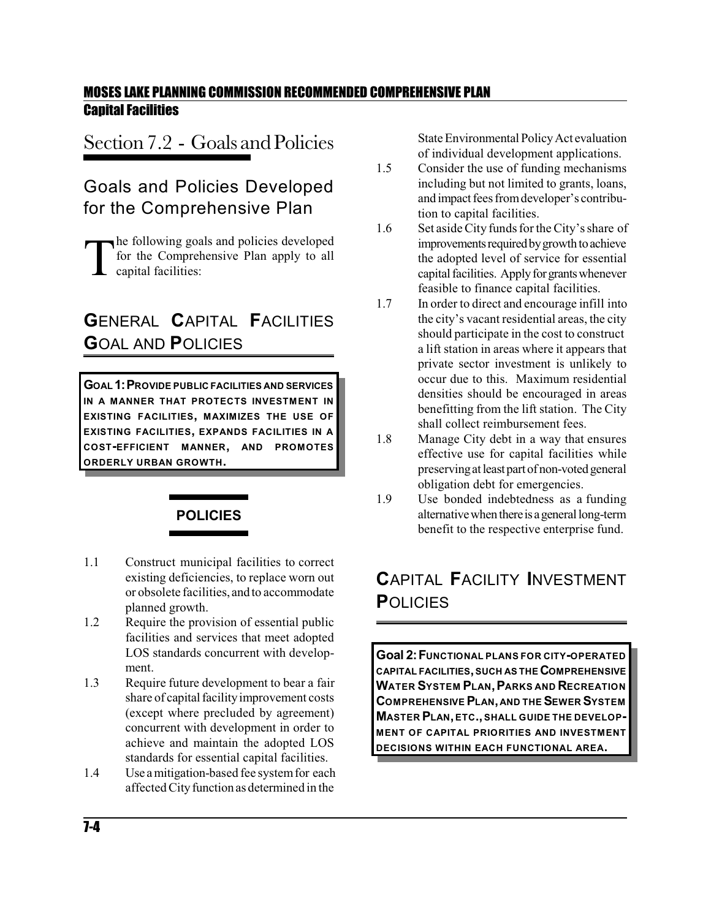# Section 7.2 - Goals and Policies

### Goals and Policies Developed for the Comprehensive Plan

T he following goals and policies developed for the Comprehensive Plan apply to all capital facilities:

# **G**ENERAL **C**APITAL **F**ACILITIES **G**OAL AND **P**OLICIES

**GOAL 1:PROVIDE PUBLIC FACILITIES AND SERVICES IN A MANNER THAT PROTECTS INVESTMENT IN EXISTING FACILITIES, MAXIMIZES THE USE OF EXISTING FACILITIES, EXPANDS FACILITIES IN A COST-EFFICIENT MANNER, AND PROMOTES ORDERLY URBAN GROWTH.**



- 1.1 Construct municipal facilities to correct existing deficiencies, to replace worn out or obsolete facilities, and to accommodate planned growth.
- 1.2 Require the provision of essential public facilities and services that meet adopted LOS standards concurrent with development.
- 1.3 Require future development to bear a fair share of capital facility improvement costs (except where precluded by agreement) concurrent with development in order to achieve and maintain the adopted LOS standards for essential capital facilities.
- 1.4 Use a mitigation-based fee systemfor each affected City function as determined in the

State Environmental PolicyAct evaluation of individual development applications.

- 1.5 Consider the use of funding mechanisms including but not limited to grants, loans, and impact fees from developer's contribution to capital facilities.
- 1.6 Set aside City funds for the City's share of improvements required by growth to achieve the adopted level of service for essential capital facilities. Apply for grants whenever feasible to finance capital facilities.
- 1.7 In order to direct and encourage infill into the city's vacant residential areas, the city should participate in the cost to construct a lift station in areas where it appears that private sector investment is unlikely to occur due to this. Maximum residential densities should be encouraged in areas benefitting from the lift station. The City shall collect reimbursement fees.
- 1.8 Manage City debt in a way that ensures effective use for capital facilities while preserving at least part of non-voted general obligation debt for emergencies.
- 1.9 Use bonded indebtedness as a funding alternative when there is a general long-term benefit to the respective enterprise fund.

# **C**APITAL **F**ACILITY **I**NVESTMENT **P**OLICIES

**Goal 2:FUNCTIONAL PLANS FOR CITY-OPERATED CAPITAL FACILITIES,SUCH AS THE COMPREHENSIVE WATER SYSTEM PLAN,PARKS AND RECREATION COMPREHENSIVE PLAN,AND THE SEWER SYSTEM MASTER PLAN,ETC.,SHALL GUIDE THE DEVELOP-MENT OF CAPITAL PRIORITIES AND INVESTMENT DECISIONS WITHIN EACH FUNCTIONAL AREA.**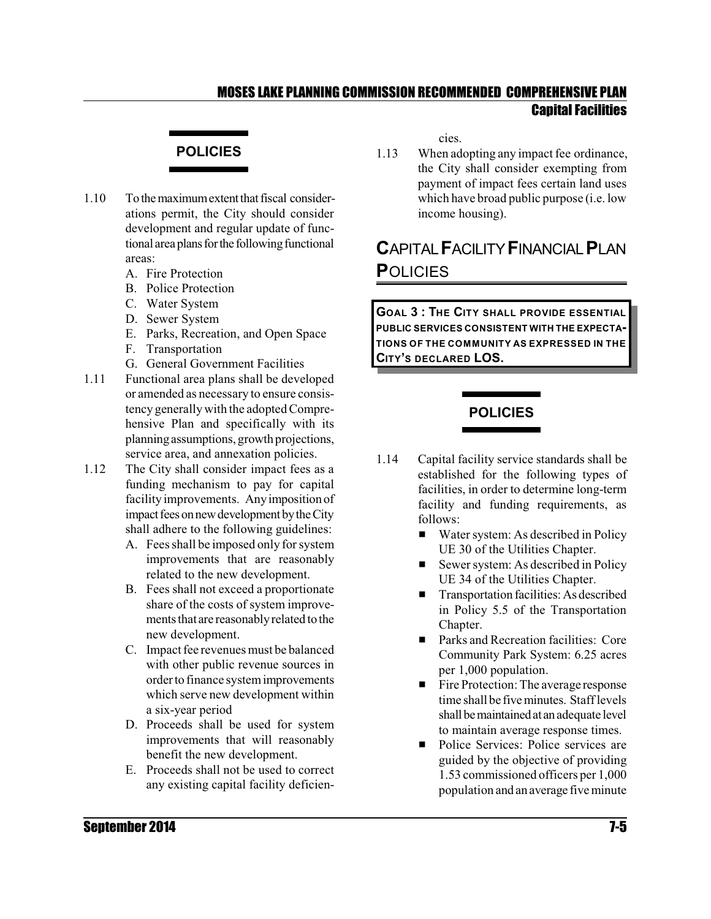#### **POLICIES**

- 1.10 To the maximum extent that fiscal considerations permit, the City should consider development and regular update of functional area plans for the following functional areas:
	- A. Fire Protection
	- B. Police Protection
	- C. Water System
	- D. Sewer System
	- E. Parks, Recreation, and Open Space
	- F. Transportation
	- G. General Government Facilities
- 1.11 Functional area plans shall be developed or amended as necessary to ensure consistency generally with the adopted Comprehensive Plan and specifically with its planningassumptions, growth projections, service area, and annexation policies.
- 1.12 The City shall consider impact fees as a funding mechanism to pay for capital facility improvements. Anyimposition of impact fees on new development by the City shall adhere to the following guidelines:
	- A. Fees shall be imposed only forsystem improvements that are reasonably related to the new development.
	- B. Fees shall not exceed a proportionate share of the costs of system improvements that are reasonably related to the new development.
	- C. Impact fee revenues must be balanced with other public revenue sources in order to finance systemimprovements which serve new development within a six-year period
	- D. Proceeds shall be used for system improvements that will reasonably benefit the new development.
	- E. Proceeds shall not be used to correct any existing capital facility deficien-

cies.

1.13 When adopting any impact fee ordinance, the City shall consider exempting from payment of impact fees certain land uses which have broad public purpose (i.e. low income housing).

## **C**APITAL**F**ACILITY**F**INANCIAL**P**LAN **P**OLICIES

**GOAL 3 : THE CITY SHALL PROVIDE ESSENTIAL PUBLIC SERVICES CONSISTENT WITH THE EXPECTA-TIONS OF THE COMMUNITY AS EXPRESSED IN THE CITY'S DECLARED LOS.**

#### **POLICIES**

- 1.14 Capital facility service standards shall be established for the following types of facilities, in order to determine long-term facility and funding requirements, as follows:
	- Water system: As described in Policy UE 30 of the Utilities Chapter.
	- $\blacksquare$  Sewer system: As described in Policy UE 34 of the Utilities Chapter.
	- $\blacksquare$  Transportation facilities: As described in Policy 5.5 of the Transportation Chapter.
	- **EXECUTE:** Parks and Recreation facilities: Core Community Park System: 6.25 acres per 1,000 population.
	- $\blacksquare$  Fire Protection: The average response time shall be five minutes. Stafflevels shall be maintained at an adequate level to maintain average response times.
	- Police Services: Police services are guided by the objective of providing 1.53 commissioned officers per 1,000 population and an average five minute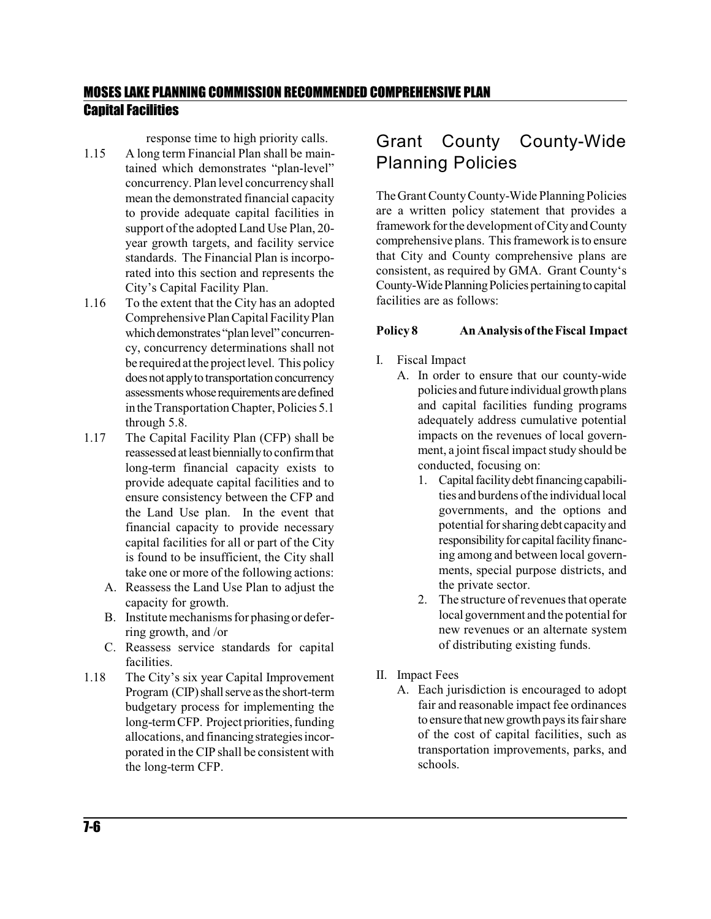response time to high priority calls.

- 1.15 A long term Financial Plan shall be maintained which demonstrates "plan-level" concurrency. Plan level concurrencyshall mean the demonstrated financial capacity to provide adequate capital facilities in support of the adopted Land Use Plan, 20 year growth targets, and facility service standards. The Financial Plan is incorporated into this section and represents the City's Capital Facility Plan.
- 1.16 To the extent that the City has an adopted Comprehensive Plan Capital Facility Plan which demonstrates "plan level" concurrency, concurrency determinations shall not be required atthe project level. This policy does not apply to transportation concurrency assessments whose requirements are defined in the Transportation Chapter, Policies 5.1 through 5.8.
- 1.17 The Capital Facility Plan (CFP) shall be reassessed at least biennially to confirm that long-term financial capacity exists to provide adequate capital facilities and to ensure consistency between the CFP and the Land Use plan. In the event that financial capacity to provide necessary capital facilities for all or part of the City is found to be insufficient, the City shall take one or more of the following actions:
	- A. Reassess the Land Use Plan to adjust the capacity for growth.
	- B. Institute mechanisms for phasing or deferring growth, and /or
	- C. Reassess service standards for capital facilities.
- 1.18 The City's six year Capital Improvement Program (CIP) shall serve as the short-term budgetary process for implementing the long-term CFP. Project priorities, funding allocations, and financingstrategies incorporated in the CIP shall be consistent with the long-term CFP.

# Grant County County-Wide Planning Policies

TheGrant County County-Wide Planning Policies are a written policy statement that provides a framework for the development of City and County comprehensive plans. This framework is to ensure that City and County comprehensive plans are consistent, as required by GMA. Grant County's County-Wide Planning Policies pertaining to capital facilities are as follows:

#### **Policy 8 AnAnalysis of theFiscal Impact**

- I. Fiscal Impact
	- A. In order to ensure that our county-wide policies and future individual growth plans and capital facilities funding programs adequately address cumulative potential impacts on the revenues of local government, a joint fiscal impact study should be conducted, focusing on:
		- 1. Capital facility debt financing capabilities and burdens ofthe individual local governments, and the options and potential for sharingdebt capacity and responsibility for capital facility financing among and between local governments, special purpose districts, and the private sector.
		- 2. The structure of revenues that operate local government and the potential for new revenues or an alternate system of distributing existing funds.
- II. Impact Fees
	- A. Each jurisdiction is encouraged to adopt fair and reasonable impact fee ordinances to ensure that new growth pays its fair share of the cost of capital facilities, such as transportation improvements, parks, and schools.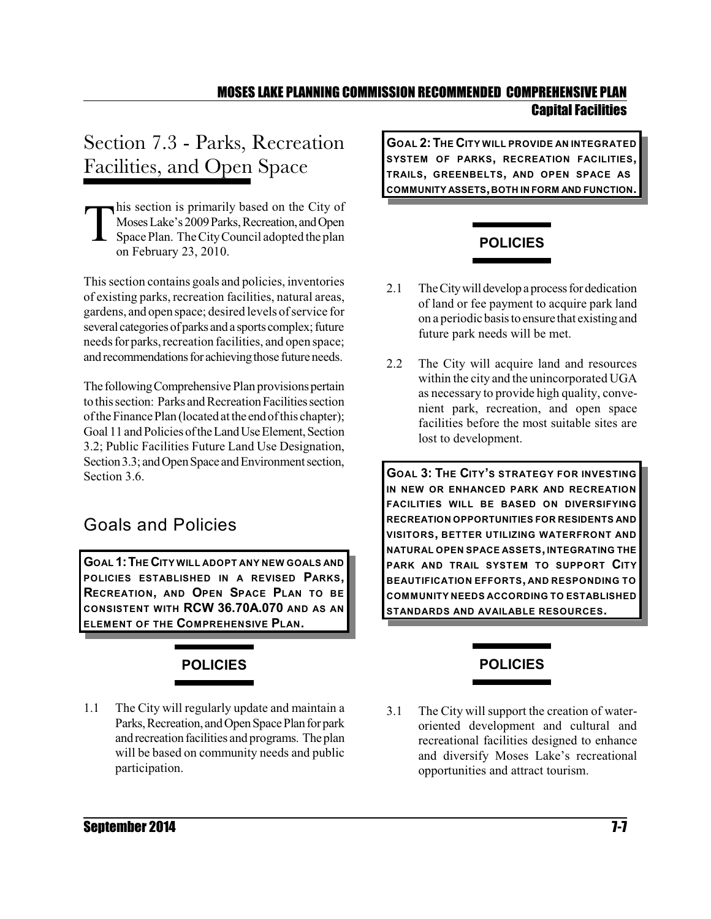# Section 7.3 - Parks, Recreation Facilities, and Open Space

T his section is primarily based on the City of Moses Lake's 2009 Parks, Recreation, and Open SpacePlan. TheCityCouncil adopted the plan on February 23, 2010.

Thissection contains goals and policies, inventories of existing parks, recreation facilities, natural areas, gardens, and open space; desired levels of service for several categories of parks and a sports complex; future needs for parks, recreation facilities, and open space; and recommendations for achieving those future needs.

The following Comprehensive Plan provisions pertain to this section: Parks and Recreation Facilities section of the Finance Plan (located at the end of this chapter); Goal 11 and Policies of the Land Use Element, Section 3.2; Public Facilities Future Land Use Designation, Section 3.3; and Open Space and Environment section, Section 3.6.

### Goals and Policies

**GOAL 1:THE CITY WILL ADOPT ANY NEW GOALS AND POLICIES ESTABLISHED IN A REVISED PARKS, RECREATION, AND OPEN SPACE PLAN TO BE CONSISTENT WITH RCW 36.70A.070 AND AS AN ELEMENT OF THE COMPREHENSIVE PLAN.**

# **POLICIES**

1.1 The City will regularly update and maintain a Parks, Recreation, and Open Space Plan for park and recreation facilities and programs. The plan will be based on community needs and public participation.

**GOAL 2:THE CITY WILL PROVIDE AN INTEGRATED SYSTEM OF PARKS, RECREATION FACILITIES, TRAILS, GREENBELTS, AND OPEN SPACE AS COMMUNITY ASSETS,BOTH IN FORM AND FUNCTION.**

## **POLICIES**

- 2.1 The City will develop a process for dedication of land or fee payment to acquire park land on a periodic basis toensure that existingand future park needs will be met.
- 2.2 The City will acquire land and resources within the city and the unincorporated UGA as necessary to provide high quality, convenient park, recreation, and open space facilities before the most suitable sites are lost to development.

**GOAL 3: THE CITY'S STRATEGY FOR INVESTING IN NEW OR ENHANCED PARK AND RECREATION FACILITIES WILL BE BASED ON DIVERSIFYING RECREATION OPPORTUNITIES FOR RESIDENTS AND VISITORS, BETTER UTILIZING WATERFRONT AND NATURAL OPEN SPACE ASSETS,INTEGRATING THE PARK AND TRAIL SYSTEM TO SUPPORT CITY BEAUTIFICATION EFFORTS, AND RESPONDING TO COMMUNITY NEEDS ACCORDING TO ESTABLISHED STANDARDS AND AVAILABLE RESOURCES.**

# **POLICIES**

3.1 The City will support the creation of wateroriented development and cultural and recreational facilities designed to enhance and diversify Moses Lake's recreational opportunities and attract tourism.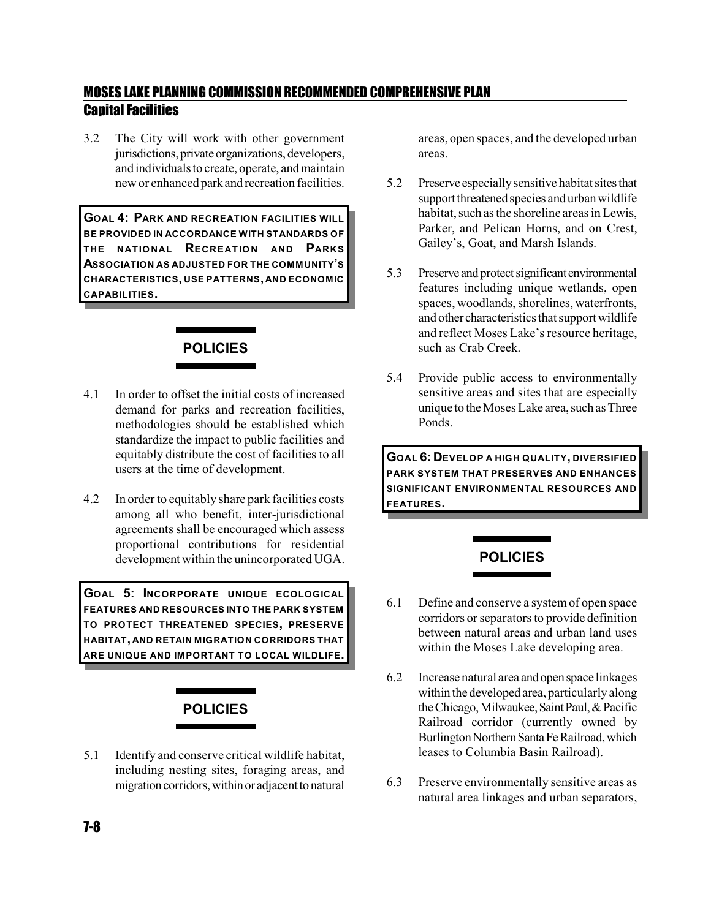3.2 The City will work with other government jurisdictions, private organizations, developers, and individuals to create, operate, and maintain new or enhanced parkand recreation facilities.

**GOAL 4: PARK AND RECREATION FACILITIES WILL BE PROVIDED IN ACCORDANCE WITH STANDARDS OF THE NATIONAL RECREATION AND PARKS ASSOCIATION AS ADJUSTED FOR THE COMMUNITY'S CHARACTERISTICS, USE PATTERNS, AND ECONOMIC CAPABILITIES.**

#### **POLICIES**

- 4.1 In order to offset the initial costs of increased demand for parks and recreation facilities, methodologies should be established which standardize the impact to public facilities and equitably distribute the cost of facilities to all users at the time of development.
- 4.2 In order to equitably share park facilities costs among all who benefit, inter-jurisdictional agreements shall be encouraged which assess proportional contributions for residential development within the unincorporated UGA.

**GOAL 5: INCORPORATE UNIQUE ECOLOGICAL FEATURES AND RESOURCES INTO THE PARK SYSTEM TO PROTECT THREATENED SPECIES, PRESERVE HABITAT, AND RETAIN MIGRATION CORRIDORS THAT ARE UNIQUE AND IMPORTANT TO LOCAL WILDLIFE.**

### **POLICIES**

5.1 Identify and conserve critical wildlife habitat, including nesting sites, foraging areas, and migration corridors, within or adjacent to natural

areas, open spaces, and the developed urban areas.

- 5.2 Preserve especiallysensitive habitat sitesthat support threatened species and urban wildlife habitat, such as the shoreline areas in Lewis. Parker, and Pelican Horns, and on Crest, Gailey's, Goat, and Marsh Islands.
- 5.3 Preserve and protect significant environmental features including unique wetlands, open spaces, woodlands, shorelines, waterfronts, and other characteristics that support wildlife and reflect Moses Lake's resource heritage, such as Crab Creek.
- 5.4 Provide public access to environmentally sensitive areas and sites that are especially unique to the Moses Lake area, such as Three Ponds.

**GOAL 6: DEVELOP A HIGH QUALITY, DIVERSIFIED PARK SYSTEM THAT PRESERVES AND ENHANCES SIGNIFICANT ENVIRONMENTAL RESOURCES AND FEATURES.**

### **POLICIES**

- 6.1 Define and conserve a systemof open space corridors or separators to provide definition between natural areas and urban land uses within the Moses Lake developing area.
- 6.2 Increase natural area andopenspace linkages within the developedarea, particularly along the Chicago, Milwaukee, Saint Paul, & Pacific Railroad corridor (currently owned by Burlington Northern Santa Fe Railroad, which leases to Columbia Basin Railroad).
- 6.3 Preserve environmentally sensitive areas as natural area linkages and urban separators,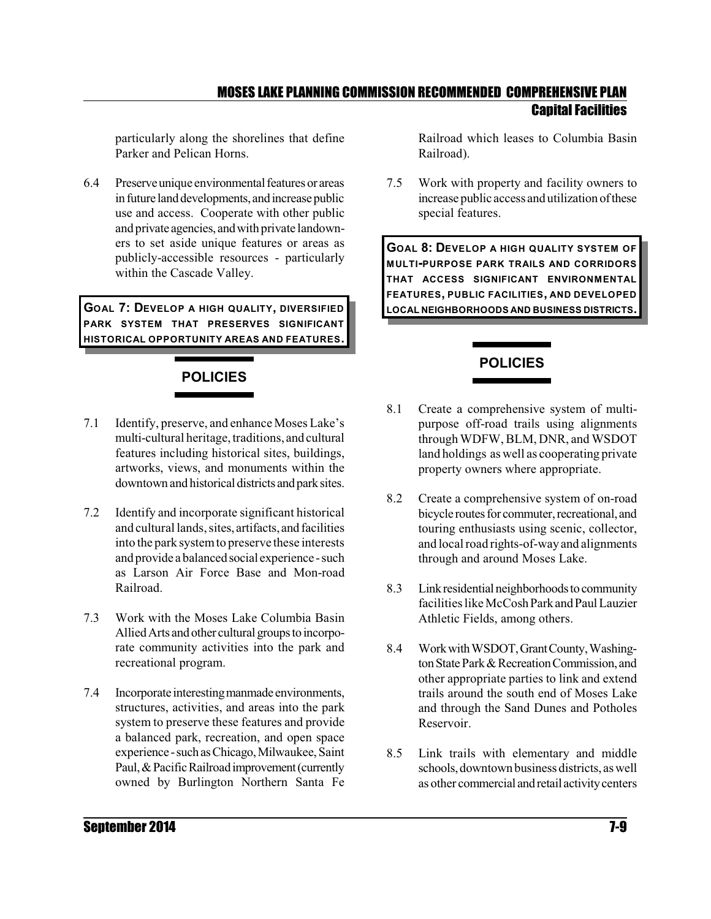particularly along the shorelines that define Parker and Pelican Horns.

6.4 Preserve unique environmental features or areas in future land developments, and increase public use and access. Cooperate with other public and private agencies, andwith private landowners to set aside unique features or areas as publicly-accessible resources - particularly within the Cascade Valley.

**GOAL 7: DEVELOP A HIGH QUALITY, DIVERSIFIED PARK SYSTEM THAT PRESERVES SIGNIFICANT HISTORICAL OPPORTUNITY AREAS AND FEATURES.**

# **POLICIES**

- 7.1 Identify, preserve, and enhance Moses Lake's multi-cultural heritage, traditions, and cultural features including historical sites, buildings, artworks, views, and monuments within the downtown and historical districts and park sites.
- 7.2 Identify and incorporate significant historical and cultural lands, sites, artifacts, and facilities into the park systemto preserve these interests and provide a balanced social experience -such as Larson Air Force Base and Mon-road Railroad.
- 7.3 Work with the Moses Lake Columbia Basin Allied Arts and other cultural groups to incorporate community activities into the park and recreational program.
- 7.4 Incorporate interesting manmade environments, structures, activities, and areas into the park system to preserve these features and provide a balanced park, recreation, and open space experience - such as Chicago, Milwaukee, Saint Paul, & Pacific Railroad improvement (currently owned by Burlington Northern Santa Fe

Railroad which leases to Columbia Basin Railroad).

7.5 Work with property and facility owners to increase public access and utilization ofthese special features.

**GOAL 8: DEVELOP A HIGH QUALITY SYSTEM OF MULTI-PURPOSE PARK TRAILS AND CORRIDORS THAT ACCESS SIGNIFICANT ENVIRONMENTAL FEATURES, PUBLIC FACILITIES, AND DEVELOPED LOCAL NEIGHBORHOODS AND BUSINESS DISTRICTS.**

### **POLICIES**

- 8.1 Create a comprehensive system of multipurpose off-road trails using alignments through WDFW, BLM, DNR, and WSDOT land holdings as well as cooperating private property owners where appropriate.
- 8.2 Create a comprehensive system of on-road bicycle routes for commuter, recreational, and touring enthusiasts using scenic, collector, and local road rights-of-way and alignments through and around Moses Lake.
- 8.3 Link residential neighborhoods to community facilities like McCosh Parkand Paul Lauzier Athletic Fields, among others.
- 8.4 WorkwithWSDOT,GrantCounty,Washington State Park & Recreation Commission, and other appropriate parties to link and extend trails around the south end of Moses Lake and through the Sand Dunes and Potholes Reservoir.
- 8.5 Link trails with elementary and middle schools,downtown business districts, aswell as other commercial andretail activitycenters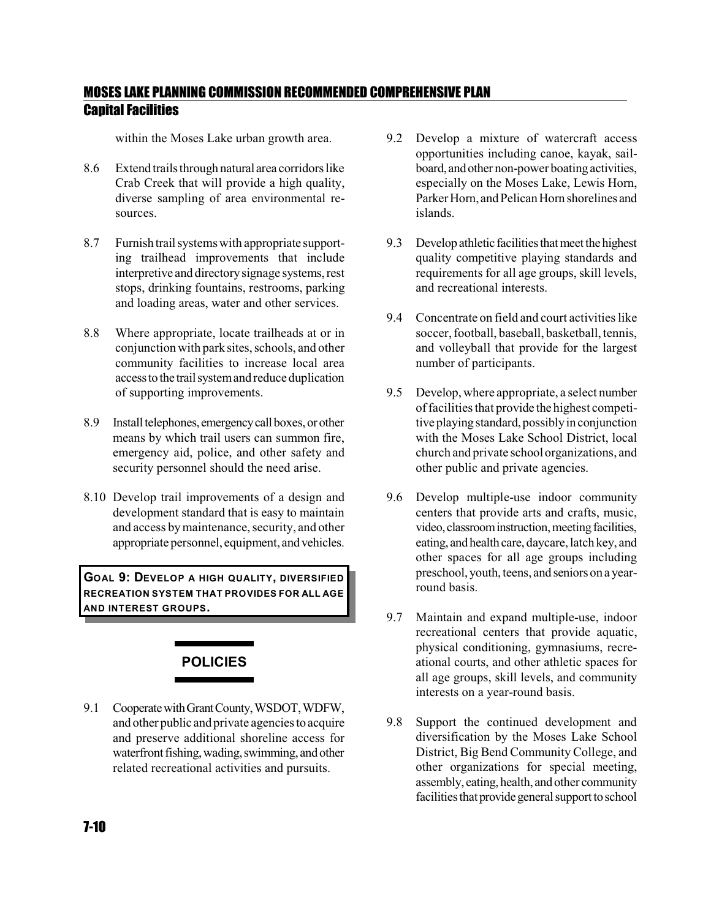within the Moses Lake urban growth area.

- 8.6 Extend trailsthrough natural area corridors like Crab Creek that will provide a high quality, diverse sampling of area environmental resources.
- 8.7 Furnishtrail systems with appropriate supporting trailhead improvements that include interpretive and directory signage systems, rest stops, drinking fountains, restrooms, parking and loading areas, water and other services.
- 8.8 Where appropriate, locate trailheads at or in conjunction with parksites, schools, and other community facilities to increase local area accesstothe trailsystemand reduce duplication of supporting improvements.
- 8.9 Install telephones, emergency call boxes, or other means by which trail users can summon fire, emergency aid, police, and other safety and security personnel should the need arise.
- 8.10 Develop trail improvements of a design and development standard that is easy to maintain and access by maintenance, security, and other appropriate personnel, equipment, andvehicles.

**GOAL 9: DEVELOP A HIGH QUALITY, DIVERSIFIED RECREATION SYSTEM THAT PROVIDES FOR ALL AGE AND INTEREST GROUPS.**

# **POLICIES**

9.1 Cooperate with Grant County, WSDOT, WDFW, and other public and private agencies to acquire and preserve additional shoreline access for waterfront fishing, wading, swimming, and other related recreational activities and pursuits.

- 9.2 Develop a mixture of watercraft access opportunities including canoe, kayak, sailboard, andother non-power boatingactivities, especially on the Moses Lake, Lewis Horn, Parker Horn, and Pelican Horn shorelines and islands.
- 9.3 Develop athletic facilities that meet the highest quality competitive playing standards and requirements for all age groups, skill levels, and recreational interests.
- 9.4 Concentrate on field and court activities like soccer, football, baseball, basketball, tennis, and volleyball that provide for the largest number of participants.
- 9.5 Develop, where appropriate, a select number of facilities that provide the highest competitive playing standard, possibly in conjunction with the Moses Lake School District, local church and private school organizations, and other public and private agencies.
- 9.6 Develop multiple-use indoor community centers that provide arts and crafts, music, video, classroom instruction, meeting facilities, eating, and health care, daycare, latch key, and other spaces for all age groups including preschool, youth, teens, and seniors on a yearround basis.
- 9.7 Maintain and expand multiple-use, indoor recreational centers that provide aquatic, physical conditioning, gymnasiums, recreational courts, and other athletic spaces for all age groups, skill levels, and community interests on a year-round basis.
- 9.8 Support the continued development and diversification by the Moses Lake School District, Big Bend Community College, and other organizations for special meeting, assembly, eating,health, andother community facilities that provide general support to school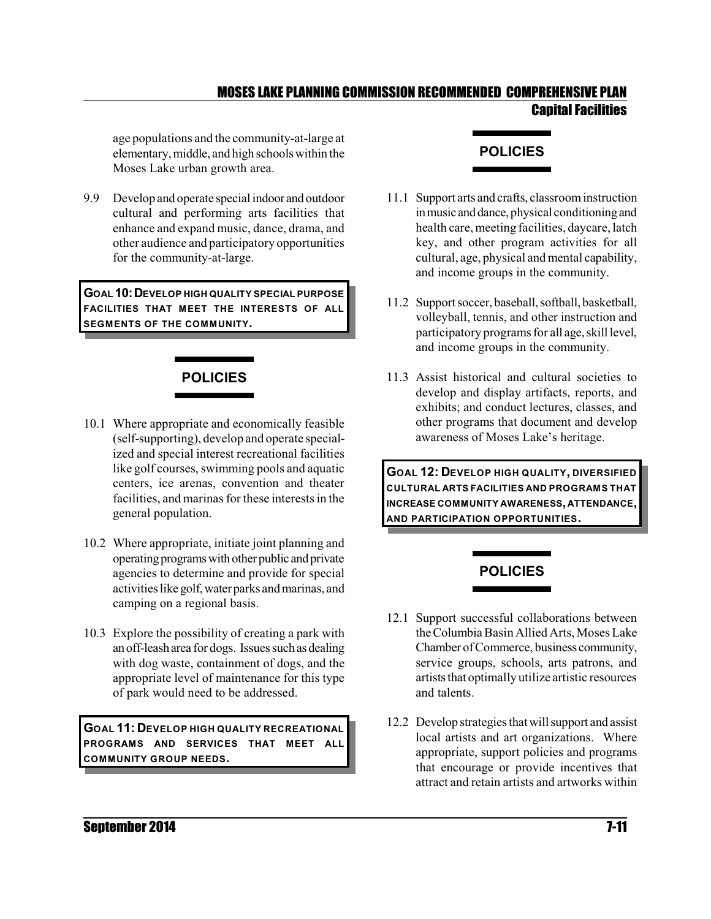age populations and the community-at-large at elementary,middle, and high schools within the Moses Lake urban growth area.

9.9 Develop and operate special indoor and outdoor cultural and performing arts facilities that enhance and expand music, dance, drama, and other audience and participatory opportunities for the community-at-large.

**GOAL 10:DEVELOP HIGH QUALITY SPECIAL PURPOSE FACILITIES THAT MEET THE INTERESTS OF ALL SEGMENTS OF THE COMMUNITY.**

# **POLICIES**

- 10.1 Where appropriate and economically feasible (self-supporting), develop and operate specialized and special interest recreational facilities like golf courses, swimming pools and aquatic centers, ice arenas, convention and theater facilities, and marinas for these interests in the general population.
- 10.2 Where appropriate, initiate joint planning and operatingprogramswithother public andprivate agencies to determine and provide for special activities like golf,waterparks and marinas, and camping on a regional basis.
- 10.3 Explore the possibility of creating a park with anoff-leasharea for dogs. Issues suchasdealing with dog waste, containment of dogs, and the appropriate level of maintenance for this type of park would need to be addressed.

**GOAL 11: DEVELOP HIGH QUALITY RECREATIONAL PROGRAMS AND SERVICES THAT MEET ALL COMMUNITY GROUP NEEDS.**

### **POLICIES**

- 11.1 Support arts and crafts, classroom instruction in music and dance, physical conditioning and health care, meeting facilities, daycare, latch key, and other program activities for all cultural, age, physical and mental capability, and income groups in the community.
- 11.2 Support soccer, baseball, softball, basketball, volleyball, tennis, and other instruction and participatory programs for all age, skill level, and income groups in the community.
- 11.3 Assist historical and cultural societies to develop and display artifacts, reports, and exhibits; and conduct lectures, classes, and other programs that document and develop awareness of Moses Lake's heritage.

**GOAL 12: DEVELOP HIGH QUALITY, DIVERSIFIED CULTURAL ARTS FACILITIES AND PROGRAMS THAT INCREASE COMMUNITY AWARENESS,ATTENDANCE, AND PARTICIPATION OPPORTUNITIES.**

### **POLICIES**

- 12.1 Support successful collaborations between the Columbia Basin Allied Arts, Moses Lake Chamber ofCommerce, business community, service groups, schools, arts patrons, and artists that optimally utilize artistic resources and talents.
- 12.2 Develop strategies thatwill support and assist local artists and art organizations. Where appropriate, support policies and programs that encourage or provide incentives that attract and retain artists and artworks within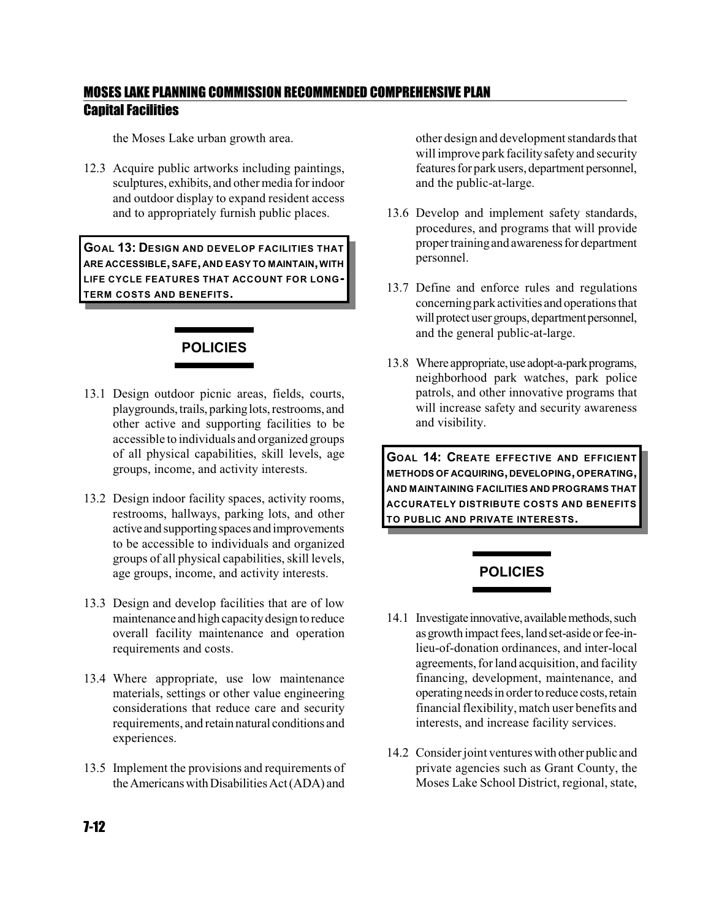the Moses Lake urban growth area.

12.3 Acquire public artworks including paintings, sculptures, exhibits, and other media for indoor and outdoor display to expand resident access and to appropriately furnish public places.

**GOAL 13: DESIGN AND DEVELOP FACILITIES THAT ARE ACCESSIBLE,SAFE, AND EASY TO MAINTAIN,WITH LIFE CYCLE FEATURES THAT ACCOUNT FOR LONG-TERM COSTS AND BENEFITS.**

### **POLICIES**

- 13.1 Design outdoor picnic areas, fields, courts, playgrounds, trails, parking lots, restrooms, and other active and supporting facilities to be accessible to individuals and organized groups of all physical capabilities, skill levels, age groups, income, and activity interests.
- 13.2 Design indoor facility spaces, activity rooms, restrooms, hallways, parking lots, and other active and supportingspaces and improvements to be accessible to individuals and organized groups of all physical capabilities, skill levels, age groups, income, and activity interests.
- 13.3 Design and develop facilities that are of low maintenance and high capacitydesign to reduce overall facility maintenance and operation requirements and costs.
- 13.4 Where appropriate, use low maintenance materials, settings or other value engineering considerations that reduce care and security requirements, and retain natural conditions and experiences.
- 13.5 Implement the provisions and requirements of the Americans with Disabilities Act(ADA) and

other design and development standards that will improve park facility safety and security features for park users, department personnel, and the public-at-large.

- 13.6 Develop and implement safety standards, procedures, and programs that will provide propertrainingand awareness for department personnel.
- 13.7 Define and enforce rules and regulations concerningparkactivities and operations that will protect user groups, department personnel, and the general public-at-large.
- 13.8 Where appropriate, use adopt-a-park programs, neighborhood park watches, park police patrols, and other innovative programs that will increase safety and security awareness and visibility.

**GOAL 14: CREATE EFFECTIVE AND EFFICIENT METHODS OF ACQUIRING,DEVELOPING,OPERATING, AND MAINTAINING FACILITIES AND PROGRAMS THAT ACCURATELY DISTRIBUTE COSTS AND BENEFITS TO PUBLIC AND PRIVATE INTERESTS.**

### **POLICIES**

- 14.1 Investigate innovative, available methods, such as growth impact fees, land set-aside or fee-inlieu-of-donation ordinances, and inter-local agreements, for land acquisition, and facility financing, development, maintenance, and operating needs in order to reduce costs, retain financial flexibility, match user benefits and interests, and increase facility services.
- 14.2 Considerjoint ventures with other public and private agencies such as Grant County, the Moses Lake School District, regional, state,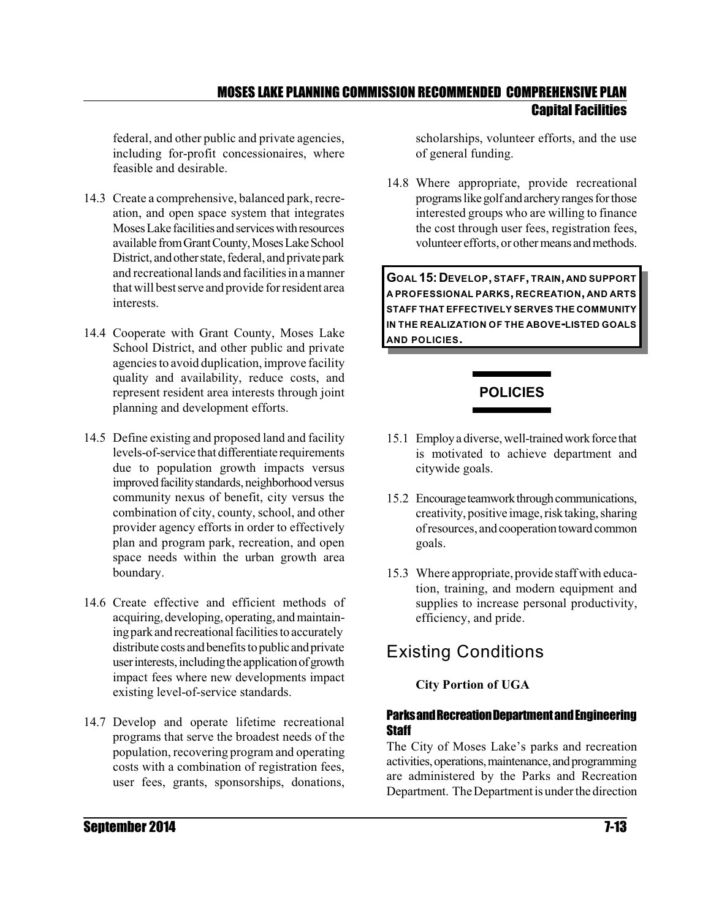federal, and other public and private agencies, including for-profit concessionaires, where feasible and desirable.

- 14.3 Create a comprehensive, balanced park, recreation, and open space system that integrates Moses Lake facilities and services with resources available from Grant County, Moses Lake School District, and other state, federal, and private park and recreationallands and facilitiesin a manner that will bestserve and provide for resident area interests.
- 14.4 Cooperate with Grant County, Moses Lake School District, and other public and private agencies to avoid duplication, improve facility quality and availability, reduce costs, and represent resident area interests through joint planning and development efforts.
- 14.5 Define existing and proposed land and facility levels-of-service that differentiate requirements due to population growth impacts versus improved facility standards, neighborhood versus community nexus of benefit, city versus the combination of city, county, school, and other provider agency efforts in order to effectively plan and program park, recreation, and open space needs within the urban growth area boundary.
- 14.6 Create effective and efficient methods of acquiring, developing, operating, and maintaining park and recreational facilities to accurately distribute costs and benefits to public and private user interests, including the application of growth impact fees where new developments impact existing level-of-service standards.
- 14.7 Develop and operate lifetime recreational programs that serve the broadest needs of the population, recovering program and operating costs with a combination of registration fees, user fees, grants, sponsorships, donations,

scholarships, volunteer efforts, and the use of general funding.

14.8 Where appropriate, provide recreational programs like golf and archery ranges for those interested groups who are willing to finance the cost through user fees, registration fees, volunteer efforts, or other means and methods.

**GOAL 15:DEVELOP, STAFF, TRAIN, AND SUPPORT A PROFESSIONAL PARKS, RECREATION, AND ARTS STAFF THAT EFFECTIVELY SERVES THE COMMUNITY IN THE REALIZATION OF THE ABOVE-LISTED GOALS AND POLICIES.**

#### **POLICIES**

- 15.1 Employ a diverse, well-trained work force that is motivated to achieve department and citywide goals.
- 15.2 Encourage teamwork through communications, creativity, positive image, risk taking, sharing of resources, and cooperation toward common goals.
- 15.3 Where appropriate, provide staff with education, training, and modern equipment and supplies to increase personal productivity, efficiency, and pride.

# Existing Conditions

#### **City Portion of UGA**

#### Parks and Recreation Department and Engineering **Staff**

The City of Moses Lake's parks and recreation activities, operations, maintenance, and programming are administered by the Parks and Recreation Department. The Department is under the direction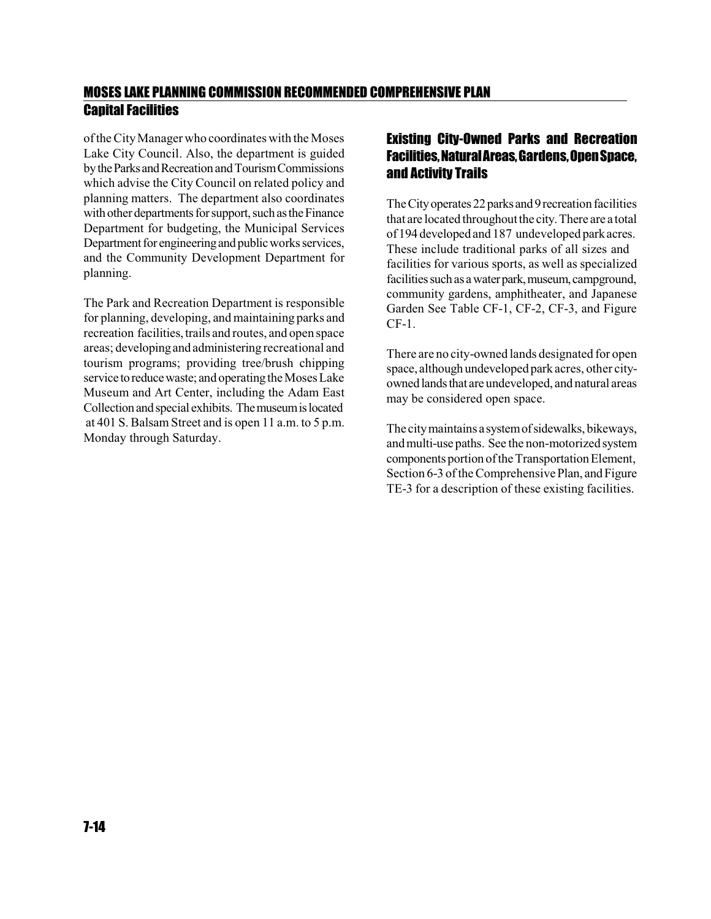of theCity Manager who coordinates with the Moses Lake City Council. Also, the department is guided by the Parks and Recreation and Tourism Commissions which advise the City Council on related policy and planning matters. The department also coordinates with other departments for support, such as the Finance Department for budgeting, the Municipal Services Department for engineering and public works services, and the Community Development Department for planning.

The Park and Recreation Department is responsible for planning, developing, and maintaining parks and recreation facilities, trails and routes, and open space areas; developingand administering recreational and tourism programs; providing tree/brush chipping service to reduce waste; and operating the Moses Lake Museum and Art Center, including the Adam East Collection and special exhibits. The museum is located at 401 S. Balsam Street and is open 11 a.m. to 5 p.m. Monday through Saturday.

#### Existing City-Owned Parks and Recreation Facilities, NaturalAreas, Gardens,OpenSpace, and Activity Trails

The City operates 22 parks and 9 recreation facilities that are located throughout the city. There are a total of 194 developedand 187 undeveloped parkacres. These include traditional parks of all sizes and facilities for various sports, as well as specialized facilities such as a water park, museum, campground, community gardens, amphitheater, and Japanese Garden See Table CF-1, CF-2, CF-3, and Figure CF-1.

There are no city-owned lands designated for open space, although undeveloped park acres, other cityowned lands that are undeveloped, and natural areas may be considered open space.

The citymaintains a systemofsidewalks, bikeways, and multi-use paths. See the non-motorized system components portion ofthe Transportation Element, Section 6-3 of the Comprehensive Plan, and Figure TE-3 for a description of these existing facilities.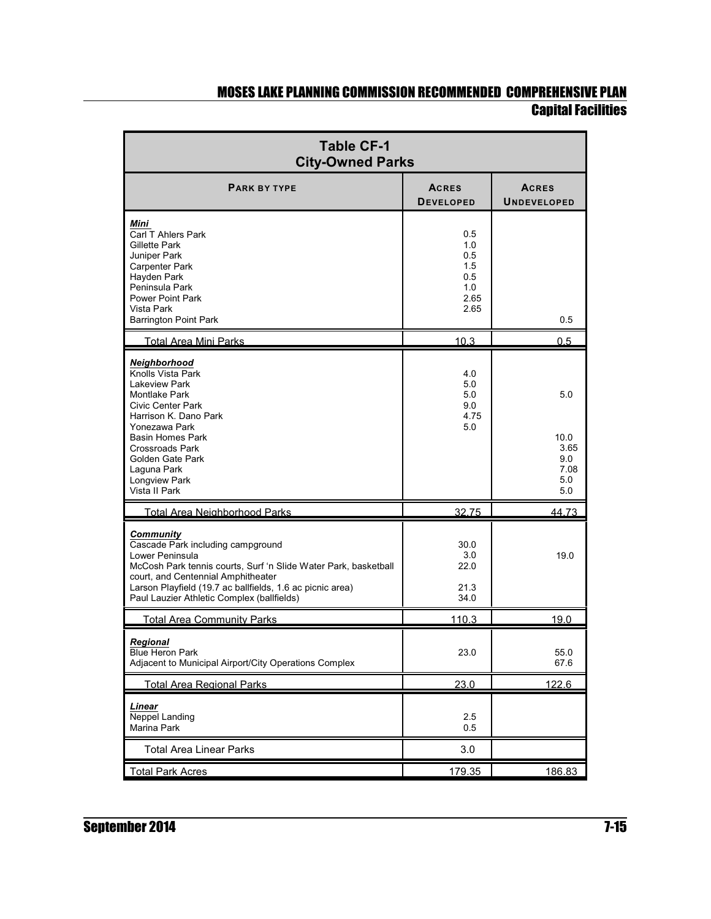L,

| <b>Table CF-1</b><br><b>City-Owned Parks</b>                                                                                                                                                                                                                                                 |                                                        |                                                  |  |  |  |  |  |  |
|----------------------------------------------------------------------------------------------------------------------------------------------------------------------------------------------------------------------------------------------------------------------------------------------|--------------------------------------------------------|--------------------------------------------------|--|--|--|--|--|--|
| <b>PARK BY TYPE</b>                                                                                                                                                                                                                                                                          | <b>ACRES</b><br><b>DEVELOPED</b>                       | <b>ACRES</b><br><b>UNDEVELOPED</b>               |  |  |  |  |  |  |
| Mini<br>Carl T Ahlers Park<br>Gillette Park<br>Juniper Park<br><b>Carpenter Park</b><br>Hayden Park<br>Peninsula Park<br><b>Power Point Park</b><br>Vista Park<br><b>Barrington Point Park</b>                                                                                               | 0.5<br>1.0<br>0.5<br>1.5<br>0.5<br>1.0<br>2.65<br>2.65 | 0.5                                              |  |  |  |  |  |  |
| <b>Total Area Mini Parks</b>                                                                                                                                                                                                                                                                 | 10.3                                                   | 0.5                                              |  |  |  |  |  |  |
| Neighborhood<br>Knolls Vista Park<br><b>Lakeview Park</b><br><b>Montlake Park</b><br><b>Civic Center Park</b><br>Harrison K. Dano Park<br>Yonezawa Park<br><b>Basin Homes Park</b><br><b>Crossroads Park</b><br>Golden Gate Park<br>Laguna Park<br><b>Longview Park</b><br>Vista II Park     | 4.0<br>5.0<br>5.0<br>9.0<br>4.75<br>5.0                | 5.0<br>10.0<br>3.65<br>9.0<br>7.08<br>5.0<br>5.0 |  |  |  |  |  |  |
| <b>Total Area Neighborhood Parks</b>                                                                                                                                                                                                                                                         | 32.75                                                  | 44.73                                            |  |  |  |  |  |  |
| <b>Community</b><br>Cascade Park including campground<br>Lower Peninsula<br>McCosh Park tennis courts, Surf 'n Slide Water Park, basketball<br>court, and Centennial Amphitheater<br>Larson Playfield (19.7 ac ballfields, 1.6 ac picnic area)<br>Paul Lauzier Athletic Complex (ballfields) | 30.0<br>3.0<br>22.0<br>21.3<br>34.0                    | 19.0                                             |  |  |  |  |  |  |
| <b>Total Area Community Parks</b>                                                                                                                                                                                                                                                            | 110.3                                                  | 19.0                                             |  |  |  |  |  |  |
| Regional<br><b>Blue Heron Park</b><br>Adjacent to Municipal Airport/City Operations Complex                                                                                                                                                                                                  | 23.0                                                   | 55.0<br>67.6                                     |  |  |  |  |  |  |
| <b>Total Area Regional Parks</b>                                                                                                                                                                                                                                                             | 23.0                                                   | 122.6                                            |  |  |  |  |  |  |
| Linear<br><b>Neppel Landing</b><br>Marina Park                                                                                                                                                                                                                                               | 2.5<br>0.5                                             |                                                  |  |  |  |  |  |  |
| <b>Total Area Linear Parks</b>                                                                                                                                                                                                                                                               | 3.0                                                    |                                                  |  |  |  |  |  |  |
| <b>Total Park Acres</b>                                                                                                                                                                                                                                                                      | 179.35                                                 | 186.83                                           |  |  |  |  |  |  |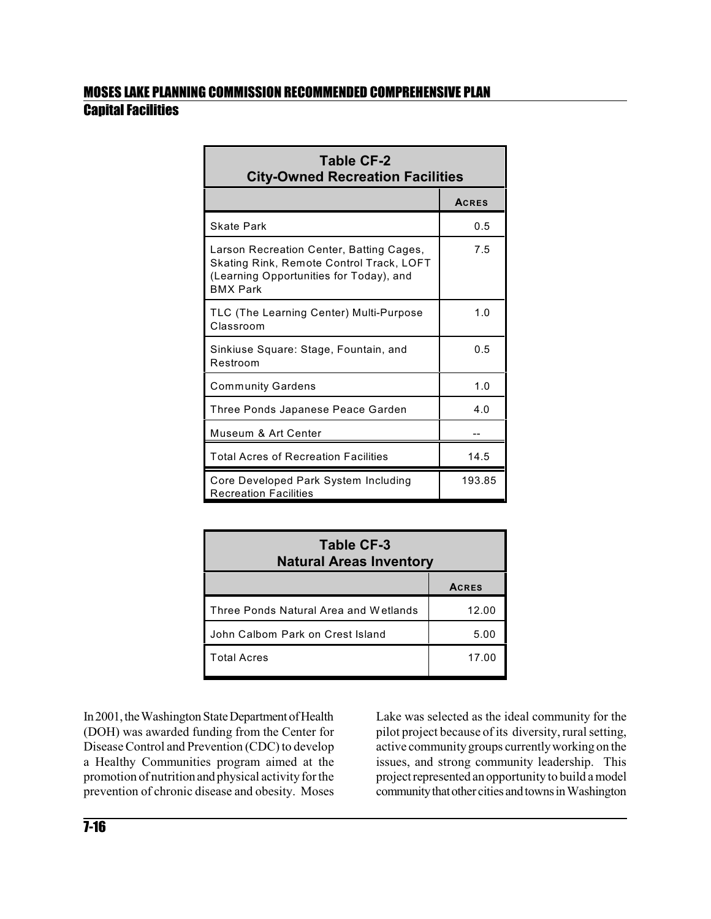| <b>Table CF-2</b><br><b>City-Owned Recreation Facilities</b>                                                                                       |              |  |  |  |  |  |  |
|----------------------------------------------------------------------------------------------------------------------------------------------------|--------------|--|--|--|--|--|--|
|                                                                                                                                                    | <b>ACRES</b> |  |  |  |  |  |  |
| <b>Skate Park</b>                                                                                                                                  | 0.5          |  |  |  |  |  |  |
| Larson Recreation Center, Batting Cages,<br>Skating Rink, Remote Control Track, LOFT<br>(Learning Opportunities for Today), and<br><b>BMX Park</b> | 7.5          |  |  |  |  |  |  |
| TLC (The Learning Center) Multi-Purpose<br>Classroom                                                                                               | 1.0          |  |  |  |  |  |  |
| Sinkiuse Square: Stage, Fountain, and<br>Restroom                                                                                                  | 0.5          |  |  |  |  |  |  |
| <b>Community Gardens</b>                                                                                                                           | 1.0          |  |  |  |  |  |  |
| Three Ponds Japanese Peace Garden                                                                                                                  | 4.0          |  |  |  |  |  |  |
| Museum & Art Center                                                                                                                                |              |  |  |  |  |  |  |
| <b>Total Acres of Recreation Facilities</b>                                                                                                        | 14.5         |  |  |  |  |  |  |
| Core Developed Park System Including<br><b>Recreation Facilities</b>                                                                               | 193.85       |  |  |  |  |  |  |

| <b>Table CF-3</b><br><b>Natural Areas Inventory</b> |              |  |  |  |  |  |
|-----------------------------------------------------|--------------|--|--|--|--|--|
|                                                     | <b>ACRES</b> |  |  |  |  |  |
| Three Ponds Natural Area and Wetlands               | 12.00        |  |  |  |  |  |
| John Calbom Park on Crest Island                    | 5.00         |  |  |  |  |  |
| <b>Total Acres</b>                                  | 17.00        |  |  |  |  |  |

In 2001, the Washington State Department of Health (DOH) was awarded funding from the Center for Disease Control and Prevention (CDC) to develop a Healthy Communities program aimed at the promotion of nutritionand physical activity forthe prevention of chronic disease and obesity. Moses

Lake was selected as the ideal community for the pilot project because of its diversity, rural setting, active community groups currentlyworking on the issues, and strong community leadership. This project represented an opportunity to build a model community that other cities and towns in Washington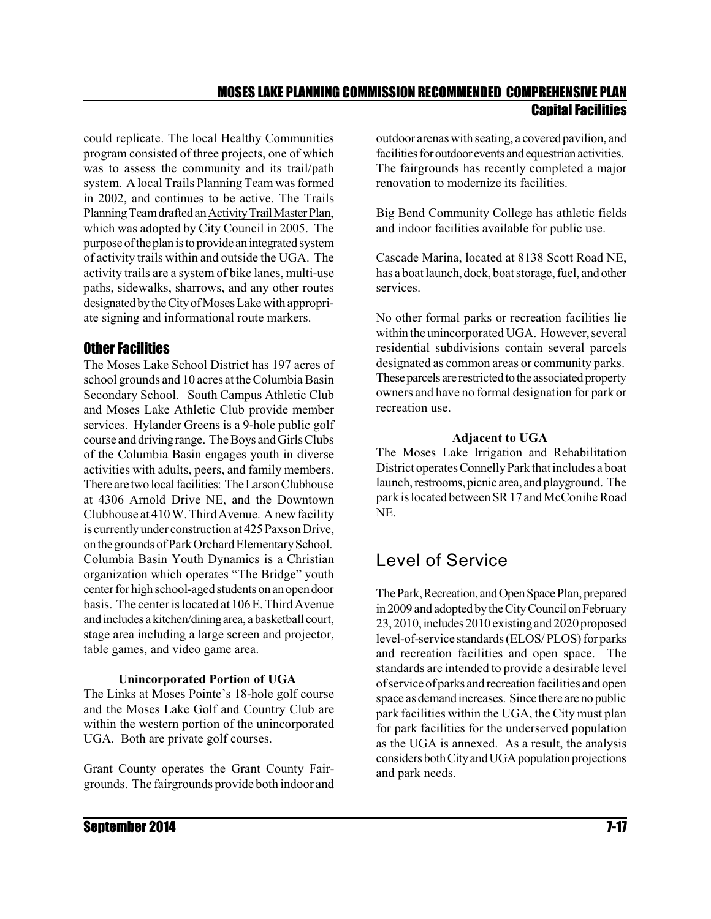could replicate. The local Healthy Communities program consisted of three projects, one of which was to assess the community and its trail/path system. A local Trails Planning Team was formed in 2002, and continues to be active. The Trails Planning Team drafted an Activity Trail Master Plan, which was adopted by City Council in 2005. The purpose of the plan is to provide an integrated system of activity trails within and outside the UGA. The activity trails are a system of bike lanes, multi-use paths, sidewalks, sharrows, and any other routes designated by the City of Moses Lake with appropriate signing and informational route markers.

#### Other Facilities

The Moses Lake School District has 197 acres of school grounds and 10 acres at the Columbia Basin Secondary School. South Campus Athletic Club and Moses Lake Athletic Club provide member services. Hylander Greens is a 9-hole public golf course and drivingrange. TheBoys and GirlsClubs of the Columbia Basin engages youth in diverse activities with adults, peers, and family members. There are two local facilities: The Larson Clubhouse at 4306 Arnold Drive NE, and the Downtown Clubhouse at 410 W.ThirdAvenue. Anewfacility is currentlyunder construction at 425 Paxson Drive, on the grounds of Park Orchard Elementary School. Columbia Basin Youth Dynamics is a Christian organization which operates "The Bridge" youth center for high school-aged students on an open door basis. The center islocated at 106 E.ThirdAvenue andincludes akitchen/diningarea, abasketball court, stage area including a large screen and projector, table games, and video game area.

#### **Unincorporated Portion of UGA**

The Links at Moses Pointe's 18-hole golf course and the Moses Lake Golf and Country Club are within the western portion of the unincorporated UGA. Both are private golf courses.

Grant County operates the Grant County Fairgrounds. The fairgrounds provide both indoor and outdoor arenas with seating, a covered pavilion, and facilities for outdoor events and equestrian activities. The fairgrounds has recently completed a major renovation to modernize its facilities.

Big Bend Community College has athletic fields and indoor facilities available for public use.

Cascade Marina, located at 8138 Scott Road NE, has a boat launch, dock, boat storage, fuel, and other services.

No other formal parks or recreation facilities lie within the unincorporated UGA. However, several residential subdivisions contain several parcels designated as common areas or community parks. These parcels are restricted to the associated property owners and have no formal designation for park or recreation use.

#### **Adjacent to UGA**

The Moses Lake Irrigation and Rehabilitation District operates Connelly Park that includes a boat launch, restrooms, picnic area, and playground. The park islocated between SR17 and McConihe Road NE.

# Level of Service

The Park, Recreation, and Open Space Plan, prepared in 2009 and adopted by the City Council on February 23, 2010, includes 2010 existing and 2020 proposed level-of-service standards (ELOS/ PLOS) for parks and recreation facilities and open space. The standards are intended to provide a desirable level of service of parks and recreation facilities and open space as demand increases. Since there are no public park facilities within the UGA, the City must plan for park facilities for the underserved population as the UGA is annexed. As a result, the analysis considers both City and UGA population projections and park needs.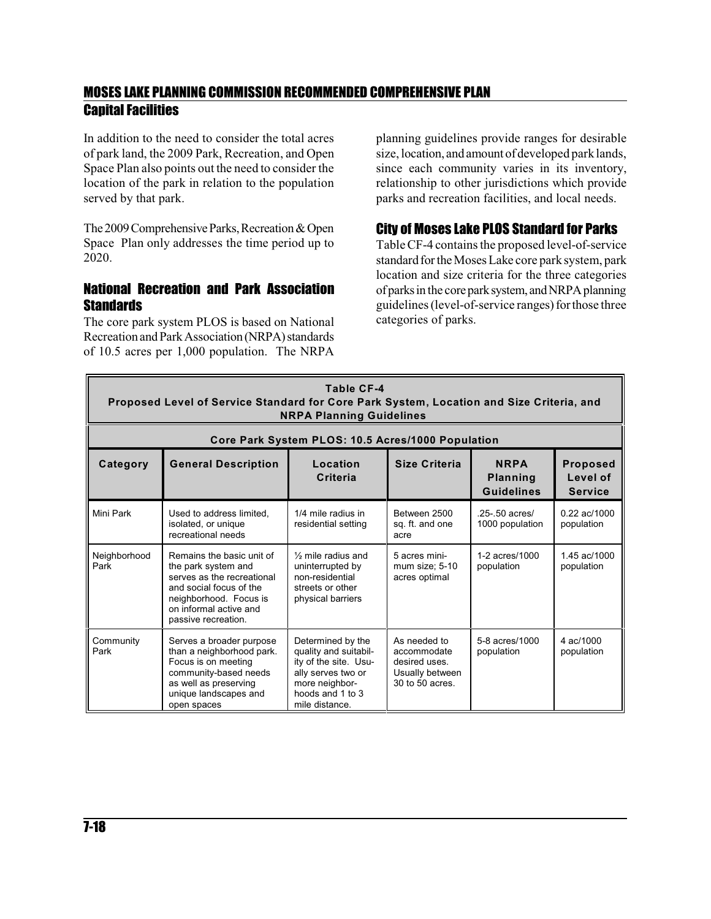In addition to the need to consider the total acres of park land, the 2009 Park, Recreation, and Open Space Plan also points out the need to consider the location of the park in relation to the population served by that park.

The 2009 Comprehensive Parks, Recreation & Open Space Plan only addresses the time period up to 2020.

#### National Recreation and Park Association **Standards**

The core park system PLOS is based on National Recreation and Park Association (NRPA) standards of 10.5 acres per 1,000 population. The NRPA

planning guidelines provide ranges for desirable size, location, and amount of developed park lands, since each community varies in its inventory, relationship to other jurisdictions which provide parks and recreation facilities, and local needs.

#### City of Moses Lake PLOS Standard for Parks

Table CF-4 contains the proposed level-of-service standard for the Moses Lake core park system, park location and size criteria for the three categories of parks in the core park system, and NRPA planning guidelines (level-of-service ranges) for those three categories of parks.

| Table CF-4<br>Proposed Level of Service Standard for Core Park System, Location and Size Criteria, and<br><b>NRPA Planning Guidelines</b> |                                                                                                                                                                                      |                                                                                                                                                   |                                                                                    |                                                     |                                               |  |  |  |  |
|-------------------------------------------------------------------------------------------------------------------------------------------|--------------------------------------------------------------------------------------------------------------------------------------------------------------------------------------|---------------------------------------------------------------------------------------------------------------------------------------------------|------------------------------------------------------------------------------------|-----------------------------------------------------|-----------------------------------------------|--|--|--|--|
|                                                                                                                                           |                                                                                                                                                                                      | Core Park System PLOS: 10.5 Acres/1000 Population                                                                                                 |                                                                                    |                                                     |                                               |  |  |  |  |
| Category                                                                                                                                  | <b>General Description</b>                                                                                                                                                           | Location<br>Criteria                                                                                                                              | Size Criteria                                                                      | <b>NRPA</b><br><b>Planning</b><br><b>Guidelines</b> | <b>Proposed</b><br>Level of<br><b>Service</b> |  |  |  |  |
| Mini Park                                                                                                                                 | Used to address limited.<br>isolated, or unique<br>recreational needs                                                                                                                | 1/4 mile radius in<br>residential setting                                                                                                         | Between 2500<br>sq. ft. and one<br>acre                                            | $.25 - .50$ acres/<br>1000 population               | $0.22$ ac/1000<br>population                  |  |  |  |  |
| Neighborhood<br>Park                                                                                                                      | Remains the basic unit of<br>the park system and<br>serves as the recreational<br>and social focus of the<br>neighborhood. Focus is<br>on informal active and<br>passive recreation. | 1/ <sub>2</sub> mile radius and<br>uninterrupted by<br>non-residential<br>streets or other<br>physical barriers                                   | 5 acres mini-<br>mum size; 5-10<br>acres optimal                                   | 1-2 acres/1000<br>population                        | 1.45 ac/1000<br>population                    |  |  |  |  |
| Community<br>Park                                                                                                                         | Serves a broader purpose<br>than a neighborhood park.<br>Focus is on meeting<br>community-based needs<br>as well as preserving<br>unique landscapes and<br>open spaces               | Determined by the<br>quality and suitabil-<br>ity of the site. Usu-<br>ally serves two or<br>more neighbor-<br>hoods and 1 to 3<br>mile distance. | As needed to<br>accommodate<br>desired uses.<br>Usually between<br>30 to 50 acres. | 5-8 acres/1000<br>population                        | 4 ac/1000<br>population                       |  |  |  |  |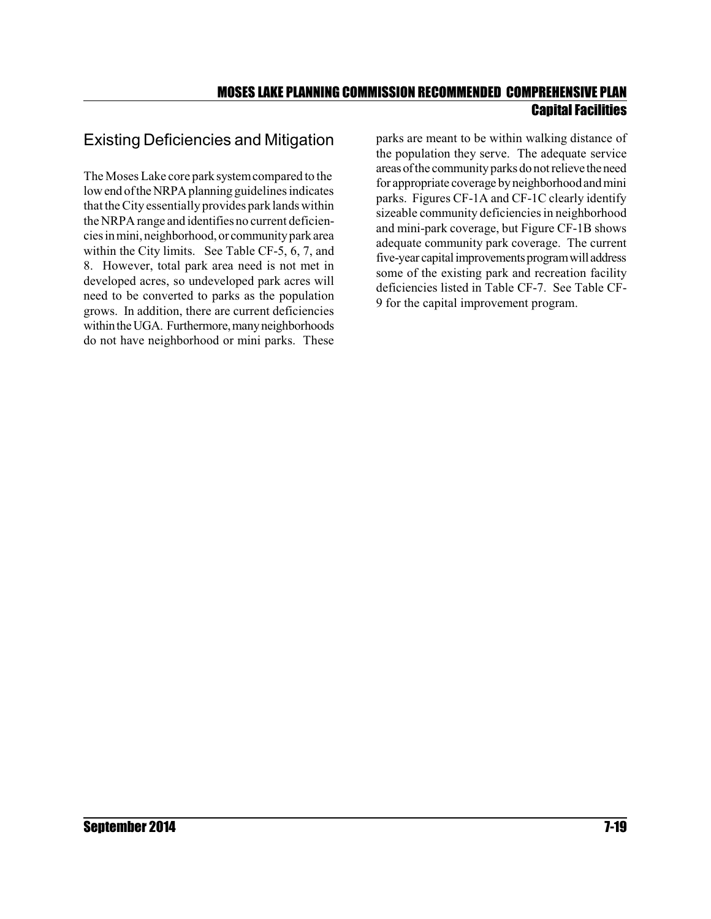### Existing Deficiencies and Mitigation

The Moses Lake core parksystemcompared to the low end of the NRPA planning guidelines indicates that theCity essentially provides park lands within the NRPA range and identifies no current deficienciesinmini, neighborhood, or communityparkarea within the City limits. See Table CF-5, 6, 7, and 8. However, total park area need is not met in developed acres, so undeveloped park acres will need to be converted to parks as the population grows. In addition, there are current deficiencies within the UGA. Furthermore, many neighborhoods do not have neighborhood or mini parks. These

parks are meant to be within walking distance of the population they serve. The adequate service areas of the community parks do not relieve the need for appropriate coverage byneighborhoodand mini parks. Figures CF-1A and CF-1C clearly identify sizeable community deficiencies in neighborhood and mini-park coverage, but Figure CF-1B shows adequate community park coverage. The current five-year capital improvements program will address some of the existing park and recreation facility deficiencies listed in Table CF-7. See Table CF-9 for the capital improvement program.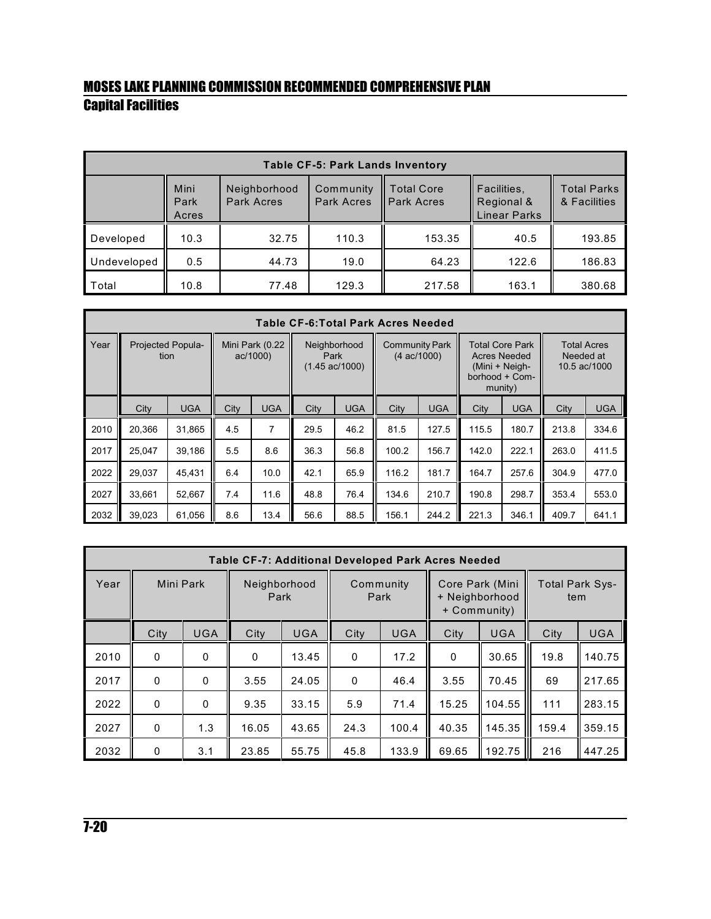| <b>Table CF-5: Park Lands Inventory</b> |                       |                            |                         |                                 |                                                  |                                    |  |  |  |  |  |
|-----------------------------------------|-----------------------|----------------------------|-------------------------|---------------------------------|--------------------------------------------------|------------------------------------|--|--|--|--|--|
|                                         | Mini<br>Park<br>Acres | Neighborhood<br>Park Acres | Community<br>Park Acres | Total Core<br><b>Park Acres</b> | Facilities,<br>Regional &<br><b>Linear Parks</b> | <b>Total Parks</b><br>& Facilities |  |  |  |  |  |
| Developed                               | 10.3                  | 32.75                      | 110.3                   | 153.35                          | 40.5                                             | 193.85                             |  |  |  |  |  |
| Undeveloped                             | 0.5                   | 44.73                      | 19.0                    | 64.23                           | 122.6                                            | 186.83                             |  |  |  |  |  |
| Total                                   | 10.8                  | 77.48                      | 129.3                   | 217.58                          | 163.1                                            | 380.68                             |  |  |  |  |  |

|      | <b>Table CF-6: Total Park Acres Needed</b> |                           |      |                            |                                                  |            |       |            |       |            |       |            |                                                |  |  |                                                                                              |           |                                    |
|------|--------------------------------------------|---------------------------|------|----------------------------|--------------------------------------------------|------------|-------|------------|-------|------------|-------|------------|------------------------------------------------|--|--|----------------------------------------------------------------------------------------------|-----------|------------------------------------|
| Year |                                            | Projected Popula-<br>tion |      | Mini Park (0.22<br>ac/1000 | Neighborhood<br>Park<br>$(1.45 \text{ ac}/1000)$ |            |       |            |       |            |       |            | <b>Community Park</b><br>$(4 \text{ ac}/1000)$ |  |  | <b>Total Core Park</b><br><b>Acres Needed</b><br>(Mini + Neigh-<br>borhood + Com-<br>munity) | Needed at | <b>Total Acres</b><br>10.5 ac/1000 |
|      | City                                       | <b>UGA</b>                | City | <b>UGA</b>                 | City                                             | <b>UGA</b> | City  | <b>UGA</b> | City  | <b>UGA</b> | City  | <b>UGA</b> |                                                |  |  |                                                                                              |           |                                    |
| 2010 | 20.366                                     | 31,865                    | 4.5  | $\overline{7}$             | 29.5                                             | 46.2       | 81.5  | 127.5      | 115.5 | 180.7      | 213.8 | 334.6      |                                                |  |  |                                                                                              |           |                                    |
| 2017 | 25,047                                     | 39,186                    | 5.5  | 8.6                        | 36.3                                             | 56.8       | 100.2 | 156.7      | 142.0 | 222.1      | 263.0 | 411.5      |                                                |  |  |                                                                                              |           |                                    |
| 2022 | 29,037                                     | 45,431                    | 6.4  | 10.0                       | 42.1                                             | 65.9       | 116.2 | 181.7      | 164.7 | 257.6      | 304.9 | 477.0      |                                                |  |  |                                                                                              |           |                                    |
| 2027 | 33.661                                     | 52.667                    | 7.4  | 11.6                       | 48.8                                             | 76.4       | 134.6 | 210.7      | 190.8 | 298.7      | 353.4 | 553.0      |                                                |  |  |                                                                                              |           |                                    |
| 2032 | 39,023                                     | 61,056                    | 8.6  | 13.4                       | 56.6                                             | 88.5       | 156.1 | 244.2      | 221.3 | 346.1      | 409.7 | 641.1      |                                                |  |  |                                                                                              |           |                                    |

|      | <b>Table CF-7: Additional Developed Park Acres Needed</b> |            |                      |            |                   |            |                                                   |            |                               |            |  |  |
|------|-----------------------------------------------------------|------------|----------------------|------------|-------------------|------------|---------------------------------------------------|------------|-------------------------------|------------|--|--|
| Year | Mini Park                                                 |            | Neighborhood<br>Park |            | Community<br>Park |            | Core Park (Mini<br>+ Neighborhood<br>+ Community) |            | <b>Total Park Sys-</b><br>tem |            |  |  |
|      | City                                                      | <b>UGA</b> | City                 | <b>UGA</b> | City              | <b>UGA</b> | City                                              | <b>UGA</b> | City                          | <b>UGA</b> |  |  |
| 2010 | 0                                                         | 0          | $\mathbf{0}$         | 13.45      | $\mathbf 0$       | 17.2       | 0                                                 | 30.65      | 19.8                          | 140.75     |  |  |
| 2017 | $\mathbf{0}$                                              | $\Omega$   | 3.55                 | 24.05      | $\Omega$          | 46.4       | 3.55                                              | 70.45      | 69                            | 217.65     |  |  |
| 2022 | $\mathbf{0}$                                              | $\Omega$   | 9.35                 | 33.15      | 5.9               | 71.4       | 15.25                                             | 104.55     | 111                           | 283.15     |  |  |
| 2027 | $\mathbf{0}$                                              | 1.3        | 16.05                | 43.65      | 24.3              | 100.4      | 40.35                                             | 145.35     | 159.4                         | 359.15     |  |  |
| 2032 | 0                                                         | 3.1        | 23.85                | 55.75      | 45.8              | 133.9      | 69.65                                             | 192.75     | 216                           | 447.25     |  |  |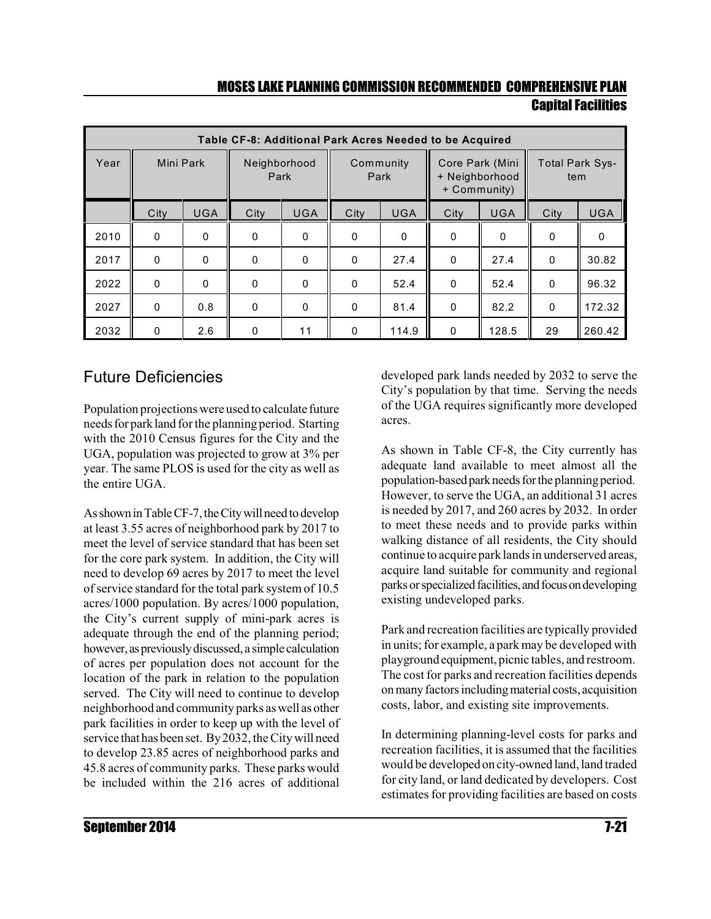|      | Table CF-8: Additional Park Acres Needed to be Acquired |            |                      |             |                                                                                                         |            |              |            |          |            |  |  |
|------|---------------------------------------------------------|------------|----------------------|-------------|---------------------------------------------------------------------------------------------------------|------------|--------------|------------|----------|------------|--|--|
| Year | Mini Park                                               |            | Neighborhood<br>Park |             | Core Park (Mini<br><b>Total Park Sys-</b><br>Community<br>+ Neighborhood<br>Park<br>tem<br>+ Community) |            |              |            |          |            |  |  |
|      | City                                                    | <b>UGA</b> | City                 | <b>UGA</b>  | City                                                                                                    | <b>UGA</b> | City         | <b>UGA</b> | City     | <b>UGA</b> |  |  |
| 2010 | $\mathbf{0}$                                            | 0          | $\mathbf{0}$         | 0           | $\mathbf{0}$                                                                                            | 0          | 0            | 0          | 0        | 0          |  |  |
| 2017 | $\mathbf{0}$                                            | $\Omega$   | $\mathbf{0}$         | $\mathbf 0$ | $\mathbf{0}$                                                                                            | 27.4       | $\Omega$     | 27.4       | $\Omega$ | 30.82      |  |  |
| 2022 | $\mathbf{0}$                                            | $\Omega$   | $\Omega$             | $\mathbf 0$ | $\mathbf{0}$                                                                                            | 52.4       | $\Omega$     | 52.4       | $\Omega$ | 96.32      |  |  |
| 2027 | $\mathbf{0}$                                            | 0.8        | $\Omega$             | $\mathbf 0$ | 0                                                                                                       | 81.4       | $\Omega$     | 82.2       | 0        | 172.32     |  |  |
| 2032 | 0                                                       | 2.6        | 0                    | 11          | 0                                                                                                       | 114.9      | $\mathbf{0}$ | 128.5      | 29       | 260.42     |  |  |

### Future Deficiencies

Population projections were used to calculate future needsfor parkland forthe planning period. Starting with the 2010 Census figures for the City and the UGA, population was projected to grow at 3% per year. The same PLOS is used for the city as well as the entire UGA.

As shown in Table CF-7, the City will need to develop at least 3.55 acres of neighborhood park by 2017 to meet the level of service standard that has been set for the core park system. In addition, the City will need to develop 69 acres by 2017 to meet the level of service standard for the total park system of 10.5 acres/1000 population. By acres/1000 population, the City's current supply of mini-park acres is adequate through the end of the planning period; however, as previously discussed, a simple calculation of acres per population does not account for the location of the park in relation to the population served. The City will need to continue to develop neighborhood and community parks aswell as other park facilities in order to keep up with the level of service that has been set. By2032, theCity will need to develop 23.85 acres of neighborhood parks and 45.8 acres of community parks. These parks would be included within the 216 acres of additional developed park lands needed by 2032 to serve the City's population by that time. Serving the needs of the UGA requires significantly more developed acres.

As shown in Table CF-8, the City currently has adequate land available to meet almost all the population-based park needs for the planning period. However, to serve the UGA, an additional 31 acres is needed by 2017, and 260 acres by 2032. In order to meet these needs and to provide parks within walking distance of all residents, the City should continue to acquire park lands in underserved areas, acquire land suitable for community and regional parks or specialized facilities, and focus on developing existing undeveloped parks.

Park and recreation facilities are typically provided in units; for example, a park may be developed with playgroundequipment, picnic tables, and restroom. The cost for parks and recreation facilities depends onmanyfactors includingmaterial costs, acquisition costs, labor, and existing site improvements.

In determining planning-level costs for parks and recreation facilities, it is assumed that the facilities would be developed on city-owned land, land traded for city land, or land dedicated by developers. Cost estimates for providing facilities are based on costs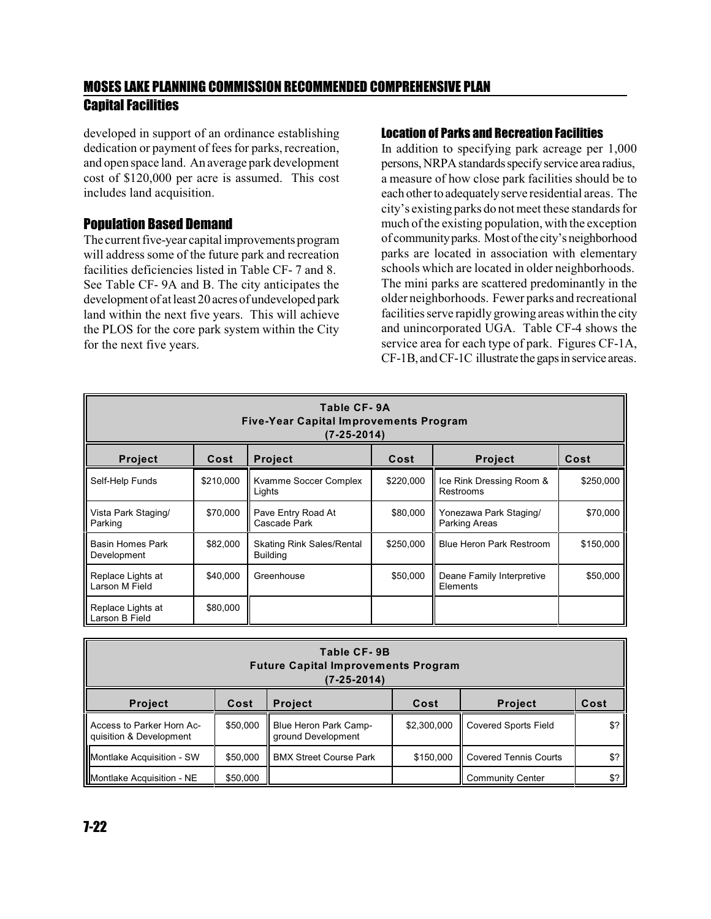developed in support of an ordinance establishing dedication or payment of fees for parks, recreation, and open space land. An average park development cost of \$120,000 per acre is assumed. This cost includes land acquisition.

#### Population Based Demand

The current five-year capital improvements program will address some of the future park and recreation facilities deficiencies listed in Table CF- 7 and 8. See Table CF- 9A and B. The city anticipates the development of atleast 20 acres of undeveloped park land within the next five years. This will achieve the PLOS for the core park system within the City for the next five years.

#### Location of Parks and Recreation Facilities

In addition to specifying park acreage per 1,000 persons, NRPA standards specify service area radius, a measure of how close park facilities should be to each other to adequatelyserve residential areas. The city's existing parks do notmeet these standards for much of the existing population, with the exception of communityparks. Most ofthe city'sneighborhood parks are located in association with elementary schools which are located in older neighborhoods. The mini parks are scattered predominantly in the older neighborhoods. Fewer parks and recreational facilities serve rapidly growing areas within the city and unincorporated UGA. Table CF-4 shows the service area for each type of park. Figures CF-1A, CF-1B, and CF-1C illustrate the gaps in service areas.

| Table CF-9A<br><b>Five-Year Capital Improvements Program</b><br>(7-25-2014) |           |                                                     |           |                                         |           |  |  |  |  |
|-----------------------------------------------------------------------------|-----------|-----------------------------------------------------|-----------|-----------------------------------------|-----------|--|--|--|--|
| Project                                                                     | Cost      | <b>Project</b>                                      | Cost      | <b>Project</b>                          | Cost      |  |  |  |  |
| Self-Help Funds                                                             | \$210,000 | Kvamme Soccer Complex<br>Lights                     | \$220,000 | Ice Rink Dressing Room &<br>Restrooms   | \$250,000 |  |  |  |  |
| Vista Park Staging/<br>Parking                                              | \$70,000  | Pave Entry Road At<br>Cascade Park                  | \$80,000  | Yonezawa Park Staging/<br>Parking Areas | \$70,000  |  |  |  |  |
| Basin Homes Park<br>Development                                             | \$82,000  | <b>Skating Rink Sales/Rental</b><br><b>Building</b> | \$250,000 | <b>Blue Heron Park Restroom</b>         | \$150,000 |  |  |  |  |
| Replace Lights at<br>Larson M Field                                         | \$40,000  | Greenhouse                                          | \$50,000  | Deane Family Interpretive<br>Elements   | \$50,000  |  |  |  |  |
| Replace Lights at<br>Larson B Field                                         | \$80,000  |                                                     |           |                                         |           |  |  |  |  |

| Table CF-9B<br><b>Future Capital Improvements Program</b><br>(7-25-2014)   |          |                                             |             |                              |             |  |  |  |  |
|----------------------------------------------------------------------------|----------|---------------------------------------------|-------------|------------------------------|-------------|--|--|--|--|
| Cost<br><b>Project</b><br><b>Project</b><br>Cost<br>Cost<br><b>Project</b> |          |                                             |             |                              |             |  |  |  |  |
| Access to Parker Horn Ac-<br>quisition & Development                       | \$50,000 | Blue Heron Park Camp-<br>ground Development | \$2,300,000 | <b>Covered Sports Field</b>  | \$?         |  |  |  |  |
| Montlake Acquisition - SW                                                  | \$50,000 | <b>BMX Street Course Park</b>               | \$150,000   | <b>Covered Tennis Courts</b> | $$^{\circ}$ |  |  |  |  |
| Montlake Acquisition - NE                                                  | \$50,000 |                                             |             | <b>Community Center</b>      | \$?         |  |  |  |  |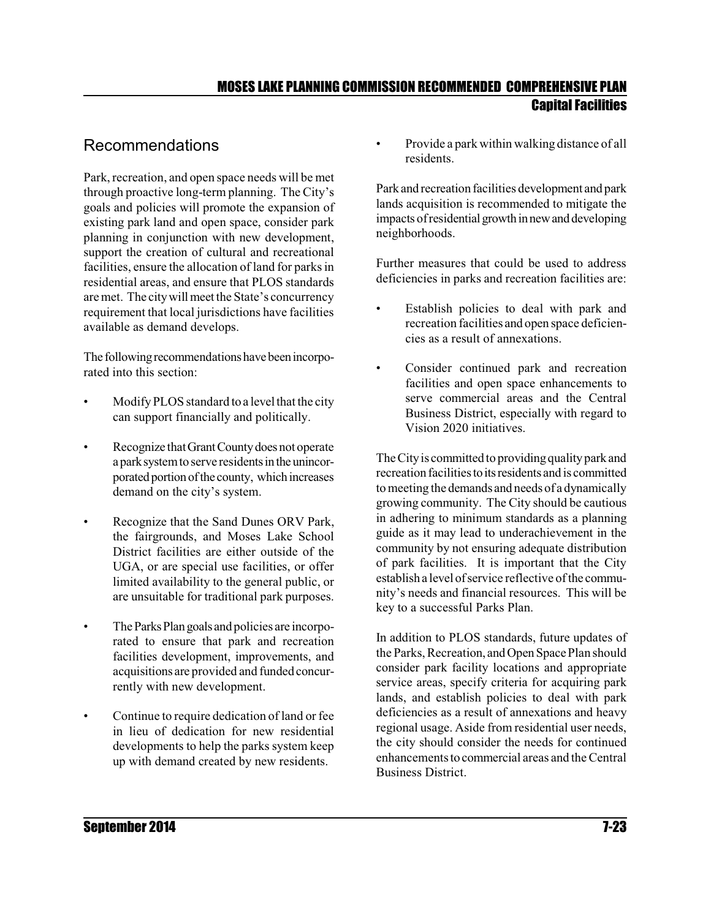### Recommendations

Park, recreation, and open space needs will be met through proactive long-term planning. The City's goals and policies will promote the expansion of existing park land and open space, consider park planning in conjunction with new development, support the creation of cultural and recreational facilities, ensure the allocation of land for parks in residential areas, and ensure that PLOS standards are met. The citywill meet the State's concurrency requirement that local jurisdictions have facilities available as demand develops.

The following recommendations have been incorporated into this section:

- Modify PLOS standard to a level that the city can support financially and politically.
- Recognize that Grant County does not operate a park system to serve residents in the unincorporated portion of the county, which increases demand on the city's system.
- Recognize that the Sand Dunes ORV Park, the fairgrounds, and Moses Lake School District facilities are either outside of the UGA, or are special use facilities, or offer limited availability to the general public, or are unsuitable for traditional park purposes.
- The Parks Plan goals and policies are incorporated to ensure that park and recreation facilities development, improvements, and acquisitions are provided and funded concurrently with new development.
- Continue to require dedication of land or fee in lieu of dedication for new residential developments to help the parks system keep up with demand created by new residents.

• Provide a park within walking distance of all residents.

Park and recreation facilities development and park lands acquisition is recommended to mitigate the impacts of residential growth in new and developing neighborhoods.

Further measures that could be used to address deficiencies in parks and recreation facilities are:

- Establish policies to deal with park and recreation facilities and open space deficiencies as a result of annexations.
- Consider continued park and recreation facilities and open space enhancements to serve commercial areas and the Central Business District, especially with regard to Vision 2020 initiatives.

The City is committed to providing quality park and recreation facilities to its residents and is committed to meeting the demands and needs of a dynamically growing community. The City should be cautious in adhering to minimum standards as a planning guide as it may lead to underachievement in the community by not ensuring adequate distribution of park facilities. It is important that the City establish a level of service reflective of the community's needs and financial resources. This will be key to a successful Parks Plan.

In addition to PLOS standards, future updates of the Parks, Recreation, and Open Space Plan should consider park facility locations and appropriate service areas, specify criteria for acquiring park lands, and establish policies to deal with park deficiencies as a result of annexations and heavy regional usage. Aside from residential user needs, the city should consider the needs for continued enhancementstocommercial areas and theCentral Business District.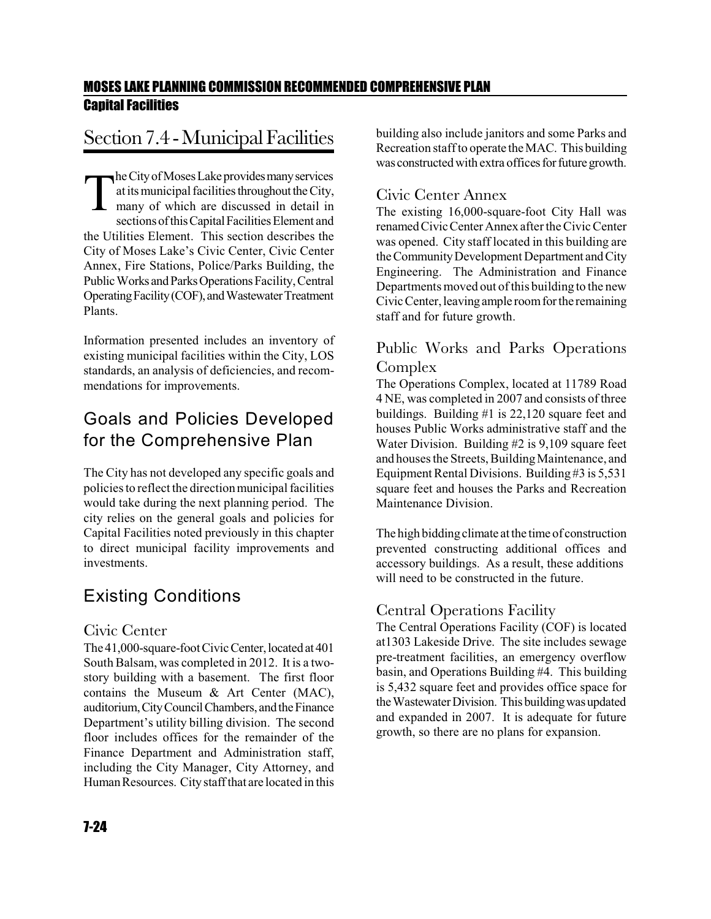# Section 7.4 - Municipal Facilities

The City of Moses Lake provides many services<br>at its municipal facilities throughout the City,<br>many of which are discussed in detail in<br>sections of this Capital Facilities Element and at its municipal facilities throughout the City, many of which are discussed in detail in sections of this Capital Facilities Element and the Utilities Element. This section describes the City of Moses Lake's Civic Center, Civic Center Annex, Fire Stations, Police/Parks Building, the Public Works and Parks Operations Facility, Central Operating Facility (COF), and Wastewater Treatment Plants.

Information presented includes an inventory of existing municipal facilities within the City, LOS standards, an analysis of deficiencies, and recommendations for improvements.

### Goals and Policies Developed for the Comprehensive Plan

The City has not developed any specific goals and policies to reflect the direction municipal facilities would take during the next planning period. The city relies on the general goals and policies for Capital Facilities noted previously in this chapter to direct municipal facility improvements and investments.

### Existing Conditions

#### Civic Center

The 41,000-square-foot Civic Center, located at 401 South Balsam, was completed in 2012. It is a twostory building with a basement. The first floor contains the Museum & Art Center (MAC), auditorium, City Council Chambers, and the Finance Department's utility billing division. The second floor includes offices for the remainder of the Finance Department and Administration staff, including the City Manager, City Attorney, and Human Resources. City staff that are located in this

#### Civic Center Annex

The existing 16,000-square-foot City Hall was renamedCivicCenter Annex after theCivic Center was opened. City staff located in this building are the Community Development Department and City Engineering. The Administration and Finance Departments moved out of this building to the new Civic Center, leaving ample room for the remaining staff and for future growth.

#### Public Works and Parks Operations Complex

The Operations Complex, located at 11789 Road 4 NE, was completed in 2007 and consists of three buildings. Building #1 is 22,120 square feet and houses Public Works administrative staff and the Water Division. Building #2 is 9,109 square feet and houses the Streets, Building Maintenance, and Equipment Rental Divisions. Building  $#3$  is  $5,531$ square feet and houses the Parks and Recreation Maintenance Division.

The high bidding climate at the time of construction prevented constructing additional offices and accessory buildings. As a result, these additions will need to be constructed in the future.

#### Central Operations Facility

The Central Operations Facility (COF) is located at1303 Lakeside Drive. The site includes sewage pre-treatment facilities, an emergency overflow basin, and Operations Building #4. This building is 5,432 square feet and provides office space for the Wastewater Division. This building was updated and expanded in 2007. It is adequate for future growth, so there are no plans for expansion.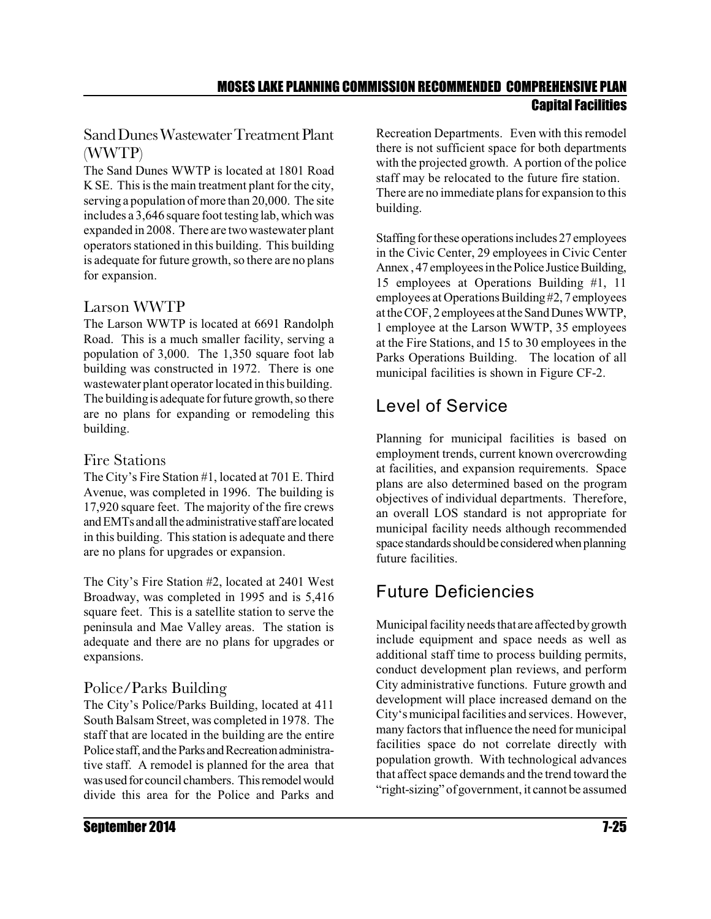#### Sand Dunes Wastewater Treatment Plant (WWTP)

The Sand Dunes WWTP is located at 1801 Road K SE. This is the main treatment plant for the city, serving a population of more than 20,000. The site includes a 3,646 square foot testing lab, which was expanded in 2008. There are two wastewater plant operators stationed in this building. This building is adequate for future growth, so there are no plans for expansion.

#### Larson WWTP

The Larson WWTP is located at 6691 Randolph Road. This is a much smaller facility, serving a population of 3,000. The 1,350 square foot lab building was constructed in 1972. There is one wastewater plant operator located in this building. The building is adequate for future growth, so there are no plans for expanding or remodeling this building.

#### Fire Stations

The City's Fire Station #1, located at 701 E. Third Avenue, was completed in 1996. The building is 17,920 square feet. The majority of the fire crews and EMTs and all the administrative staff are located in this building. This station is adequate and there are no plans for upgrades or expansion.

The City's Fire Station #2, located at 2401 West Broadway, was completed in 1995 and is 5,416 square feet. This is a satellite station to serve the peninsula and Mae Valley areas. The station is adequate and there are no plans for upgrades or expansions.

### Police/Parks Building

The City's Police/Parks Building, located at 411 South Balsam Street, was completed in 1978. The staff that are located in the building are the entire Police staff, and the Parks and Recreation administrative staff. A remodel is planned for the area that was used for council chambers. This remodel would divide this area for the Police and Parks and Recreation Departments. Even with this remodel there is not sufficient space for both departments with the projected growth. A portion of the police staff may be relocated to the future fire station. There are no immediate plans for expansion to this building.

Staffing for these operations includes 27 employees in the Civic Center, 29 employees in Civic Center Annex, 47 employees in the Police Justice Building, 15 employees at Operations Building #1, 11 employees at Operations Building#2, 7 employees atthe COF, 2 employees atthe Sand DunesWWTP, 1 employee at the Larson WWTP, 35 employees at the Fire Stations, and 15 to 30 employees in the Parks Operations Building. The location of all municipal facilities is shown in Figure CF-2.

# Level of Service

Planning for municipal facilities is based on employment trends, current known overcrowding at facilities, and expansion requirements. Space plans are also determined based on the program objectives of individual departments. Therefore, an overall LOS standard is not appropriate for municipal facility needs although recommended space standards should be considered when planning future facilities.

# Future Deficiencies

Municipal facilityneeds that are affected bygrowth include equipment and space needs as well as additional staff time to process building permits, conduct development plan reviews, and perform City administrative functions. Future growth and development will place increased demand on the City's municipal facilities and services. However, many factors that influence the need for municipal facilities space do not correlate directly with population growth. With technological advances that affect space demands and the trend toward the "right-sizing" of government, it cannot be assumed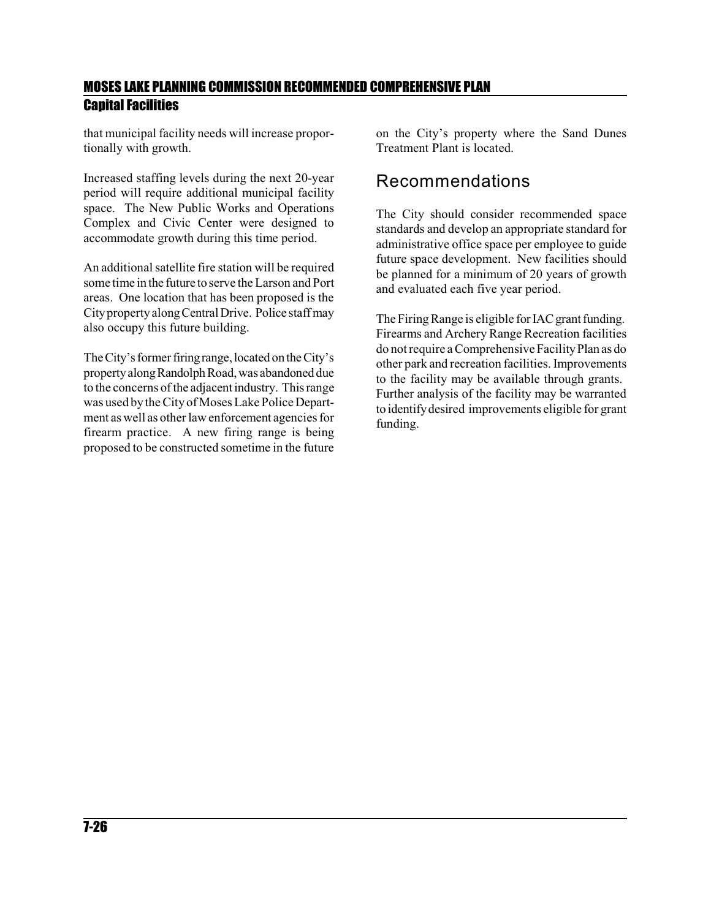that municipal facility needs will increase proportionally with growth.

Increased staffing levels during the next 20-year period will require additional municipal facility space. The New Public Works and Operations Complex and Civic Center were designed to accommodate growth during this time period.

An additional satellite fire station will be required some time in the future to serve the Larson and Port areas. One location that has been proposed is the Cityproperty alongCentralDrive. Police staff may also occupy this future building.

The City's former firing range, located on the City's propertyalongRandolph Road,was abandoned due to the concerns of the adjacentindustry. This range was used by theCity of MosesLake Police Department as well as other law enforcement agencies for firearm practice. A new firing range is being proposed to be constructed sometime in the future on the City's property where the Sand Dunes Treatment Plant is located.

### Recommendations

The City should consider recommended space standards and develop an appropriate standard for administrative office space per employee to guide future space development. New facilities should be planned for a minimum of 20 years of growth and evaluated each five year period.

The Firing Range is eligible for IAC grant funding. Firearms and Archery Range Recreation facilities do notrequire a Comprehensive FacilityPlan as do other park and recreation facilities. Improvements to the facility may be available through grants. Further analysis of the facility may be warranted to identifydesired improvements eligible for grant funding.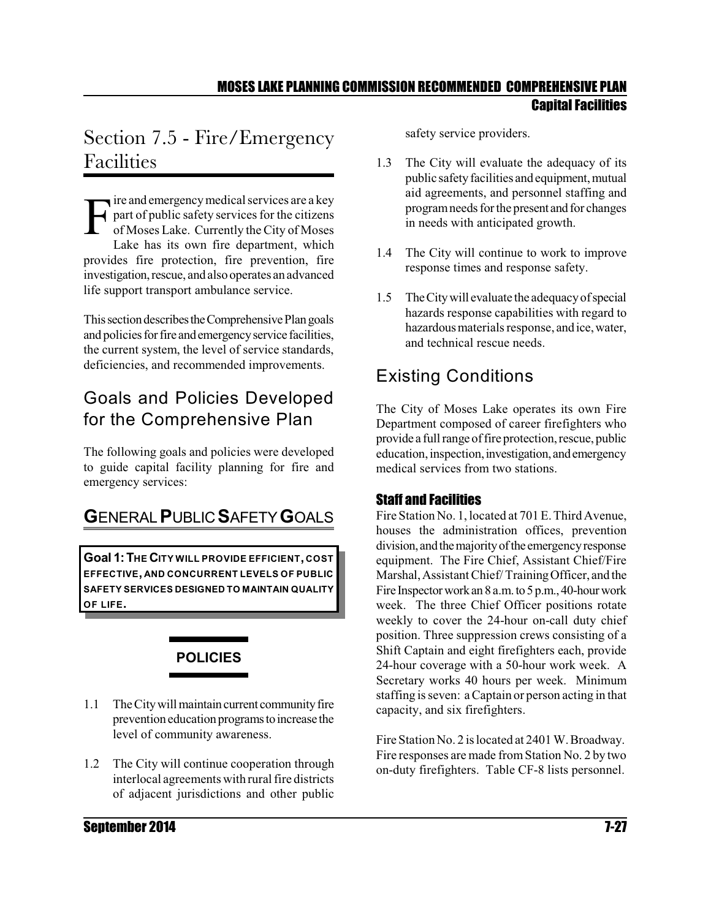# Section 7.5 - Fire/Emergency Facilities

F ire and emergency medical services are a key<br>part of public safety services for the citizens<br>of Moses Lake. Currently the City of Moses part of public safety services for the citizens of Moses Lake. Currently theCity of Moses Lake has its own fire department, which provides fire protection, fire prevention, fire investigation, rescue, and also operates an advanced life support transport ambulance service.

This section describes the Comprehensive Plan goals and policies for fire and emergency service facilities, the current system, the level of service standards, deficiencies, and recommended improvements.

# Goals and Policies Developed for the Comprehensive Plan

The following goals and policies were developed to guide capital facility planning for fire and emergency services:

# **G**ENERAL**P**UBLIC **S**AFETY**G**OALS

**Goal 1:THE CITY WILL PROVIDE EFFICIENT, COST EFFECTIVE, AND CONCURRENT LEVELS OF PUBLIC SAFETY SERVICES DESIGNED TO MAINTAIN QUALITY OF LIFE.**



- 1.1 The City will maintain current community fire prevention education programs to increase the level of community awareness.
- 1.2 The City will continue cooperation through interlocal agreements with rural fire districts of adjacent jurisdictions and other public

safety service providers.

- 1.3 The City will evaluate the adequacy of its public safety facilities and equipment, mutual aid agreements, and personnel staffing and program needs for the present and for changes in needs with anticipated growth.
- 1.4 The City will continue to work to improve response times and response safety.
- 1.5 TheCitywill evaluate the adequacyofspecial hazards response capabilities with regard to hazardous materials response, and ice, water, and technical rescue needs.

## Existing Conditions

The City of Moses Lake operates its own Fire Department composed of career firefighters who provide a full range of fire protection, rescue, public education, inspection, investigation, and emergency medical services from two stations.

#### Staff and Facilities

Fire Station No. 1, located at 701 E. Third Avenue, houses the administration offices, prevention division, and the majority of the emergency response equipment. The Fire Chief, Assistant Chief/Fire Marshal,AssistantChief/ TrainingOfficer, and the Fire Inspector work an 8 a.m. to 5 p.m., 40-hour work week. The three Chief Officer positions rotate weekly to cover the 24-hour on-call duty chief position. Three suppression crews consisting of a Shift Captain and eight firefighters each, provide 24-hour coverage with a 50-hour work week. A Secretary works 40 hours per week. Minimum staffing is seven: a Captain or person acting in that capacity, and six firefighters.

Fire Station No. 2 is located at 2401 W. Broadway. Fire responses are made fromStation No. 2 by two on-duty firefighters. Table CF-8 lists personnel.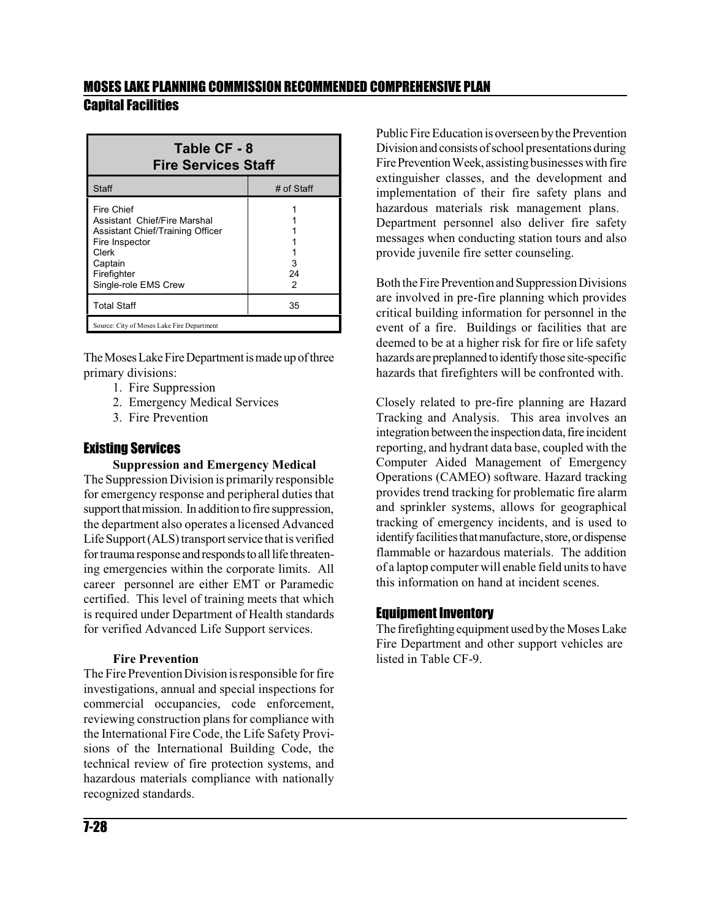| Table CF - 8<br><b>Fire Services Staff</b>                                                                                                                         |              |  |  |  |  |  |  |
|--------------------------------------------------------------------------------------------------------------------------------------------------------------------|--------------|--|--|--|--|--|--|
| Staff                                                                                                                                                              | # of Staff   |  |  |  |  |  |  |
| <b>Fire Chief</b><br>Assistant Chief/Fire Marshal<br>Assistant Chief/Training Officer<br>Fire Inspector<br>Clerk<br>Captain<br>Firefighter<br>Single-role EMS Crew | 3<br>24<br>2 |  |  |  |  |  |  |
| <b>Total Staff</b>                                                                                                                                                 | 35           |  |  |  |  |  |  |
| Source: City of Moses Lake Fire Department                                                                                                                         |              |  |  |  |  |  |  |

The Moses Lake Fire Department is made up of three primary divisions:

- 1. Fire Suppression
- 2. Emergency Medical Services
- 3. Fire Prevention

#### Existing Services

#### **Suppression and Emergency Medical**

The Suppression Division is primarily responsible for emergency response and peripheral duties that support that mission. In addition to fire suppression, the department also operates a licensed Advanced Life Support (ALS) transport service that is verified for trauma response and responds to all life threatening emergencies within the corporate limits. All career personnel are either EMT or Paramedic certified. This level of training meets that which is required under Department of Health standards for verified Advanced Life Support services.

#### **Fire Prevention**

The Fire Prevention Division is responsible for fire investigations, annual and special inspections for commercial occupancies, code enforcement, reviewing construction plans for compliance with the International Fire Code, the Life Safety Provisions of the International Building Code, the technical review of fire protection systems, and hazardous materials compliance with nationally recognized standards.

Public Fire Education is overseen bythe Prevention Division and consists of school presentations during Fire Prevention Week, assisting businesses with fire extinguisher classes, and the development and implementation of their fire safety plans and hazardous materials risk management plans. Department personnel also deliver fire safety messages when conducting station tours and also provide juvenile fire setter counseling.

Both the Fire Prevention and Suppression Divisions are involved in pre-fire planning which provides critical building information for personnel in the event of a fire. Buildings or facilities that are deemed to be at a higher risk for fire or life safety hazards are preplanned to identify those site-specific hazards that firefighters will be confronted with.

Closely related to pre-fire planning are Hazard Tracking and Analysis. This area involves an integration between the inspection data, fire incident reporting, and hydrant data base, coupled with the Computer Aided Management of Emergency Operations (CAMEO) software. Hazard tracking provides trend tracking for problematic fire alarm and sprinkler systems, allows for geographical tracking of emergency incidents, and is used to identify facilities that manufacture, store, or dispense flammable or hazardous materials. The addition of a laptop computer will enable field units to have this information on hand at incident scenes.

#### Equipment Inventory

The firefighting equipment used by the Moses Lake Fire Department and other support vehicles are listed in Table CF-9.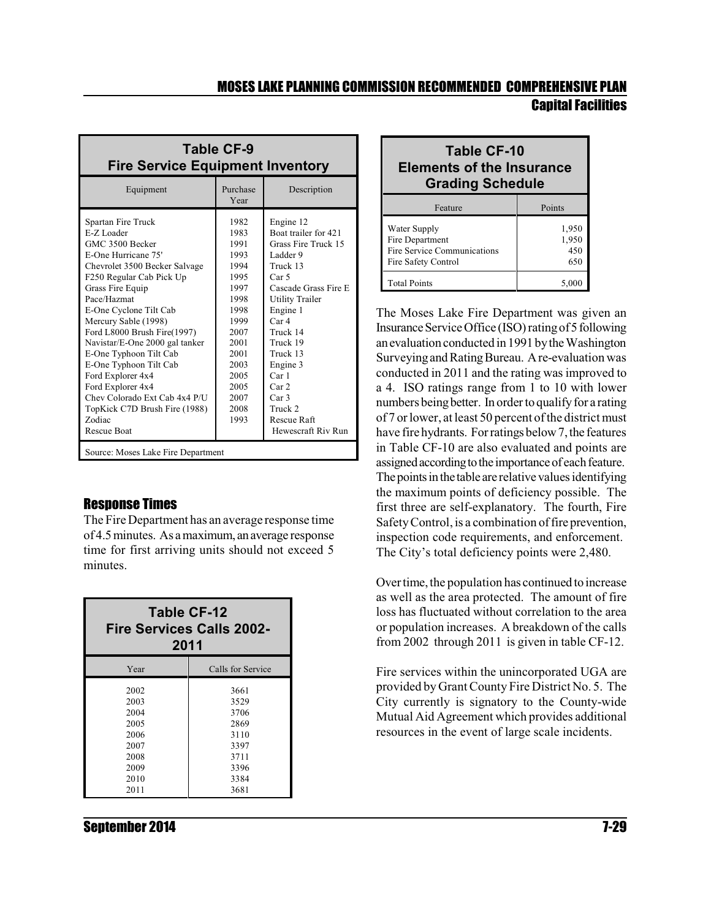| Table CF-9<br><b>Fire Service Equipment Inventory</b>                                                                                                                                                                                                                                                                                                                                                                                                                                         |                                                                                                                                                      |                                                                                                                                                                                                                                                                                                                                        |  |  |  |  |  |  |  |
|-----------------------------------------------------------------------------------------------------------------------------------------------------------------------------------------------------------------------------------------------------------------------------------------------------------------------------------------------------------------------------------------------------------------------------------------------------------------------------------------------|------------------------------------------------------------------------------------------------------------------------------------------------------|----------------------------------------------------------------------------------------------------------------------------------------------------------------------------------------------------------------------------------------------------------------------------------------------------------------------------------------|--|--|--|--|--|--|--|
| Equipment                                                                                                                                                                                                                                                                                                                                                                                                                                                                                     | Purchase<br>Year                                                                                                                                     | Description                                                                                                                                                                                                                                                                                                                            |  |  |  |  |  |  |  |
| Spartan Fire Truck<br>E-Z Loader<br>GMC 3500 Becker<br>E-One Hurricane 75'<br>Chevrolet 3500 Becker Salvage<br>F250 Regular Cab Pick Up<br>Grass Fire Equip<br>Pace/Hazmat<br>E-One Cyclone Tilt Cab<br>Mercury Sable (1998)<br>Ford L8000 Brush Fire(1997)<br>Navistar/E-One 2000 gal tanker<br>E-One Typhoon Tilt Cab<br>E-One Typhoon Tilt Cab<br>Ford Explorer 4x4<br>Ford Explorer 4x4<br>Chev Colorado Ext Cab 4x4 P/U<br>TopKick C7D Brush Fire (1988)<br>Zodiac<br><b>Rescue Boat</b> | 1982<br>1983<br>1991<br>1993<br>1994<br>1995<br>1997<br>1998<br>1998<br>1999<br>2007<br>2001<br>2001<br>2003<br>2005<br>2005<br>2007<br>2008<br>1993 | Engine 12<br>Boat trailer for 421<br>Grass Fire Truck 15<br>Ladder 9<br>Truck 13<br>Car <sub>5</sub><br>Cascade Grass Fire E<br><b>Utility Trailer</b><br>Engine 1<br>Car <sub>4</sub><br>Truck 14<br>Truck 19<br>Truck 13<br>Engine 3<br>Car1<br>Car <sub>2</sub><br>Car <sub>3</sub><br>Truck 2<br>Rescue Raft<br>Hewescraft Riv Run |  |  |  |  |  |  |  |
| Source: Moses Lake Fire Department                                                                                                                                                                                                                                                                                                                                                                                                                                                            |                                                                                                                                                      |                                                                                                                                                                                                                                                                                                                                        |  |  |  |  |  |  |  |

#### Response Times

The Fire Department has an average response time of 4.5 minutes. As a maximum, anaverage response time for first arriving units should not exceed 5 minutes.

| Table CF-12<br><b>Fire Services Calls 2002-</b><br>2011 |                   |  |  |  |  |  |  |  |  |
|---------------------------------------------------------|-------------------|--|--|--|--|--|--|--|--|
| Year                                                    | Calls for Service |  |  |  |  |  |  |  |  |
| 2002                                                    | 3661              |  |  |  |  |  |  |  |  |
| 2003                                                    | 3529              |  |  |  |  |  |  |  |  |
| 2004                                                    | 3706              |  |  |  |  |  |  |  |  |
| 2005                                                    | 2869              |  |  |  |  |  |  |  |  |
| 2006                                                    | 3110              |  |  |  |  |  |  |  |  |
| 2007                                                    | 3397              |  |  |  |  |  |  |  |  |
| 2008                                                    | 3711              |  |  |  |  |  |  |  |  |
| 2009                                                    | 3396              |  |  |  |  |  |  |  |  |
| 2010                                                    | 3384              |  |  |  |  |  |  |  |  |
| 2011                                                    | 3681              |  |  |  |  |  |  |  |  |

| <b>Table CF-10</b><br><b>Elements of the Insurance</b><br><b>Grading Schedule</b>     |                              |  |  |  |  |  |  |  |
|---------------------------------------------------------------------------------------|------------------------------|--|--|--|--|--|--|--|
| Feature                                                                               | Points                       |  |  |  |  |  |  |  |
| Water Supply<br>Fire Department<br>Fire Service Communications<br>Fire Safety Control | 1,950<br>1,950<br>450<br>650 |  |  |  |  |  |  |  |
| <b>Total Points</b>                                                                   |                              |  |  |  |  |  |  |  |

The Moses Lake Fire Department was given an InsuranceService Office (ISO) ratingof5following anevaluation conducted in 1991bythe Washington Surveying and Rating Bureau. A re-evaluation was conducted in 2011 and the rating was improved to a 4. ISO ratings range from 1 to 10 with lower numbers being better. In order to qualify for a rating of 7 or lower, at least 50 percent of the district must have fire hydrants. For ratings below 7, the features in Table CF-10 are also evaluated and points are assigned according to the importance of each feature. The points in the table are relative values identifying the maximum points of deficiency possible. The first three are self-explanatory. The fourth, Fire Safety Control, is a combination of fire prevention, inspection code requirements, and enforcement. The City's total deficiency points were 2,480.

Over time, the population has continued to increase as well as the area protected. The amount of fire loss has fluctuated without correlation to the area or population increases. A breakdown of the calls from 2002 through 2011 is given in table CF-12.

Fire services within the unincorporated UGA are provided by Grant County Fire District No. 5. The City currently is signatory to the County-wide Mutual Aid Agreement which provides additional resources in the event of large scale incidents.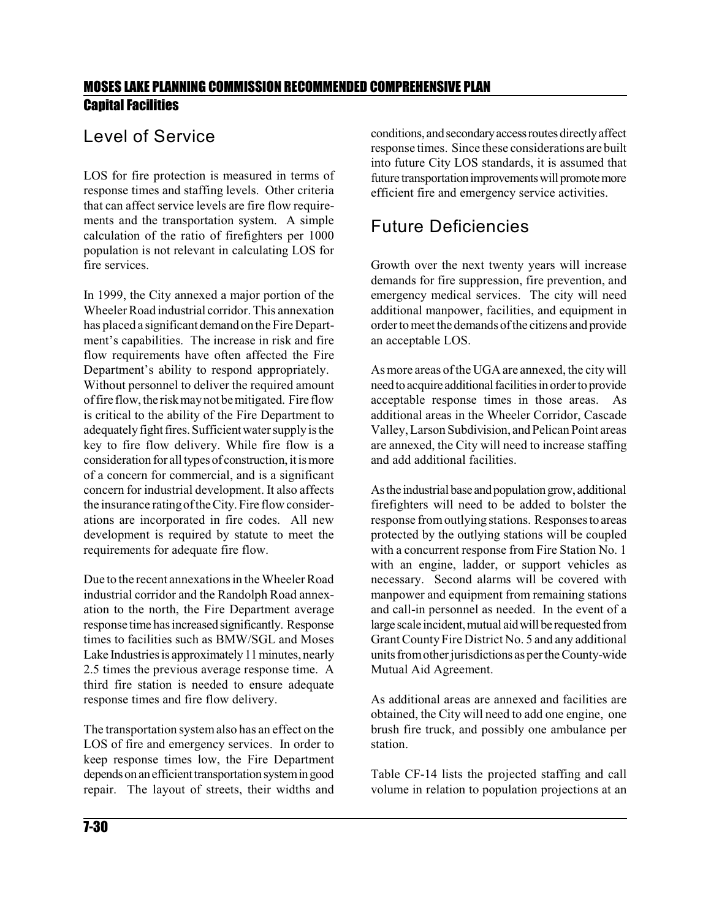### Level of Service

LOS for fire protection is measured in terms of response times and staffing levels. Other criteria that can affect service levels are fire flow requirements and the transportation system. A simple calculation of the ratio of firefighters per 1000 population is not relevant in calculating LOS for fire services.

In 1999, the City annexed a major portion of the Wheeler Road industrial corridor. This annexation has placed a significant demand on the Fire Department's capabilities. The increase in risk and fire flow requirements have often affected the Fire Department's ability to respond appropriately. Without personnel to deliver the required amount offire flow,the riskmaynot bemitigated. Fire flow is critical to the ability of the Fire Department to adequately fight fires. Sufficient water supply is the key to fire flow delivery. While fire flow is a consideration for all types of construction, it is more of a concern for commercial, and is a significant concern for industrial development. It also affects the insurance ratingofthe City.Fire flow considerations are incorporated in fire codes. All new development is required by statute to meet the requirements for adequate fire flow.

Due to the recent annexations in the Wheeler Road industrial corridor and the Randolph Road annexation to the north, the Fire Department average response time has increasedsignificantly. Response times to facilities such as BMW/SGL and Moses Lake Industries is approximately 11 minutes, nearly 2.5 times the previous average response time. A third fire station is needed to ensure adequate response times and fire flow delivery.

The transportation systemalso has an effect on the LOS of fire and emergency services. In order to keep response times low, the Fire Department depends on an efficient transportation system in good repair. The layout of streets, their widths and conditions, and secondary access routes directly affect response times. Since these considerations are built into future City LOS standards, it is assumed that future transportation improvements will promote more efficient fire and emergency service activities.

### Future Deficiencies

Growth over the next twenty years will increase demands for fire suppression, fire prevention, and emergency medical services. The city will need additional manpower, facilities, and equipment in order tomeet the demands ofthe citizens and provide an acceptable LOS.

As more areas of the UGA are annexed, the city will need to acquire additional facilities in order to provide acceptable response times in those areas. As additional areas in the Wheeler Corridor, Cascade Valley, Larson Subdivision, and Pelican Point areas are annexed, the City will need to increase staffing and add additional facilities.

As the industrial base and population grow, additional firefighters will need to be added to bolster the response fromoutlying stations. Responsesto areas protected by the outlying stations will be coupled with a concurrent response from Fire Station No. 1 with an engine, ladder, or support vehicles as necessary. Second alarms will be covered with manpower and equipment from remaining stations and call-in personnel as needed. In the event of a large scale incident, mutual aid will be requested from Grant County Fire District No. 5 and any additional units fromother jurisdictions as per the County-wide Mutual Aid Agreement.

As additional areas are annexed and facilities are obtained, the City will need to add one engine, one brush fire truck, and possibly one ambulance per station.

Table CF-14 lists the projected staffing and call volume in relation to population projections at an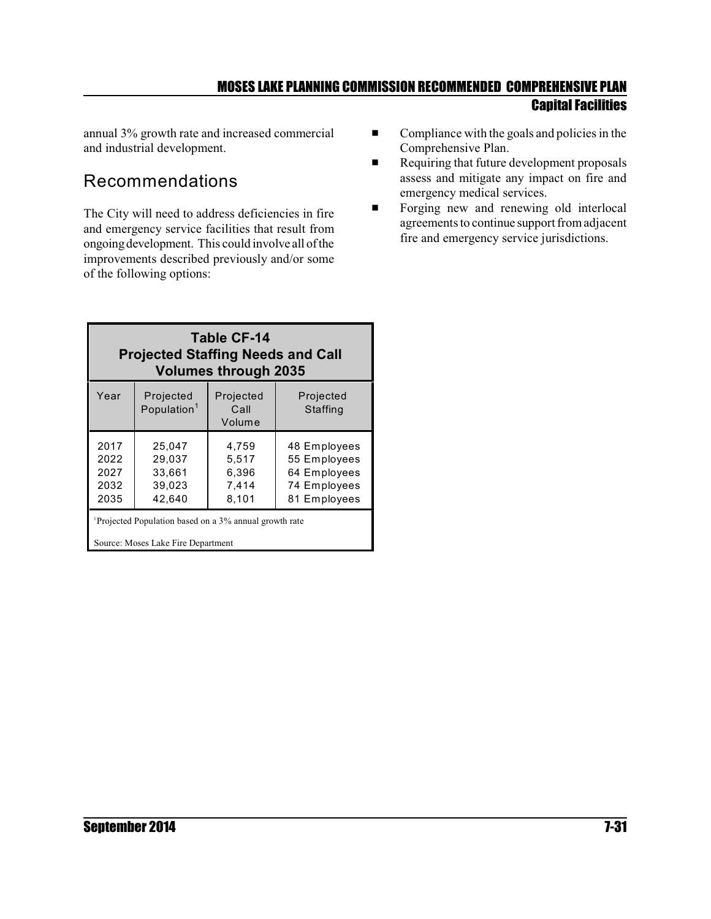annual 3% growth rate and increased commercial and industrial development.

### Recommendations

The City will need to address deficiencies in fire and emergency service facilities that result from ongoingdevelopment. This could involve all ofthe improvements described previously and/or some of the following options:

- $\blacksquare$  Compliance with the goals and policies in the Comprehensive Plan.
- Requiring that future development proposals assess and mitigate any impact on fire and emergency medical services.
- **Example 1** Forging new and renewing old interlocal agreements to continue support fromadjacent fire and emergency service jurisdictions.

| Table CF-14<br><b>Projected Staffing Needs and Call</b><br><b>Volumes through 2035</b> |                                                |                                           |                                                                              |  |  |  |  |  |  |  |  |
|----------------------------------------------------------------------------------------|------------------------------------------------|-------------------------------------------|------------------------------------------------------------------------------|--|--|--|--|--|--|--|--|
| Year                                                                                   | Projected<br>Population <sup>1</sup>           | Projected<br>Call<br>Volume               | Projected<br>Staffing                                                        |  |  |  |  |  |  |  |  |
| 2017<br>2022<br>2027<br>2032<br>2035                                                   | 25.047<br>29.037<br>33,661<br>39,023<br>42,640 | 4.759<br>5.517<br>6,396<br>7.414<br>8,101 | 48 Employees<br>55 Employees<br>64 Employees<br>74 Employees<br>81 Employees |  |  |  |  |  |  |  |  |
| <sup>1</sup> Projected Population based on a 3% annual growth rate                     |                                                |                                           |                                                                              |  |  |  |  |  |  |  |  |

Source: Moses Lake Fire Department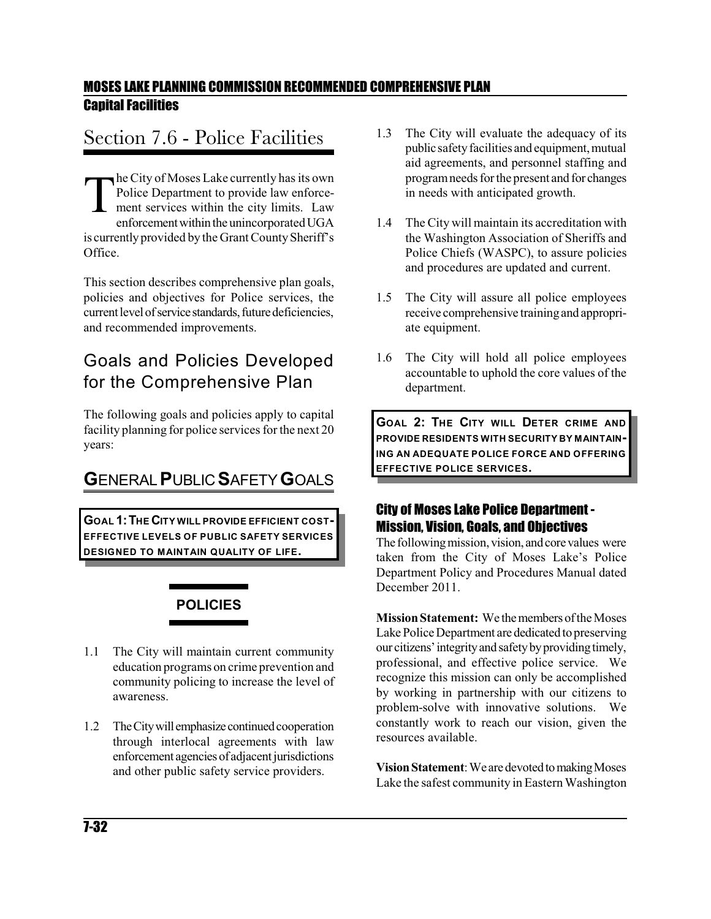# Section 7.6 - Police Facilities

T he City of Moses Lake currently has its own Police Department to provide law enforcement services within the city limits. Law enforcement within the unincorporated UGA is currently provided by the Grant County Sheriff's Office.

This section describes comprehensive plan goals, policies and objectives for Police services, the current level of service standards, future deficiencies, and recommended improvements.

## Goals and Policies Developed for the Comprehensive Plan

The following goals and policies apply to capital facility planning for police services for the next 20 years:

# **G**ENERAL**P**UBLIC **S**AFETY**G**OALS

**GOAL 1:THE CITY WILL PROVIDE EFFICIENT COST-EFFECTIVE LEVELS OF PUBLIC SAFETY SERVICES DESIGNED TO MAINTAIN QUALITY OF LIFE.**

# **POLICIES**

- 1.1 The City will maintain current community education programs on crime prevention and community policing to increase the level of awareness.
- 1.2 The City will emphasize continued cooperation through interlocal agreements with law enforcement agencies of adjacent jurisdictions and other public safety service providers.
- 1.3 The City will evaluate the adequacy of its public safety facilities and equipment, mutual aid agreements, and personnel staffing and programneeds for the present and for changes in needs with anticipated growth.
- 1.4 The City will maintain its accreditation with the Washington Association of Sheriffs and Police Chiefs (WASPC), to assure policies and procedures are updated and current.
- 1.5 The City will assure all police employees receive comprehensive trainingand appropriate equipment.
- 1.6 The City will hold all police employees accountable to uphold the core values of the department.

**GOAL 2: THE CITY WILL DETER CRIME AND PROVIDE RESIDENTS WITH SECURITY BY MAINTAIN-ING AN ADEQUATE POLICE FORCE AND OFFERING EFFECTIVE POLICE SERVICES.**

#### City of Moses Lake Police Department - Mission, Vision, Goals, and Objectives

The following mission, vision, and core values were taken from the City of Moses Lake's Police Department Policy and Procedures Manual dated December 2011.

**Mission Statement:** We the members of the Moses Lake Police Department are dedicated to preserving our citizens'integrityandsafetybyprovidingtimely, professional, and effective police service. We recognize this mission can only be accomplished by working in partnership with our citizens to problem-solve with innovative solutions. We constantly work to reach our vision, given the resources available.

**Vision Statement:** We are devoted to making Moses Lake the safest community in Eastern Washington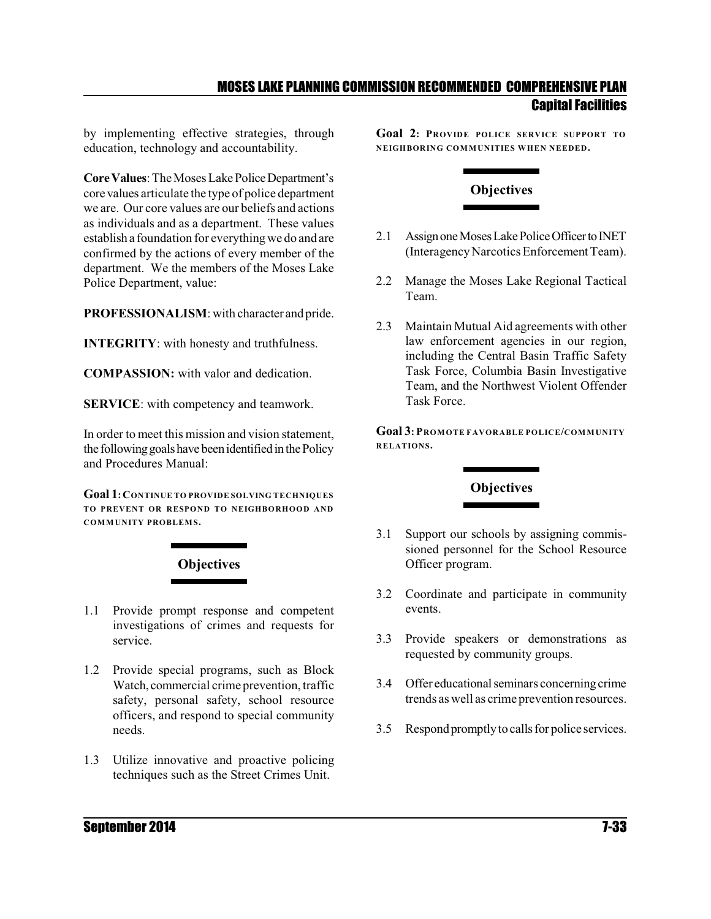by implementing effective strategies, through education, technology and accountability.

**CoreValues**: TheMoses Lake PoliceDepartment's core values articulate the type of police department we are. Our core values are our beliefs and actions as individuals and as a department. These values establish a foundation for everything we do and are confirmed by the actions of every member of the department. We the members of the Moses Lake Police Department, value:

**PROFESSIONALISM**: with character and pride.

**INTEGRITY**: with honesty and truthfulness.

**COMPASSION:** with valor and dedication.

**SERVICE**: with competency and teamwork.

In order to meet this mission and vision statement, the following goals have been identified in the Policy and Procedures Manual:

**Goal 1:CONTINUE TO PROVIDE SOLVING TECHNIQUES TO PREVENT OR RESPOND TO NEIGHBORHOOD AND COMMUNITY PROBLEMS.**



- 1.1 Provide prompt response and competent investigations of crimes and requests for service.
- 1.2 Provide special programs, such as Block Watch, commercial crime prevention, traffic safety, personal safety, school resource officers, and respond to special community needs.
- 1.3 Utilize innovative and proactive policing techniques such as the Street Crimes Unit.

**Goal 2: PROVIDE POLICE SERVICE SUPPORT TO NEIGHBORING COMMUNITIES WHEN NEEDED.**

### **Objectives**

- 2.1 Assign one Moses Lake Police Officer to INET (Interagency Narcotics Enforcement Team).
- 2.2 Manage the Moses Lake Regional Tactical Team.
- 2.3 Maintain Mutual Aid agreements with other law enforcement agencies in our region, including the Central Basin Traffic Safety Task Force, Columbia Basin Investigative Team, and the Northwest Violent Offender Task Force.

**Goal 3: PROMOTE FAVORABLE POLICE/COMMUNITY RELATIONS.**

#### **Objectives**

- 3.1 Support our schools by assigning commissioned personnel for the School Resource Officer program.
- 3.2 Coordinate and participate in community events.
- 3.3 Provide speakers or demonstrations as requested by community groups.
- 3.4 Offer educational seminars concerning crime trends as well as crime prevention resources.
- 3.5 Respond promptly to calls for police services.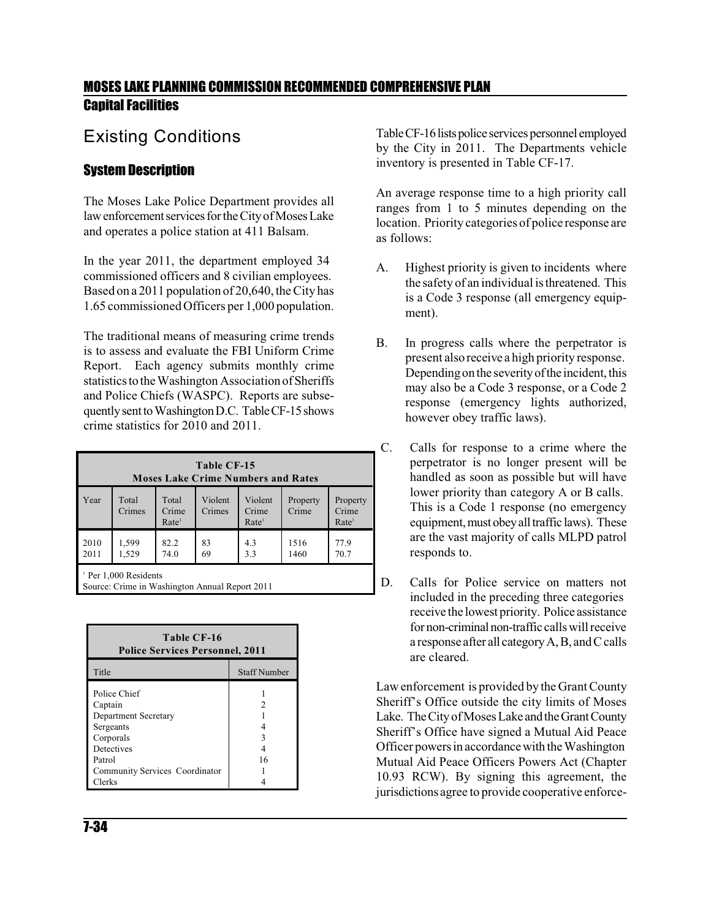### Existing Conditions

#### System Description

The Moses Lake Police Department provides all law enforcement services for the City of Moses Lake and operates a police station at 411 Balsam.

In the year 2011, the department employed 34 commissioned officers and 8 civilian employees. Based on a 2011 population of 20,640, theCity has 1.65 commissioned Officers per 1,000 population.

The traditional means of measuring crime trends is to assess and evaluate the FBI Uniform Crime Report. Each agency submits monthly crime statistics to the Washington Association of Sheriffs and Police Chiefs (WASPC). Reports are subsequently sent to Washington D.C. Table CF-15 shows crime statistics for 2010 and 2011.

| Table CF-15<br><b>Moses Lake Crime Numbers and Rates</b>                           |                 |                                     |                   |                                       |                   |                                        |  |  |  |  |  |
|------------------------------------------------------------------------------------|-----------------|-------------------------------------|-------------------|---------------------------------------|-------------------|----------------------------------------|--|--|--|--|--|
| Year                                                                               | Total<br>Crimes | Total<br>Crime<br>Rate <sup>1</sup> | Violent<br>Crimes | Violent<br>Crime<br>Rate <sup>1</sup> | Property<br>Crime | Property<br>Crime<br>Rate <sup>1</sup> |  |  |  |  |  |
| 2010<br>2011                                                                       | 1,599<br>1,529  | 82.2<br>74.0                        | 83<br>69          | 4.3<br>3.3                            | 1516<br>1460      | 77.9<br>70.7                           |  |  |  |  |  |
| <sup>1</sup> Per 1,000 Residents<br>Source: Crime in Washington Annual Report 2011 |                 |                                     |                   |                                       |                   |                                        |  |  |  |  |  |

| Table CF-16<br><b>Police Services Personnel, 2011</b> |                     |  |  |  |  |  |  |  |  |
|-------------------------------------------------------|---------------------|--|--|--|--|--|--|--|--|
| Title                                                 | <b>Staff Number</b> |  |  |  |  |  |  |  |  |
| Police Chief                                          |                     |  |  |  |  |  |  |  |  |
| Captain                                               |                     |  |  |  |  |  |  |  |  |
| Department Secretary                                  |                     |  |  |  |  |  |  |  |  |
| Sergeants                                             |                     |  |  |  |  |  |  |  |  |
| Corporals                                             |                     |  |  |  |  |  |  |  |  |
| Detectives                                            |                     |  |  |  |  |  |  |  |  |
| Patrol                                                | 16                  |  |  |  |  |  |  |  |  |
| Community Services Coordinator                        |                     |  |  |  |  |  |  |  |  |
| Clerks                                                |                     |  |  |  |  |  |  |  |  |

Table CF-16 lists police services personnel employed by the City in 2011. The Departments vehicle inventory is presented in Table CF-17.

An average response time to a high priority call ranges from 1 to 5 minutes depending on the location. Priority categories of police response are as follows:

- A. Highest priority is given to incidents where the safety of an individual isthreatened. This is a Code 3 response (all emergency equipment).
- B. In progress calls where the perpetrator is present also receive a high priority response. Depending on the severity of the incident, this may also be a Code 3 response, or a Code 2 response (emergency lights authorized, however obey traffic laws).
- C. Calls for response to a crime where the perpetrator is no longer present will be handled as soon as possible but will have lower priority than category A or B calls. This is a Code 1 response (no emergency equipment, must obey all traffic laws). These are the vast majority of calls MLPD patrol responds to.
- D. Calls for Police service on matters not included in the preceding three categories receive the lowest priority. Police assistance for non-criminal non-traffic calls will receive a response after all categoryA,B, and Ccalls are cleared.

Law enforcement is provided by the Grant County Sheriff's Office outside the city limits of Moses Lake. The City of Moses Lake and the Grant County Sheriff's Office have signed a Mutual Aid Peace Officer powers in accordancewith the Washington Mutual Aid Peace Officers Powers Act (Chapter 10.93 RCW). By signing this agreement, the jurisdictions agree to provide cooperative enforce-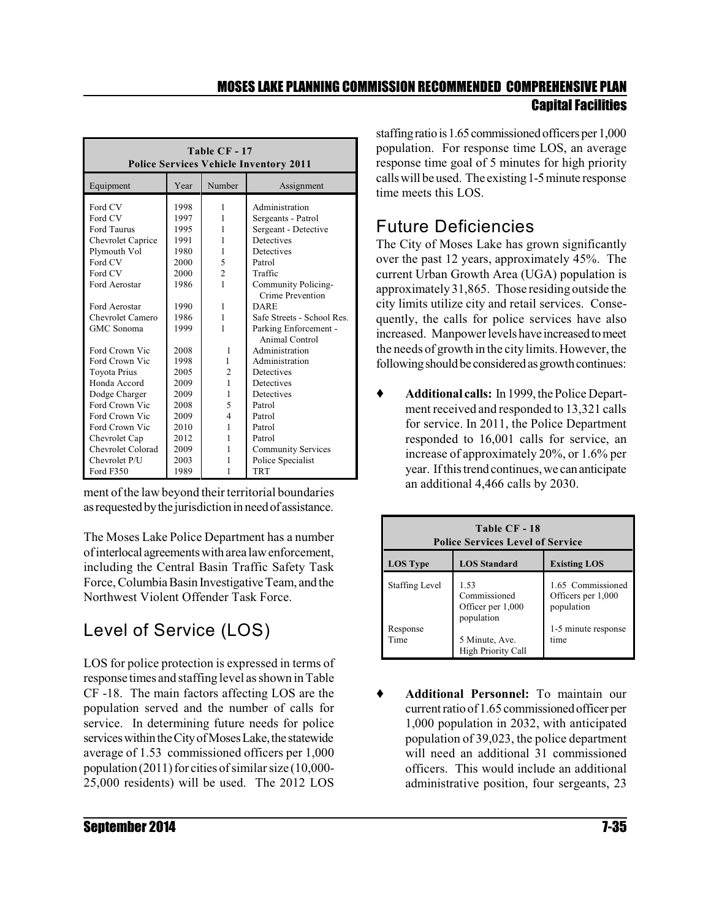| Table CF-17<br><b>Police Services Vehicle Inventory 2011</b> |      |                |                            |  |  |  |  |  |  |  |  |
|--------------------------------------------------------------|------|----------------|----------------------------|--|--|--|--|--|--|--|--|
| Equipment                                                    | Year | Number         | Assignment                 |  |  |  |  |  |  |  |  |
| Ford CV                                                      | 1998 | 1              | Administration             |  |  |  |  |  |  |  |  |
| Ford CV                                                      | 1997 | 1              | Sergeants - Patrol         |  |  |  |  |  |  |  |  |
| Ford Taurus                                                  | 1995 | 1              | Sergeant - Detective       |  |  |  |  |  |  |  |  |
| Chevrolet Caprice                                            | 1991 | 1              | <b>Detectives</b>          |  |  |  |  |  |  |  |  |
| Plymouth Vol                                                 | 1980 | 1              | Detectives                 |  |  |  |  |  |  |  |  |
| Ford CV                                                      | 2000 | 5              | Patrol                     |  |  |  |  |  |  |  |  |
| Ford CV                                                      | 2000 | $\overline{2}$ | Traffic                    |  |  |  |  |  |  |  |  |
| Ford Aerostar                                                | 1986 | 1              | Community Policing-        |  |  |  |  |  |  |  |  |
|                                                              |      |                | Crime Prevention           |  |  |  |  |  |  |  |  |
| Ford Aerostar                                                | 1990 | 1              | <b>DARE</b>                |  |  |  |  |  |  |  |  |
| <b>Chevrolet Camero</b>                                      | 1986 | 1              | Safe Streets - School Res. |  |  |  |  |  |  |  |  |
| GMC Sonoma                                                   | 1999 | 1              | Parking Enforcement -      |  |  |  |  |  |  |  |  |
|                                                              |      |                | Animal Control             |  |  |  |  |  |  |  |  |
| Ford Crown Vic                                               | 2008 | 1              | Administration             |  |  |  |  |  |  |  |  |
| Ford Crown Vic                                               | 1998 | 1              | Administration             |  |  |  |  |  |  |  |  |
| Toyota Prius                                                 | 2005 | $\overline{c}$ | Detectives                 |  |  |  |  |  |  |  |  |
| Honda Accord                                                 | 2009 | 1              | Detectives                 |  |  |  |  |  |  |  |  |
| Dodge Charger                                                | 2009 | 1              | Detectives                 |  |  |  |  |  |  |  |  |
| Ford Crown Vic                                               | 2008 | 5              | Patrol                     |  |  |  |  |  |  |  |  |
| Ford Crown Vic                                               | 2009 | 4              | Patrol                     |  |  |  |  |  |  |  |  |
| Ford Crown Vic                                               | 2010 | 1              | Patrol                     |  |  |  |  |  |  |  |  |
| Chevrolet Cap                                                | 2012 | 1              | Patrol                     |  |  |  |  |  |  |  |  |
| Chevrolet Colorad                                            | 2009 | 1              | <b>Community Services</b>  |  |  |  |  |  |  |  |  |
| Chevrolet P/U                                                | 2003 | 1              | Police Specialist          |  |  |  |  |  |  |  |  |
| Ford F350                                                    | 1989 | 1              | <b>TRT</b>                 |  |  |  |  |  |  |  |  |

ment of the law beyond their territorial boundaries as requested by the jurisdiction in need of assistance.

The Moses Lake Police Department has a number ofinterlocal agreementswith area lawenforcement, including the Central Basin Traffic Safety Task Force,Columbia Basin Investigative Team, and the Northwest Violent Offender Task Force.

# Level of Service (LOS)

LOS for police protection is expressed in terms of response times and staffing level as shown in Table CF -18. The main factors affecting LOS are the population served and the number of calls for service. In determining future needs for police services within the City of Moses Lake, the statewide average of 1.53 commissioned officers per 1,000 population  $(2011)$  for cities of similar size  $(10,000-$ 25,000 residents) will be used. The 2012 LOS

staffing ratio is 1.65 commissioned officers per 1,000 population. For response time LOS, an average response time goal of 5 minutes for high priority calls will be used. The existing1-5 minute response time meets this LOS.

# Future Deficiencies

The City of Moses Lake has grown significantly over the past 12 years, approximately 45%. The current Urban Growth Area (UGA) population is approximately 31,865. Those residing outside the city limits utilize city and retail services. Consequently, the calls for police services have also increased. Manpower levels have increased to meet the needs of growth in the city limits.However, the following should be considered as growth continues:

 **Additional calls:** In 1999,the Police Department received and responded to 13,321 calls for service. In 2011, the Police Department responded to 16,001 calls for service, an increase of approximately 20%, or 1.6% per year. If this trend continues, we can anticipate an additional 4,466 calls by 2030.

| Table CF - 18<br><b>Police Services Level of Service</b> |                                                         |                                                       |  |  |  |  |  |  |  |  |
|----------------------------------------------------------|---------------------------------------------------------|-------------------------------------------------------|--|--|--|--|--|--|--|--|
| <b>LOS Type</b>                                          | <b>LOS Standard</b>                                     | <b>Existing LOS</b>                                   |  |  |  |  |  |  |  |  |
| <b>Staffing Level</b>                                    | 1.53<br>Commissioned<br>Officer per 1,000<br>population | 1.65 Commissioned<br>Officers per 1,000<br>population |  |  |  |  |  |  |  |  |
| Response<br>Time                                         | 5 Minute, Ave.<br><b>High Priority Call</b>             | 1-5 minute response<br>time                           |  |  |  |  |  |  |  |  |

 **Additional Personnel:** To maintain our current ratio of 1.65 commissionedofficer per 1,000 population in 2032, with anticipated population of 39,023, the police department will need an additional 31 commissioned officers. This would include an additional administrative position, four sergeants, 23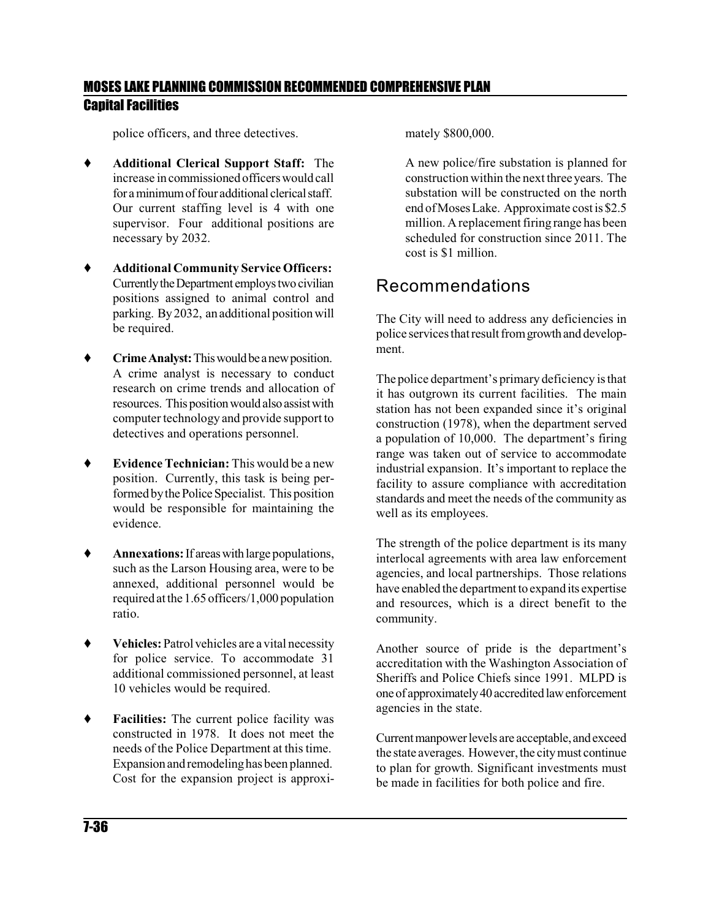police officers, and three detectives.

- **Additional Clerical Support Staff:** The increase in commissioned officerswould call for a minimum of four additional clerical staff. Our current staffing level is 4 with one supervisor. Four additional positions are necessary by 2032.
- **Additional Community Service Officers:** Currently the Department employs two civilian positions assigned to animal control and parking. By2032, an additional position will be required.
- **Figure Analyst:** This would be a new position. A crime analyst is necessary to conduct research on crime trends and allocation of resources. This position would also assist with computer technology and provide support to detectives and operations personnel.
- **Evidence Technician:** This would be a new position. Currently, this task is being performed by the Police Specialist. This position would be responsible for maintaining the evidence.
- ◆ **Annexations:** If areas with large populations, such as the Larson Housing area, were to be annexed, additional personnel would be required atthe 1.65 officers/1,000 population ratio.
- ◆ **Vehicles:** Patrol vehicles are a vital necessity for police service. To accommodate 31 additional commissioned personnel, at least 10 vehicles would be required.
- **Facilities:** The current police facility was constructed in 1978. It does not meet the needs of the Police Department at this time. Expansion and remodelinghas been planned. Cost for the expansion project is approxi-

mately \$800,000.

A new police/fire substation is planned for construction within the next threeyears. The substation will be constructed on the north end ofMoses Lake. Approximate cost is \$2.5 million. A replacement firing range has been scheduled for construction since 2011. The cost is \$1 million.

### Recommendations

The City will need to address any deficiencies in police services that result from growth and development.

Thepolice department's primary deficiency isthat it has outgrown its current facilities. The main station has not been expanded since it's original construction (1978), when the department served a population of 10,000. The department's firing range was taken out of service to accommodate industrial expansion. It's important to replace the facility to assure compliance with accreditation standards and meet the needs of the community as well as its employees.

The strength of the police department is its many interlocal agreements with area law enforcement agencies, and local partnerships. Those relations have enabled the department to expand its expertise and resources, which is a direct benefit to the community.

Another source of pride is the department's accreditation with the Washington Association of Sheriffs and Police Chiefs since 1991. MLPD is one of approximately 40 accredited law enforcement agencies in the state.

Currentmanpowerlevels are acceptable, andexceed the state averages. However, the city must continue to plan for growth. Significant investments must be made in facilities for both police and fire.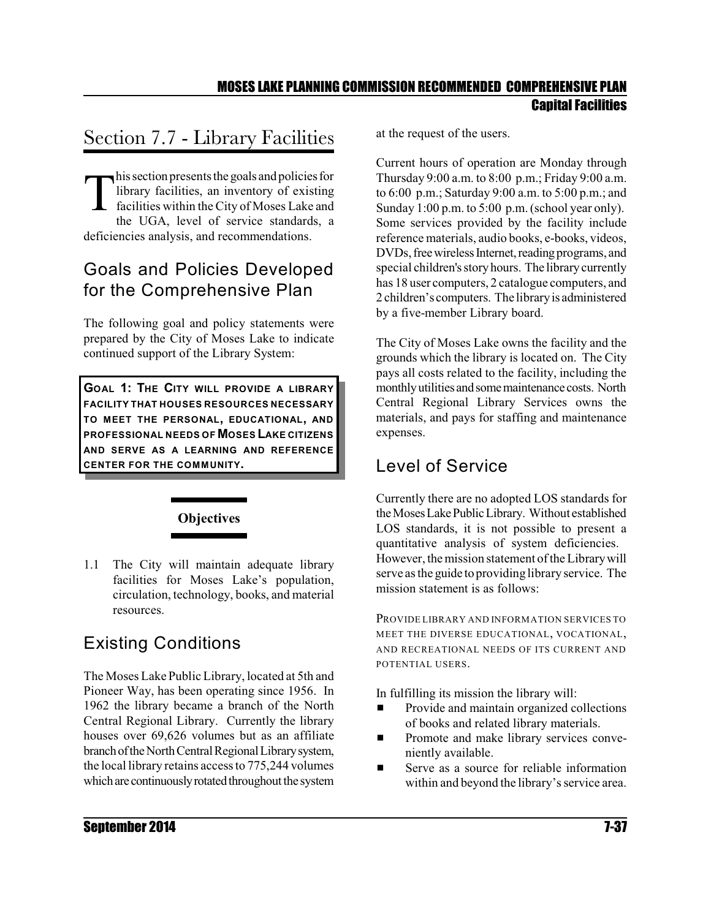# Section 7.7 - Library Facilities

This section presents the goals and policies for<br>library facilities, an inventory of existing<br>facilities within the City of Moses Lake and<br>the UGA level of service standards library facilities, an inventory of existing facilities within the City of Moses Lake and the UGA, level of service standards, a deficiencies analysis, and recommendations.

# Goals and Policies Developed for the Comprehensive Plan

The following goal and policy statements were prepared by the City of Moses Lake to indicate continued support of the Library System:

**GOAL 1: THE CITY WILL PROVIDE A LIBRARY FACILITY THAT HOUSES RESOURCES NECESSARY TO MEET THE PERSONAL, EDUCATIONAL, AND PROFESSIONAL NEEDS OF MOSES LAKE CITIZENS AND SERVE AS A LEARNING AND REFERENCE CENTER FOR THE COMMUNITY.** 

# **Objectives**

1.1 The City will maintain adequate library facilities for Moses Lake's population, circulation, technology, books, and material resources.

# Existing Conditions

The Moses Lake Public Library, located at 5th and Pioneer Way, has been operating since 1956. In 1962 the library became a branch of the North Central Regional Library. Currently the library houses over 69,626 volumes but as an affiliate branch of the North Central Regional Library system, the local library retains accessto 775,244 volumes which are continuously rotated throughout the system at the request of the users.

Current hours of operation are Monday through Thursday 9:00 a.m. to 8:00 p.m.; Friday 9:00 a.m. to 6:00 p.m.; Saturday 9:00 a.m. to 5:00 p.m.; and Sunday 1:00 p.m. to 5:00 p.m. (school year only). Some services provided by the facility include reference materials, audio books, e-books, videos, DVDs, free wireless Internet, reading programs, and special children's story hours. The library currently has 18 user computers, 2 catalogue computers, and 2 children's computers. The libraryis administered by a five-member Library board.

The City of Moses Lake owns the facility and the grounds which the library is located on. The City pays all costs related to the facility, including the monthly utilities and some maintenance costs. North Central Regional Library Services owns the materials, and pays for staffing and maintenance expenses.

# Level of Service

Currently there are no adopted LOS standards for theMosesLakePublicLibrary. Without established LOS standards, it is not possible to present a quantitative analysis of system deficiencies. However, the mission statement of the Library will serve as the guide toproviding library service. The mission statement is as follows:

PROVIDE LIBRARY AND INFORMATION SERVICES TO MEET THE DIVERSE EDUCATIONAL, VOCATIONAL, AND RECREATIONAL NEEDS OF ITS CURRENT AND POTENTIAL USERS.

In fulfilling its mission the library will:

- **EXECUTE:** Provide and maintain organized collections of books and related library materials.
- **EXECUTE:** Promote and make library services conveniently available.
- **EXECUTE:** Serve as a source for reliable information within and beyond the library's service area.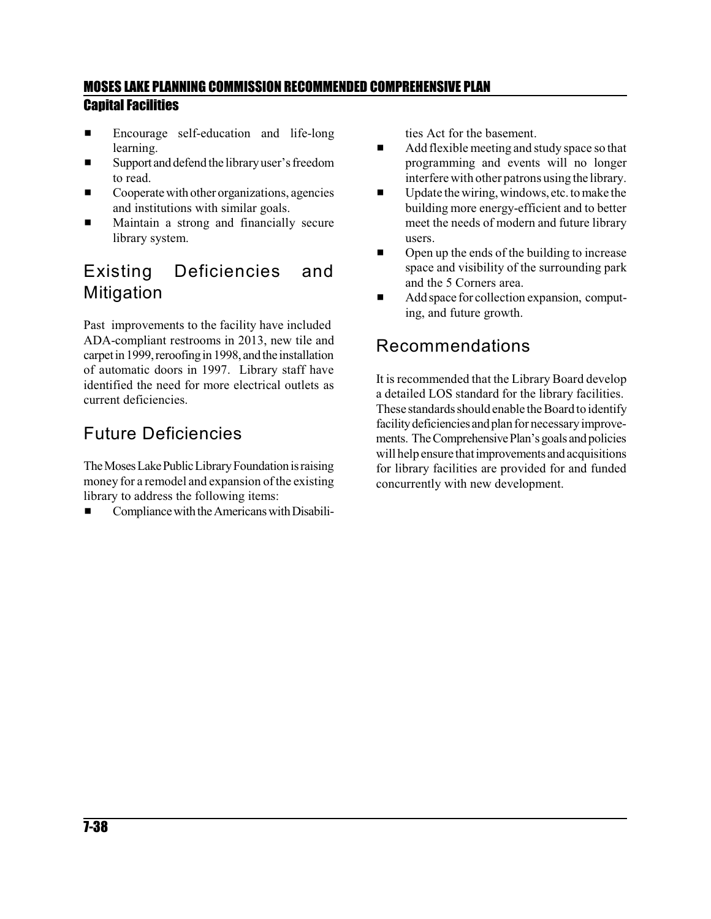- **Encourage self-education and life-long** learning.
- $\blacksquare$  Support and defend the library user's freedom to read.
- $\Box$  Cooperate with other organizations, agencies and institutions with similar goals.
- $\blacksquare$  Maintain a strong and financially secure library system.

# Existing Deficiencies and Mitigation

Past improvements to the facility have included ADA-compliant restrooms in 2013, new tile and carpet in 1999, reroofing in 1998, and the installation of automatic doors in 1997. Library staff have identified the need for more electrical outlets as current deficiencies.

# Future Deficiencies

The Moses Lake Public Library Foundation is raising money for a remodel and expansion of the existing library to address the following items:

Compliance with the Americans with Disabili-

ties Act for the basement.

- $\blacksquare$  Add flexible meeting and study space so that programming and events will no longer interfere with other patrons using the library.
- $\blacksquare$  Update the wiring, windows, etc. to make the building more energy-efficient and to better meet the needs of modern and future library users.
- $\Box$  Open up the ends of the building to increase space and visibility of the surrounding park and the 5 Corners area.
- $\blacksquare$  Add space for collection expansion, computing, and future growth.

## Recommendations

It is recommended that the Library Board develop a detailed LOS standard for the library facilities. These standards should enable the Board to identify facility deficiencies and plan for necessary improvements. The Comprehensive Plan's goals and policies will help ensure that improvements and acquisitions for library facilities are provided for and funded concurrently with new development.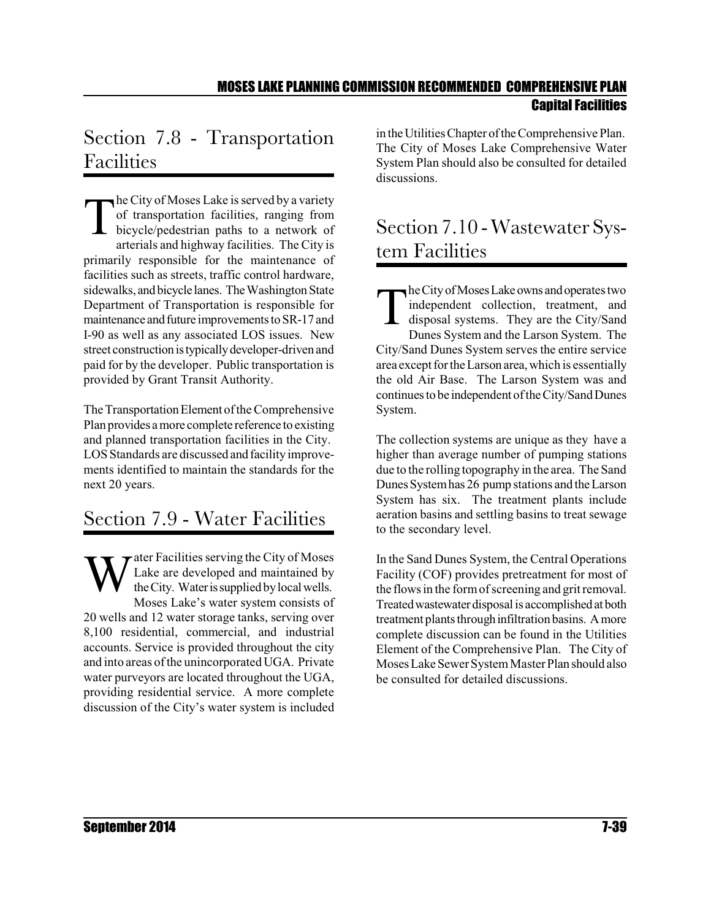# Section 7.8 - Transportation Facilities

The City of Moses Lake is served by a variety<br>of transportation facilities, ranging from<br>bicycle/pedestrian paths to a network of<br>arterials and highway facilities. The City is of transportation facilities, ranging from bicycle/pedestrian paths to a network of arterials and highway facilities. The City is primarily responsible for the maintenance of facilities such as streets, traffic control hardware, sidewalks, andbicycle lanes. TheWashington State Department of Transportation is responsible for maintenance and future improvements to SR-17 and I-90 as well as any associated LOS issues. New street construction is typically developer-driven and paid for by the developer. Public transportation is provided by Grant Transit Authority.

The Transportation Element of the Comprehensive Plan provides a more complete reference to existing and planned transportation facilities in the City. LOS Standards are discussed and facility improvements identified to maintain the standards for the next 20 years.

# Section 7.9 - Water Facilities

W ater Facilities serving the City of Moses Lake are developed and maintained by the City. Water is supplied by local wells. Moses Lake's water system consists of 20 wells and 12 water storage tanks, serving over 8,100 residential, commercial, and industrial accounts. Service is provided throughout the city and into areas of the unincorporated UGA. Private water purveyors are located throughout the UGA, providing residential service. A more complete discussion of the City's water system is included

in the UtilitiesChapter ofthe Comprehensive Plan. The City of Moses Lake Comprehensive Water System Plan should also be consulted for detailed discussions.

# Section 7.10 - Wastewater System Facilities

T he City of Moses Lake owns and operates two independent collection, treatment, and disposal systems. They are the City/Sand Dunes System and the Larson System. The City/Sand Dunes System serves the entire service area except for the Larson area, which is essentially the old Air Base. The Larson System was and continues to be independent of the City/Sand Dunes System.

The collection systems are unique as they have a higher than average number of pumping stations due to the rolling topography in the area. The Sand DunesSystemhas 26 pump stations and the Larson System has six. The treatment plants include aeration basins and settling basins to treat sewage to the secondary level.

In the Sand Dunes System, the Central Operations Facility (COF) provides pretreatment for most of the flows in the form of screening and grit removal. Treatedwastewaterdisposal is accomplishedat both treatment plants through infiltration basins. A more complete discussion can be found in the Utilities Element of the Comprehensive Plan. The City of Moses Lake SewerSystem MasterPlan should also be consulted for detailed discussions.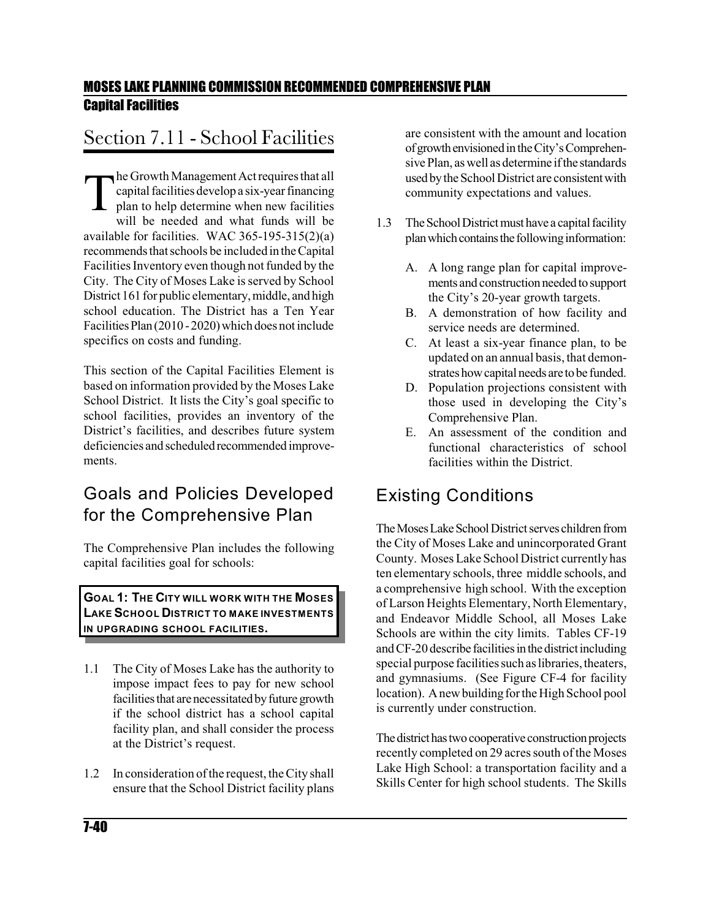# Section 7.11 - School Facilities

The Growth Management Act requires that all<br>capital facilities develop a six-year financing<br>plan to help determine when new facilities<br>will be needed and what funds will be capital facilities develop a six-year financing plan to help determine when new facilities will be needed and what funds will be available for facilities. WAC 365-195-315(2)(a) recommends that schools be included in the Capital Facilities Inventory even though not funded by the City. The City of Moses Lake is served by School District 161 for public elementary, middle, and high school education. The District has a Ten Year Facilities Plan (2010 - 2020) which does not include specifics on costs and funding.

This section of the Capital Facilities Element is based on information provided by the Moses Lake School District. It lists the City's goal specific to school facilities, provides an inventory of the District's facilities, and describes future system deficiencies and scheduled recommended improvements.

## Goals and Policies Developed for the Comprehensive Plan

The Comprehensive Plan includes the following capital facilities goal for schools:

**GOAL 1: THE CITY WILL WORK WITH THE MOSES LAKE SCHOOL DISTRICT TO MAKE INVESTMENTS IN UPGRADING SCHOOL FACILITIES.**

- 1.1 The City of Moses Lake has the authority to impose impact fees to pay for new school facilities that are necessitated by future growth if the school district has a school capital facility plan, and shall consider the process at the District's request.
- 1.2 In consideration of the request, the City shall ensure that the School District facility plans

are consistent with the amount and location ofgrowthenvisionedintheCity'sComprehensive Plan, aswell as determine ifthe standards used by the School District are consistent with community expectations and values.

- 1.3 The School District must have a capital facility plan which contains the following information:
	- A. A long range plan for capital improvements and construction needed to support the City's 20-year growth targets.
	- B. A demonstration of how facility and service needs are determined.
	- C. At least a six-year finance plan, to be updated on an annual basis, that demonstrates how capital needs are to be funded.
	- D. Population projections consistent with those used in developing the City's Comprehensive Plan.
	- E. An assessment of the condition and functional characteristics of school facilities within the District.

### Existing Conditions

The Moses Lake School District serves children from the City of Moses Lake and unincorporated Grant County. Moses Lake School District currently has ten elementary schools, three middle schools, and a comprehensive high school. With the exception of Larson Heights Elementary, North Elementary, and Endeavor Middle School, all Moses Lake Schools are within the city limits. Tables CF-19 and CF-20 describe facilities in the district including special purpose facilities such as libraries, theaters, and gymnasiums. (See Figure CF-4 for facility location). A new building for the High School pool is currently under construction.

The district has two cooperative construction projects recently completed on 29 acres south of the Moses Lake High School: a transportation facility and a Skills Center for high school students. The Skills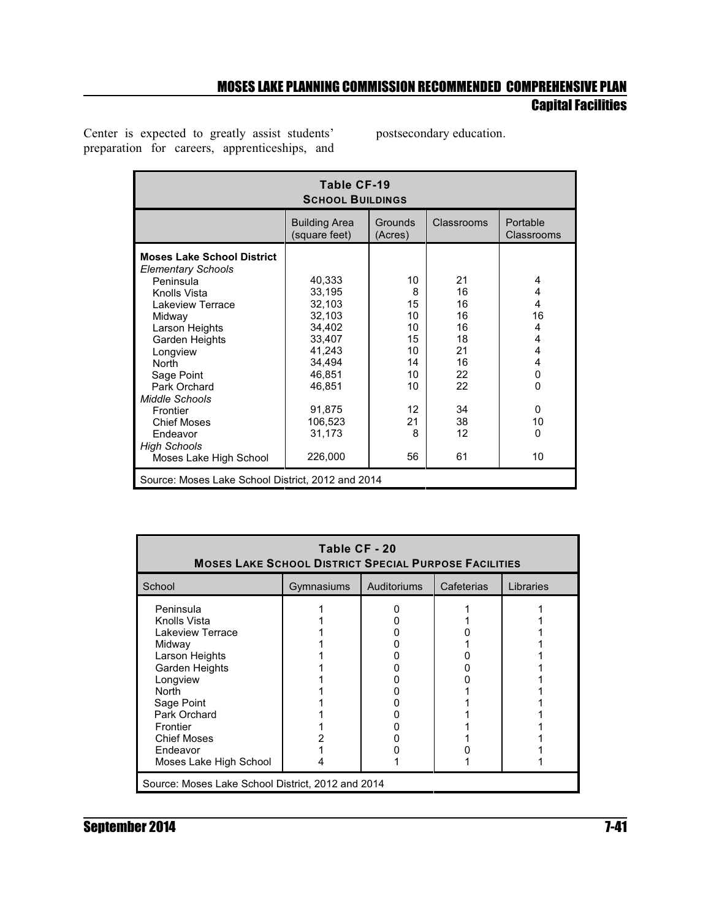Center is expected to greatly assist students' preparation for careers, apprenticeships, and postsecondary education.

| Table CF-19<br><b>SCHOOL BUILDINGS</b>                                                                                                                                                                                                                                                                                                   |                                                                                                                                            |                                                                                |                                                                                  |                                                                                         |  |  |  |  |  |  |  |
|------------------------------------------------------------------------------------------------------------------------------------------------------------------------------------------------------------------------------------------------------------------------------------------------------------------------------------------|--------------------------------------------------------------------------------------------------------------------------------------------|--------------------------------------------------------------------------------|----------------------------------------------------------------------------------|-----------------------------------------------------------------------------------------|--|--|--|--|--|--|--|
|                                                                                                                                                                                                                                                                                                                                          | <b>Building Area</b><br>(square feet)                                                                                                      | Grounds<br>(Acres)                                                             | Classrooms                                                                       | Portable<br>Classrooms                                                                  |  |  |  |  |  |  |  |
| <b>Moses Lake School District</b><br><b>Elementary Schools</b><br>Peninsula<br>Knolls Vista<br>Lakeview Terrace<br>Midway<br>Larson Heights<br>Garden Heights<br>Longview<br><b>North</b><br>Sage Point<br>Park Orchard<br>Middle Schools<br>Frontier<br><b>Chief Moses</b><br>Endeavor<br><b>High Schools</b><br>Moses Lake High School | 40,333<br>33,195<br>32,103<br>32,103<br>34,402<br>33,407<br>41,243<br>34,494<br>46,851<br>46,851<br>91,875<br>106,523<br>31,173<br>226,000 | 10<br>8<br>15<br>10<br>10<br>15<br>10<br>14<br>10<br>10<br>12<br>21<br>8<br>56 | 21<br>16<br>16<br>16<br>16<br>18<br>21<br>16<br>22<br>22<br>34<br>38<br>12<br>61 | 4<br>4<br>4<br>16<br>4<br>4<br>4<br>4<br>0<br>$\Omega$<br>$\mathbf{0}$<br>10<br>0<br>10 |  |  |  |  |  |  |  |
| Source: Moses Lake School District, 2012 and 2014                                                                                                                                                                                                                                                                                        |                                                                                                                                            |                                                                                |                                                                                  |                                                                                         |  |  |  |  |  |  |  |

| Table CF - 20<br><b>MOSES LAKE SCHOOL DISTRICT SPECIAL PURPOSE FACILITIES</b>                                                                                                                                                 |  |  |  |  |  |  |  |  |  |  |
|-------------------------------------------------------------------------------------------------------------------------------------------------------------------------------------------------------------------------------|--|--|--|--|--|--|--|--|--|--|
| Libraries<br>School<br>Auditoriums<br>Gymnasiums<br>Cafeterias                                                                                                                                                                |  |  |  |  |  |  |  |  |  |  |
| Peninsula<br>Knolls Vista<br>Lakeview Terrace<br>Midway<br>Larson Heights<br>Garden Heights<br>Longview<br><b>North</b><br>Sage Point<br>Park Orchard<br>Frontier<br><b>Chief Moses</b><br>Endeavor<br>Moses Lake High School |  |  |  |  |  |  |  |  |  |  |
| Source: Moses Lake School District, 2012 and 2014                                                                                                                                                                             |  |  |  |  |  |  |  |  |  |  |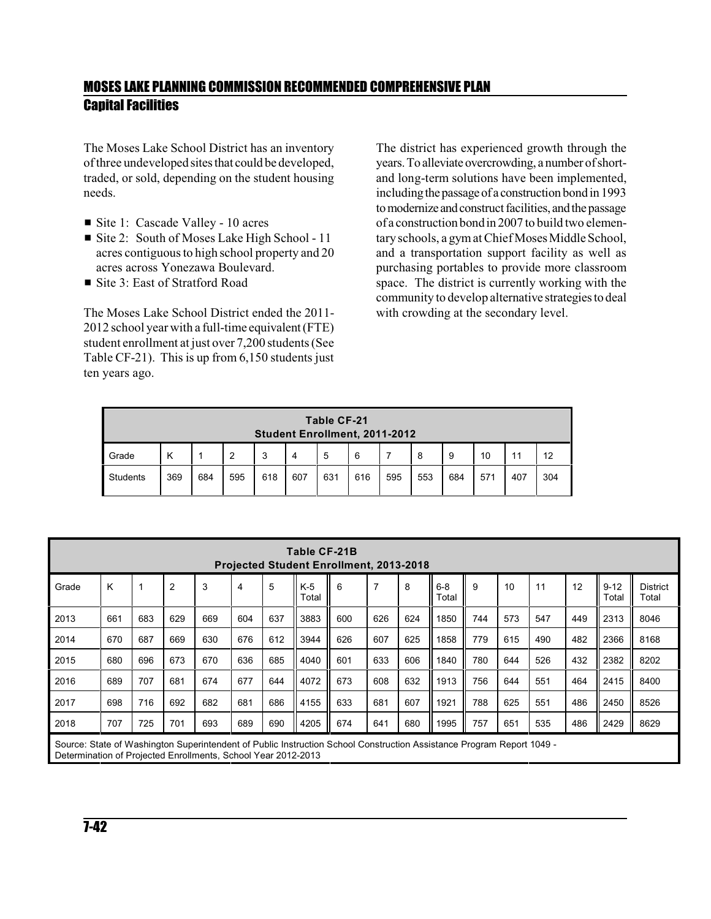The Moses Lake School District has an inventory of three undevelopedsites that could be developed, traded, or sold, depending on the student housing needs.

- Site 1: Cascade Valley 10 acres
- Site 2: South of Moses Lake High School 11 acres contiguous to high school property and 20 acres across Yonezawa Boulevard.
- $\blacksquare$  Site 3: East of Stratford Road

The Moses Lake School District ended the 2011- 2012 school year with a full-time equivalent (FTE) student enrollment at just over 7,200 students(See Table CF-21). This is up from 6,150 students just ten years ago.

The district has experienced growth through the years. To alleviate overcrowding, a number of shortand long-term solutions have been implemented, including the passage of a construction bond in 1993 to modernize and construct facilities, and the passage of a construction bondin 2007 to build two elementary schools, a gymatChief Moses Middle School, and a transportation support facility as well as purchasing portables to provide more classroom space. The district is currently working with the community to develop alternative strategies to deal with crowding at the secondary level.

| Table CF-21<br><b>Student Enrollment, 2011-2012</b> |     |     |     |     |     |     |     |     |     |     |     |     |     |
|-----------------------------------------------------|-----|-----|-----|-----|-----|-----|-----|-----|-----|-----|-----|-----|-----|
| Grade                                               | κ   |     | 2   | 3   | 4   | 5   | 6   |     | 8   | 9   | 10  | 11  | 12  |
| <b>Students</b>                                     | 369 | 684 | 595 | 618 | 607 | 631 | 616 | 595 | 553 | 684 | 571 | 407 | 304 |

| Table CF-21B<br><b>Projected Student Enrollment, 2013-2018</b>                                                                                                                         |     |     |                |     |     |     |                |     |                |     |                  |     |     |     |     |                   |                          |
|----------------------------------------------------------------------------------------------------------------------------------------------------------------------------------------|-----|-----|----------------|-----|-----|-----|----------------|-----|----------------|-----|------------------|-----|-----|-----|-----|-------------------|--------------------------|
| Grade                                                                                                                                                                                  | K   |     | $\overline{2}$ | 3   | 4   | 5   | $K-5$<br>Total | 6   | $\overline{7}$ | 8   | $6 - 8$<br>Total | 9   | 10  | 11  | 12  | $9 - 12$<br>Total | <b>District</b><br>Total |
| 2013                                                                                                                                                                                   | 661 | 683 | 629            | 669 | 604 | 637 | 3883           | 600 | 626            | 624 | 1850             | 744 | 573 | 547 | 449 | 2313              | 8046                     |
| 2014                                                                                                                                                                                   | 670 | 687 | 669            | 630 | 676 | 612 | 3944           | 626 | 607            | 625 | 1858             | 779 | 615 | 490 | 482 | 2366              | 8168                     |
| 2015                                                                                                                                                                                   | 680 | 696 | 673            | 670 | 636 | 685 | 4040           | 601 | 633            | 606 | 1840             | 780 | 644 | 526 | 432 | 2382              | 8202                     |
| 2016                                                                                                                                                                                   | 689 | 707 | 681            | 674 | 677 | 644 | 4072           | 673 | 608            | 632 | 1913             | 756 | 644 | 551 | 464 | 2415              | 8400                     |
| 2017                                                                                                                                                                                   | 698 | 716 | 692            | 682 | 681 | 686 | 4155           | 633 | 681            | 607 | 1921             | 788 | 625 | 551 | 486 | 2450              | 8526                     |
| 2018                                                                                                                                                                                   | 707 | 725 | 701            | 693 | 689 | 690 | 4205           | 674 | 641            | 680 | 1995             | 757 | 651 | 535 | 486 | 2429              | 8629                     |
| Source: State of Washington Superintendent of Public Instruction School Construction Assistance Program Report 1049 -<br>Determination of Projected Enrollments, School Year 2012-2013 |     |     |                |     |     |     |                |     |                |     |                  |     |     |     |     |                   |                          |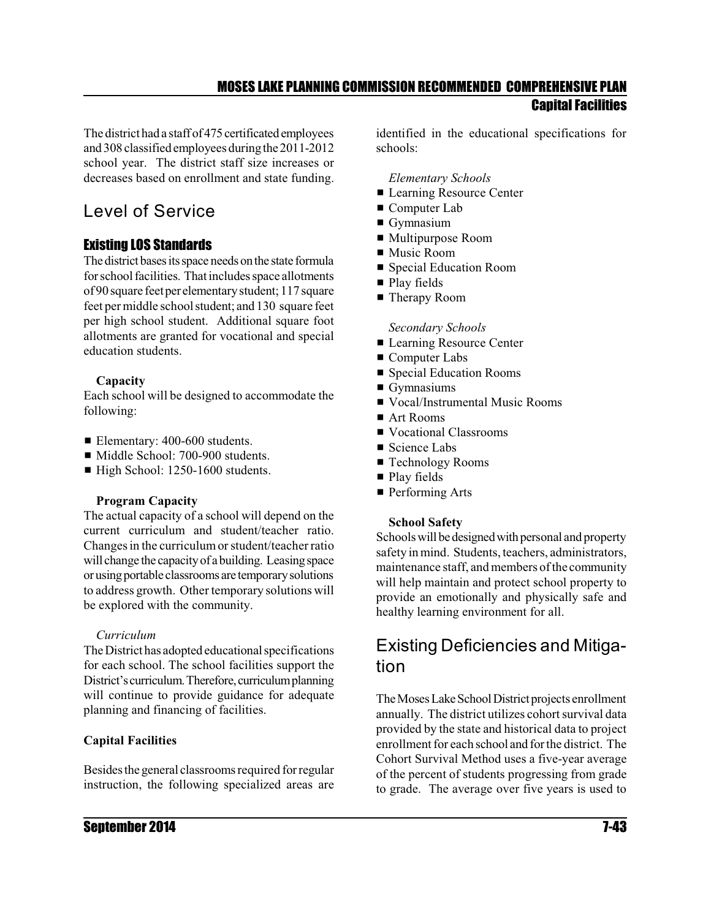The district had a staff of 475 certificated employees and 308 classified employees duringthe 2011-2012 school year. The district staff size increases or decreases based on enrollment and state funding.

# Level of Service

#### Existing LOS Standards

The district bases its space needs on the state formula for school facilities. That includes space allotments of 90 square feetper elementarystudent; 117 square feet permiddle school student; and 130 square feet per high school student. Additional square foot allotments are granted for vocational and special education students.

#### **Capacity**

Each school will be designed to accommodate the following:

- Elementary: 400-600 students.
- Middle School: 700-900 students.
- $\blacksquare$  High School: 1250-1600 students.

#### **Program Capacity**

The actual capacity of a school will depend on the current curriculum and student/teacher ratio. Changes in the curriculum or student/teacher ratio will change the capacity of a building. Leasing space orusingportable classrooms are temporarysolutions to address growth. Other temporary solutions will be explored with the community.

#### *Curriculum*

The District has adopted educational specifications for each school. The school facilities support the District's curriculum. Therefore, curriculum planning will continue to provide guidance for adequate planning and financing of facilities.

#### **Capital Facilities**

Besidesthe general classrooms required for regular instruction, the following specialized areas are identified in the educational specifications for schools:

#### *Elementary Schools*

- **Examing Resource Center**
- $\blacksquare$  Computer Lab
- $\blacksquare$  Gymnasium
- Multipurpose Room
- $\blacksquare$  Music Room
- **Exercial Education Room**
- $\blacksquare$  Play fields
- **Therapy Room**

#### *Secondary Schools*

- **Examing Resource Center**
- $\blacksquare$  Computer Labs
- **Exercise Special Education Rooms**
- $\blacksquare$  Gymnasiums
- Vocal/Instrumental Music Rooms
- $$
- Vocational Classrooms
- $\blacksquare$  Science Labs
- **Exercise** Technology Rooms
- Play fields
- $\blacksquare$  Performing Arts

#### **School Safety**

Schools will be designed with personal and property safety in mind. Students, teachers, administrators, maintenance staff, and members of the community will help maintain and protect school property to provide an emotionally and physically safe and healthy learning environment for all.

### Existing Deficiencies and Mitigation

The Moses Lake School District projects enrollment annually. The district utilizes cohort survival data provided by the state and historical data to project enrollment for each school and for the district. The Cohort Survival Method uses a five-year average of the percent of students progressing from grade to grade. The average over five years is used to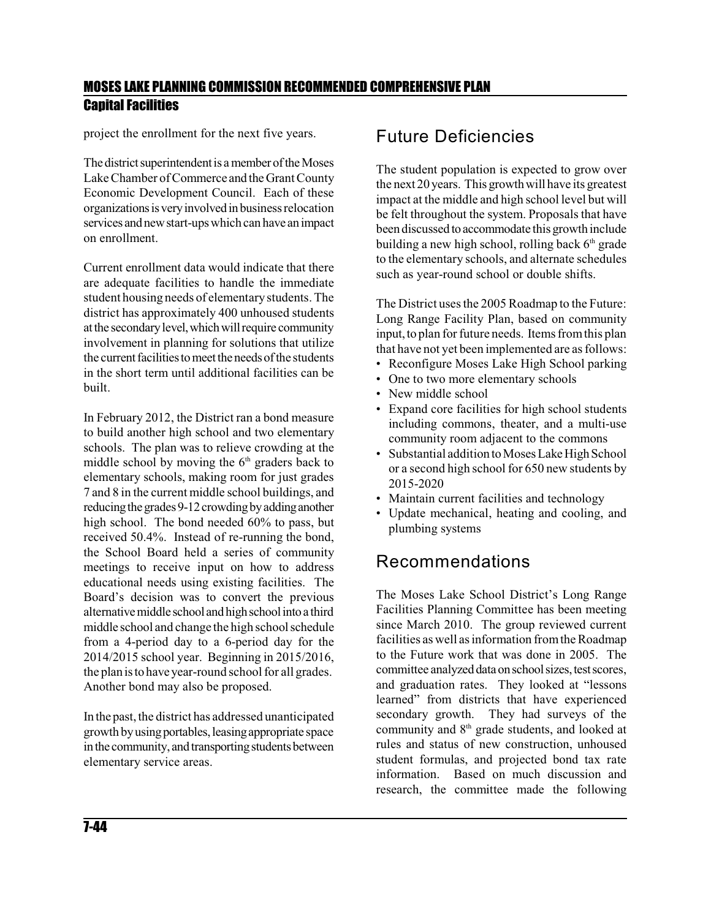project the enrollment for the next five years.

The district superintendent is a member of the Moses Lake Chamber of Commerce and the Grant County Economic Development Council. Each of these organizationsisveryinvolvedinbusinessrelocation services and new start-ups which can have an impact on enrollment.

Current enrollment data would indicate that there are adequate facilities to handle the immediate student housing needs of elementary students. The district has approximately 400 unhoused students atthe secondarylevel,whichwillrequire community involvement in planning for solutions that utilize the current facilities to meet the needs of the students in the short term until additional facilities can be built.

In February 2012, the District ran a bond measure to build another high school and two elementary schools. The plan was to relieve crowding at the middle school by moving the  $6<sup>th</sup>$  graders back to elementary schools, making room for just grades 7 and 8 in the current middle school buildings, and reducing the grades 9-12 crowding by adding another high school. The bond needed 60% to pass, but received 50.4%. Instead of re-running the bond, the School Board held a series of community meetings to receive input on how to address educational needs using existing facilities. The Board's decision was to convert the previous alternative middle school and high school into a third middle school and change the high school schedule from a 4-period day to a 6-period day for the 2014/2015 school year. Beginning in 2015/2016, the plan is to have year-round school for all grades. Another bond may also be proposed.

In the past, the district has addressed unanticipated growth by using portables, leasing appropriate space in the community, and transporting students between elementary service areas.

### Future Deficiencies

The student population is expected to grow over the next 20 years. This growth will have its greatest impact at the middle and high school level but will be felt throughout the system. Proposals that have been discussed to accommodate this growth include building a new high school, rolling back  $6<sup>th</sup>$  grade to the elementary schools, and alternate schedules such as year-round school or double shifts.

The District uses the 2005 Roadmap to the Future: Long Range Facility Plan, based on community input, to plan for future needs. Items from this plan that have not yet been implemented are as follows:

- Reconfigure Moses Lake High School parking
- One to two more elementary schools
- New middle school
- Expand core facilities for high school students including commons, theater, and a multi-use community room adjacent to the commons
- Substantial addition to Moses Lake High School or a second high school for 650 new students by 2015-2020
- Maintain current facilities and technology
- Update mechanical, heating and cooling, and plumbing systems

### Recommendations

The Moses Lake School District's Long Range Facilities Planning Committee has been meeting since March 2010. The group reviewed current facilities as well as information from the Roadmap to the Future work that was done in 2005. The committee analyzed data on school sizes, test scores, and graduation rates. They looked at "lessons learned" from districts that have experienced secondary growth. They had surveys of the community and  $8<sup>th</sup>$  grade students, and looked at rules and status of new construction, unhoused student formulas, and projected bond tax rate information. Based on much discussion and research, the committee made the following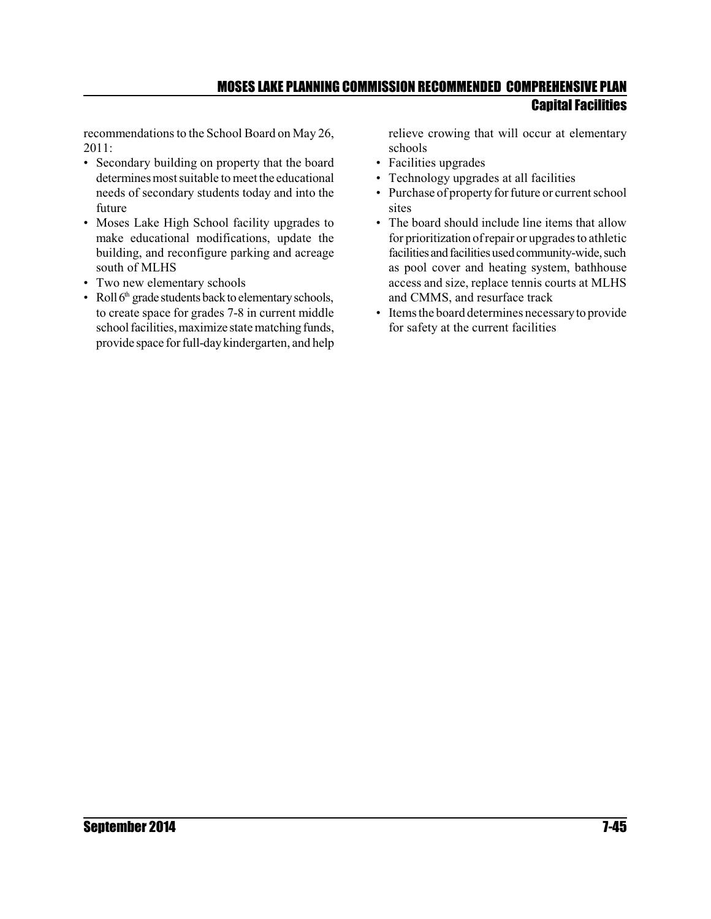recommendations to the School Board on May 26, 2011:

- Secondary building on property that the board determines most suitable to meet the educational needs of secondary students today and into the future
- Moses Lake High School facility upgrades to make educational modifications, update the building, and reconfigure parking and acreage south of MLHS
- Two new elementary schools
- Roll  $6<sup>th</sup>$  grade students back to elementary schools, to create space for grades 7-8 in current middle school facilities, maximize state matching funds, provide space for full-daykindergarten, and help

relieve crowing that will occur at elementary schools

- Facilities upgrades
- Technology upgrades at all facilities
- Purchase of property for future or current school sites
- The board should include line items that allow for prioritization ofrepair or upgrades to athletic facilities and facilities used community-wide, such as pool cover and heating system, bathhouse access and size, replace tennis courts at MLHS and CMMS, and resurface track
- Items the board determines necessaryto provide for safety at the current facilities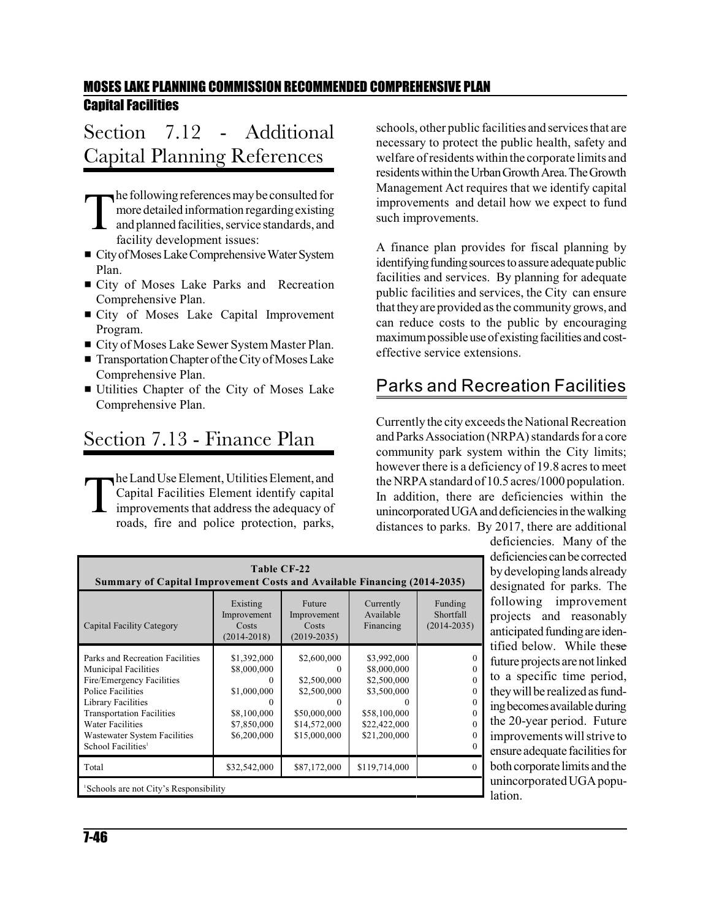# Section 7.12 - Additional Capital Planning References

T he followingreferences maybe consulted for more detailed information regardingexisting and planned facilities, service standards, and facility development issues:

- City of Moses Lake Comprehensive Water System Plan.
- City of Moses Lake Parks and Recreation Comprehensive Plan.
- **Exercity of Moses Lake Capital Improvement** Program.
- City of Moses Lake Sewer System Master Plan.
- Transportation Chapter of the City of Moses Lake Comprehensive Plan.
- **Utilities Chapter of the City of Moses Lake** Comprehensive Plan.

# Section 7.13 - Finance Plan

T he Land Use Element, Utilities Element, and Capital Facilities Element identify capital improvements that address the adequacy of roads, fire and police protection, parks, schools, other public facilities and services that are necessary to protect the public health, safety and welfare of residents within the corporate limits and residents within the Urban Growth Area. The Growth Management Act requires that we identify capital improvements and detail how we expect to fund such improvements.

A finance plan provides for fiscal planning by identifying funding sources to assure adequate public facilities and services. By planning for adequate public facilities and services, the City can ensure that they are provided as the community grows, and can reduce costs to the public by encouraging maximum possible use of existing facilities and costeffective service extensions.

### Parks and Recreation Facilities

Currently the city exceeds the National Recreation and Parks Association (NRPA) standards for a core community park system within the City limits; however there is a deficiency of 19.8 acres to meet the NRPA standard of 10.5 acres/1000 population. In addition, there are deficiencies within the unincorporated UGA and deficiencies in the walking distances to parks. By 2017, there are additional

| Table CF-22<br><b>Summary of Capital Improvement Costs and Available Financing (2014-2035)</b>                                                                                                                                                                                 |                                                                                             |                                                                                                            |                                                                                                          |                                                  |  |  |  |  |  |  |  |
|--------------------------------------------------------------------------------------------------------------------------------------------------------------------------------------------------------------------------------------------------------------------------------|---------------------------------------------------------------------------------------------|------------------------------------------------------------------------------------------------------------|----------------------------------------------------------------------------------------------------------|--------------------------------------------------|--|--|--|--|--|--|--|
| Capital Facility Category                                                                                                                                                                                                                                                      | Existing<br>Improvement<br>Costs<br>$(2014 - 2018)$                                         | Future<br>Improvement<br>Costs<br>$(2019 - 2035)$                                                          | Currently<br>Available<br>Financing                                                                      | Funding<br>Shortfall<br>$(2014 - 2035)$          |  |  |  |  |  |  |  |
| Parks and Recreation Facilities<br><b>Municipal Facilities</b><br>Fire/Emergency Facilities<br><b>Police Facilities</b><br>Library Facilities<br><b>Transportation Facilities</b><br><b>Water Facilities</b><br>Wastewater System Facilities<br>School Facilities <sup>1</sup> | \$1,392,000<br>\$8,000,000<br>0<br>\$1,000,000<br>\$8,100,000<br>\$7,850,000<br>\$6,200,000 | \$2,600,000<br>0<br>\$2,500,000<br>\$2,500,000<br>$\Omega$<br>\$50,000,000<br>\$14,572,000<br>\$15,000,000 | \$3,992,000<br>\$8,000,000<br>\$2,500,000<br>\$3,500,000<br>\$58,100,000<br>\$22,422,000<br>\$21,200,000 | $_{0}$<br>0<br>0<br>$\Omega$<br>0<br>0<br>0<br>0 |  |  |  |  |  |  |  |
| Total                                                                                                                                                                                                                                                                          | \$32,542,000                                                                                | \$87,172,000                                                                                               | \$119,714,000                                                                                            | $\Omega$                                         |  |  |  |  |  |  |  |
| <sup>1</sup> Schools are not City's Responsibility                                                                                                                                                                                                                             |                                                                                             |                                                                                                            |                                                                                                          |                                                  |  |  |  |  |  |  |  |

deficiencies. Many of the deficiencies canbe corrected by developing lands already designated for parks. The following improvement projects and reasonably anticipated funding are identified below. While these future projects are not linked to a specific time period, they will be realized as funding becomes available during the 20-year period. Future improvements will strive to ensure adequate facilities for both corporate limits and the unincorporated UGA population.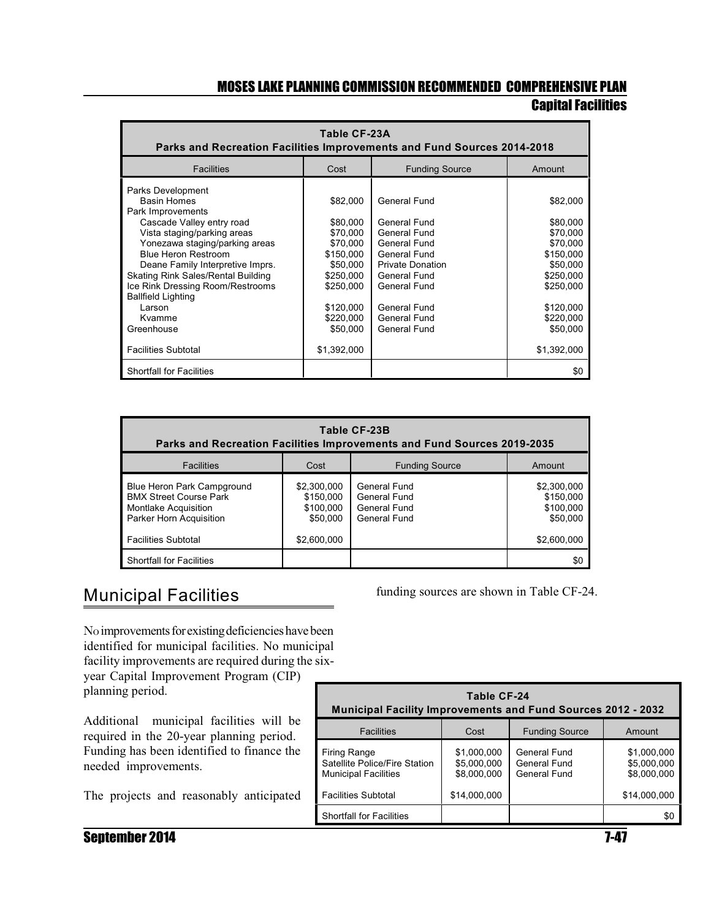| Table CF-23A<br>Parks and Recreation Facilities Improvements and Fund Sources 2014-2018                                                                                                                                                                                                                                                                               |                                                                                                                                       |                                                                                                                                                                                         |                                                                                                                                       |  |
|-----------------------------------------------------------------------------------------------------------------------------------------------------------------------------------------------------------------------------------------------------------------------------------------------------------------------------------------------------------------------|---------------------------------------------------------------------------------------------------------------------------------------|-----------------------------------------------------------------------------------------------------------------------------------------------------------------------------------------|---------------------------------------------------------------------------------------------------------------------------------------|--|
| <b>Facilities</b>                                                                                                                                                                                                                                                                                                                                                     | Cost                                                                                                                                  | <b>Funding Source</b>                                                                                                                                                                   | Amount                                                                                                                                |  |
| Parks Development<br><b>Basin Homes</b><br>Park Improvements<br>Cascade Valley entry road<br>Vista staging/parking areas<br>Yonezawa staging/parking areas<br><b>Blue Heron Restroom</b><br>Deane Family Interpretive Imprs.<br>Skating Rink Sales/Rental Building<br>Ice Rink Dressing Room/Restrooms<br><b>Ballfield Lighting</b><br>Larson<br>Kvamme<br>Greenhouse | \$82,000<br>\$80,000<br>\$70,000<br>\$70,000<br>\$150,000<br>\$50,000<br>\$250,000<br>\$250.000<br>\$120,000<br>\$220,000<br>\$50,000 | General Fund<br>General Fund<br>General Fund<br>General Fund<br>General Fund<br><b>Private Donation</b><br>General Fund<br>General Fund<br>General Fund<br>General Fund<br>General Fund | \$82,000<br>\$80,000<br>\$70,000<br>\$70,000<br>\$150,000<br>\$50,000<br>\$250,000<br>\$250.000<br>\$120,000<br>\$220,000<br>\$50,000 |  |
| <b>Facilities Subtotal</b>                                                                                                                                                                                                                                                                                                                                            | \$1,392,000                                                                                                                           |                                                                                                                                                                                         | \$1,392,000                                                                                                                           |  |
| <b>Shortfall for Facilities</b>                                                                                                                                                                                                                                                                                                                                       |                                                                                                                                       |                                                                                                                                                                                         | \$0                                                                                                                                   |  |

| Table CF-23B<br>Parks and Recreation Facilities Improvements and Fund Sources 2019-2035                               |                                                   |                                                              |                                                   |  |  |
|-----------------------------------------------------------------------------------------------------------------------|---------------------------------------------------|--------------------------------------------------------------|---------------------------------------------------|--|--|
| <b>Facilities</b><br><b>Funding Source</b><br>Cost<br>Amount                                                          |                                                   |                                                              |                                                   |  |  |
| Blue Heron Park Campground<br><b>BMX Street Course Park</b><br><b>Montlake Acquisition</b><br>Parker Horn Acquisition | \$2,300,000<br>\$150,000<br>\$100,000<br>\$50,000 | General Fund<br>General Fund<br>General Fund<br>General Fund | \$2,300,000<br>\$150,000<br>\$100,000<br>\$50,000 |  |  |
| <b>Facilities Subtotal</b>                                                                                            | \$2,600,000                                       |                                                              | \$2,600,000                                       |  |  |
| <b>Shortfall for Facilities</b>                                                                                       |                                                   |                                                              | \$C                                               |  |  |

### Municipal Facilities

No improvements for existing deficiencies have been identified for municipal facilities. No municipal facility improvements are required during the sixyear Capital Improvement Program (CIP) planning period.

Additional municipal facilities will be required in the 20-year planning period. Funding has been identified to finance the needed improvements.

The projects and reasonably anticipated

funding sources are shown in Table CF-24.

| Table CF-24<br><b>Municipal Facility Improvements and Fund Sources 2012 - 2032</b>  |                                           |                                              |                                           |  |  |
|-------------------------------------------------------------------------------------|-------------------------------------------|----------------------------------------------|-------------------------------------------|--|--|
| <b>Facilities</b><br>Cost<br><b>Funding Source</b><br>Amount                        |                                           |                                              |                                           |  |  |
| <b>Firing Range</b><br>Satellite Police/Fire Station<br><b>Municipal Facilities</b> | \$1,000,000<br>\$5,000,000<br>\$8,000,000 | General Fund<br>General Fund<br>General Fund | \$1,000,000<br>\$5,000,000<br>\$8,000,000 |  |  |
| <b>Facilities Subtotal</b>                                                          | \$14,000,000                              |                                              | \$14,000,000                              |  |  |
| <b>Shortfall for Facilities</b>                                                     |                                           |                                              | \$0                                       |  |  |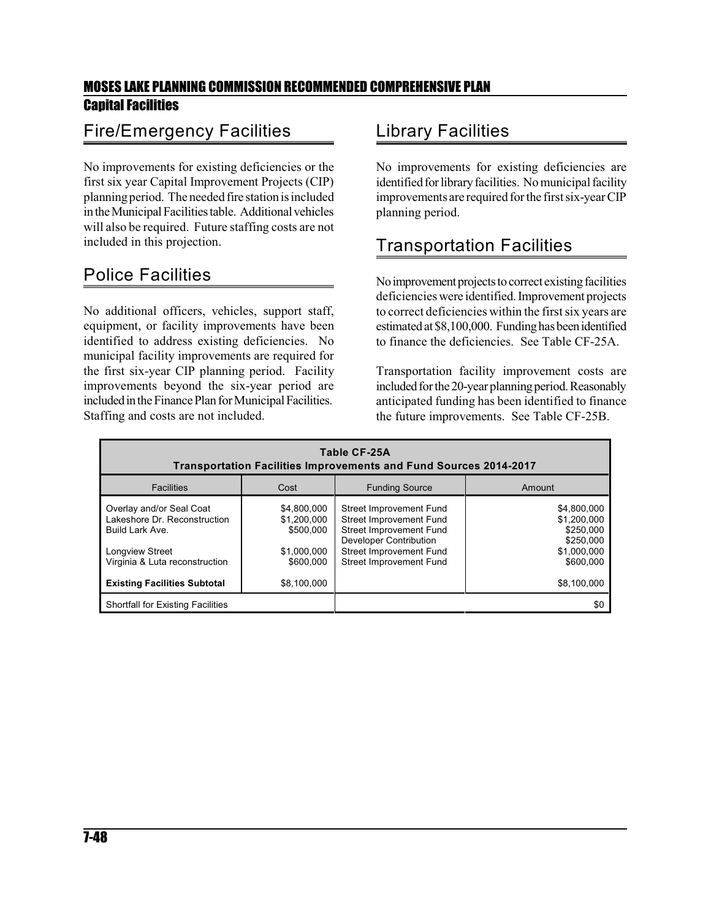### Fire/Emergency Facilities

No improvements for existing deficiencies or the first six year Capital Improvement Projects (CIP) planning period. The needed fire station is included intheMunicipalFacilitiestable. Additional vehicles will also be required. Future staffing costs are not included in this projection.

### Police Facilities

No additional officers, vehicles, support staff, equipment, or facility improvements have been identified to address existing deficiencies. No municipal facility improvements are required for the first six-year CIP planning period. Facility improvements beyond the six-year period are included in the Finance Plan for Municipal Facilities. Staffing and costs are not included.

### Library Facilities

No improvements for existing deficiencies are identified for library facilities. No municipal facility improvements are required for the first six-year CIP planning period.

### Transportation Facilities

No improvement projects to correct existing facilities deficiencies were identified. Improvement projects to correct deficiencies within the first six years are estimated at \$8,100,000. Funding has been identified to finance the deficiencies. See Table CF-25A.

Transportation facility improvement costs are included for the 20-year planning period. Reasonably anticipated funding has been identified to finance the future improvements. See Table CF-25B.

| Table CF-25A<br>Transportation Facilities Improvements and Fund Sources 2014-2017                                                       |                                                                     |                                                                                                                                                                                    |                                                                                  |  |
|-----------------------------------------------------------------------------------------------------------------------------------------|---------------------------------------------------------------------|------------------------------------------------------------------------------------------------------------------------------------------------------------------------------------|----------------------------------------------------------------------------------|--|
| <b>Facilities</b>                                                                                                                       | Cost                                                                | <b>Funding Source</b>                                                                                                                                                              | Amount                                                                           |  |
| Overlay and/or Seal Coat<br>Lakeshore Dr. Reconstruction<br>Build Lark Ave.<br><b>Longview Street</b><br>Virginia & Luta reconstruction | \$4,800,000<br>\$1,200,000<br>\$500,000<br>\$1,000,000<br>\$600,000 | Street Improvement Fund<br><b>Street Improvement Fund</b><br><b>Street Improvement Fund</b><br>Developer Contribution<br>Street Improvement Fund<br><b>Street Improvement Fund</b> | \$4,800,000<br>\$1,200,000<br>\$250,000<br>\$250,000<br>\$1,000,000<br>\$600,000 |  |
| <b>Existing Facilities Subtotal</b>                                                                                                     | \$8,100,000                                                         |                                                                                                                                                                                    | \$8,100,000                                                                      |  |
| <b>Shortfall for Existing Facilities</b>                                                                                                |                                                                     |                                                                                                                                                                                    | \$0                                                                              |  |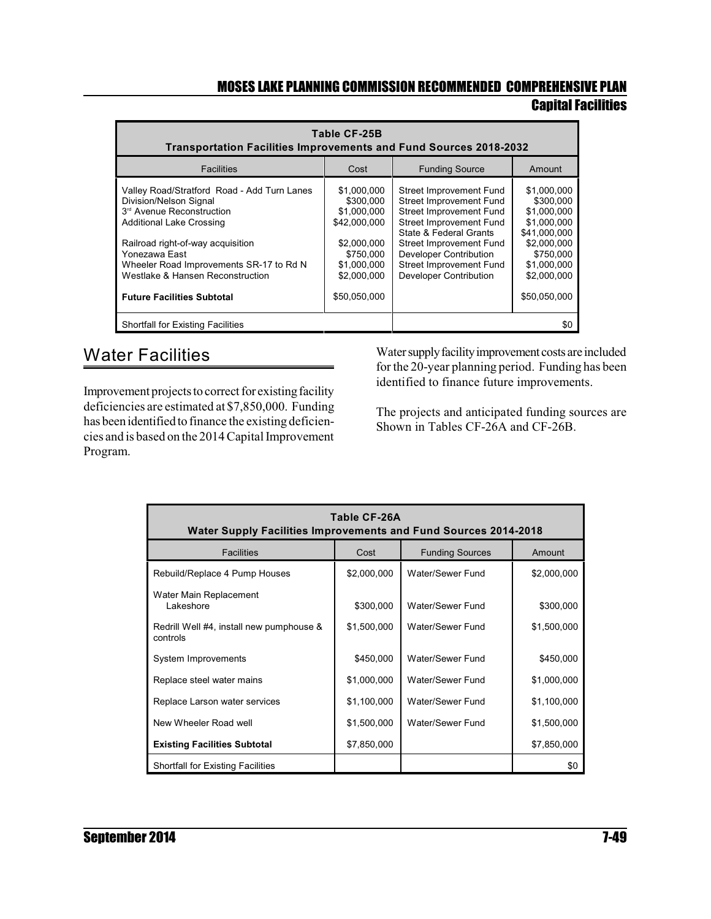# MOSES LAKE PLANNING COMMISSION RECOMMENDED COMPREHENSIVE PLAN

### Capital Facilities

| Table CF-25B<br><b>Transportation Facilities Improvements and Fund Sources 2018-2032</b>                                                          |                                                         |                                                                                                                                         |                                                                        |  |  |
|---------------------------------------------------------------------------------------------------------------------------------------------------|---------------------------------------------------------|-----------------------------------------------------------------------------------------------------------------------------------------|------------------------------------------------------------------------|--|--|
| <b>Facilities</b>                                                                                                                                 | Cost                                                    | <b>Funding Source</b>                                                                                                                   | Amount                                                                 |  |  |
| Valley Road/Stratford Road - Add Turn Lanes<br>Division/Nelson Signal<br>3 <sup>rd</sup> Avenue Reconstruction<br><b>Additional Lake Crossing</b> | \$1,000,000<br>\$300,000<br>\$1,000,000<br>\$42,000,000 | Street Improvement Fund<br>Street Improvement Fund<br>Street Improvement Fund<br>Street Improvement Fund                                | \$1,000,000<br>\$300,000<br>\$1,000,000<br>\$1.000.000                 |  |  |
| Railroad right-of-way acquisition<br>Yonezawa East<br>Wheeler Road Improvements SR-17 to Rd N<br>Westlake & Hansen Reconstruction                 | \$2,000,000<br>\$750,000<br>\$1,000,000<br>\$2,000,000  | State & Federal Grants<br>Street Improvement Fund<br>Developer Contribution<br><b>Street Improvement Fund</b><br>Developer Contribution | \$41,000,000<br>\$2,000,000<br>\$750,000<br>\$1,000,000<br>\$2,000,000 |  |  |
| <b>Future Facilities Subtotal</b>                                                                                                                 | \$50.050.000                                            |                                                                                                                                         | \$50.050.000                                                           |  |  |
| <b>Shortfall for Existing Facilities</b>                                                                                                          |                                                         | \$0                                                                                                                                     |                                                                        |  |  |

### Water Facilities

Improvement projects to correct for existing facility deficiencies are estimated at \$7,850,000. Funding has been identified to finance the existing deficiencies and is based on the 2014Capital Improvement Program.

Water supply facility improvement costs are included for the 20-year planning period. Funding has been identified to finance future improvements.

The projects and anticipated funding sources are Shown in Tables CF-26A and CF-26B.

| Table CF-26A<br><b>Water Supply Facilities Improvements and Fund Sources 2014-2018</b> |             |                        |             |  |  |
|----------------------------------------------------------------------------------------|-------------|------------------------|-------------|--|--|
| <b>Facilities</b>                                                                      | Cost        | <b>Funding Sources</b> | Amount      |  |  |
| Rebuild/Replace 4 Pump Houses                                                          | \$2,000,000 | Water/Sewer Fund       | \$2,000,000 |  |  |
| Water Main Replacement<br>I akeshore                                                   | \$300,000   | Water/Sewer Fund       | \$300,000   |  |  |
| Redrill Well #4, install new pumphouse &<br>controls                                   | \$1,500,000 | Water/Sewer Fund       | \$1,500,000 |  |  |
| System Improvements                                                                    | \$450,000   | Water/Sewer Fund       | \$450,000   |  |  |
| Replace steel water mains                                                              | \$1,000,000 | Water/Sewer Fund       | \$1,000,000 |  |  |
| Replace Larson water services                                                          | \$1,100,000 | Water/Sewer Fund       | \$1,100,000 |  |  |
| New Wheeler Road well                                                                  | \$1,500,000 | Water/Sewer Fund       | \$1,500,000 |  |  |
| <b>Existing Facilities Subtotal</b>                                                    | \$7,850,000 |                        | \$7,850,000 |  |  |
| <b>Shortfall for Existing Facilities</b>                                               |             |                        | \$0         |  |  |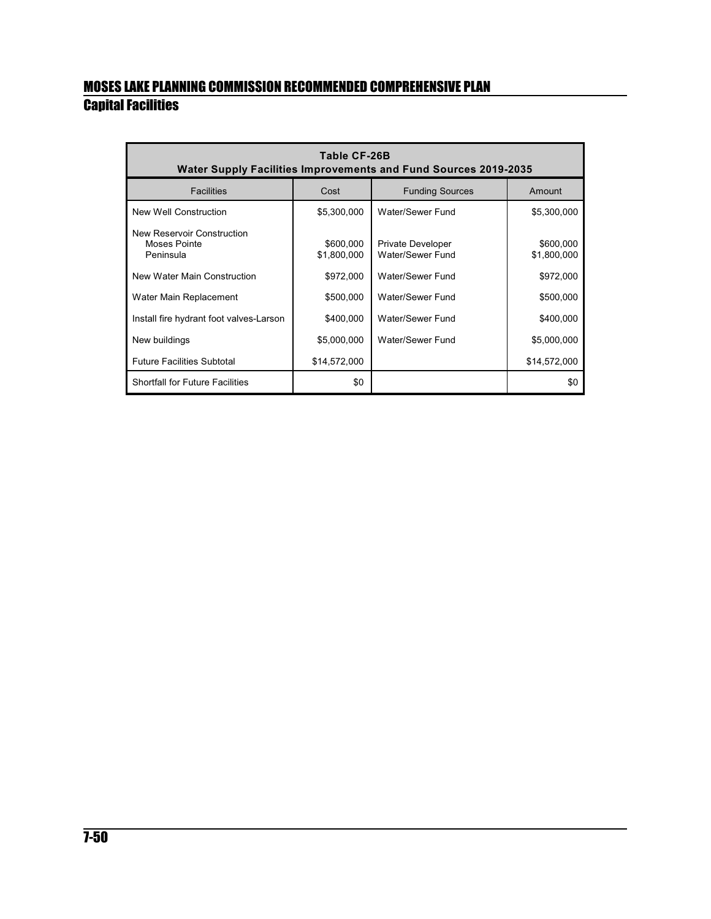| Table CF-26B<br><b>Water Supply Facilities Improvements and Fund Sources 2019-2035</b> |                          |                                              |                          |  |
|----------------------------------------------------------------------------------------|--------------------------|----------------------------------------------|--------------------------|--|
| <b>Facilities</b>                                                                      | Cost                     | <b>Funding Sources</b>                       | Amount                   |  |
| New Well Construction                                                                  | \$5,300,000              | Water/Sewer Fund                             | \$5,300,000              |  |
| New Reservoir Construction<br>Moses Pointe<br>Peninsula                                | \$600,000<br>\$1,800,000 | <b>Private Developer</b><br>Water/Sewer Fund | \$600,000<br>\$1,800,000 |  |
| New Water Main Construction                                                            | \$972,000                | Water/Sewer Fund                             | \$972,000                |  |
| Water Main Replacement                                                                 | \$500,000                | Water/Sewer Fund                             | \$500,000                |  |
| Install fire hydrant foot valves-Larson                                                | \$400,000                | Water/Sewer Fund                             | \$400,000                |  |
| New buildings                                                                          | \$5,000,000              | Water/Sewer Fund                             | \$5,000,000              |  |
| <b>Future Facilities Subtotal</b>                                                      | \$14,572,000             |                                              | \$14,572,000             |  |
| <b>Shortfall for Future Facilities</b>                                                 | \$0                      |                                              | \$0                      |  |